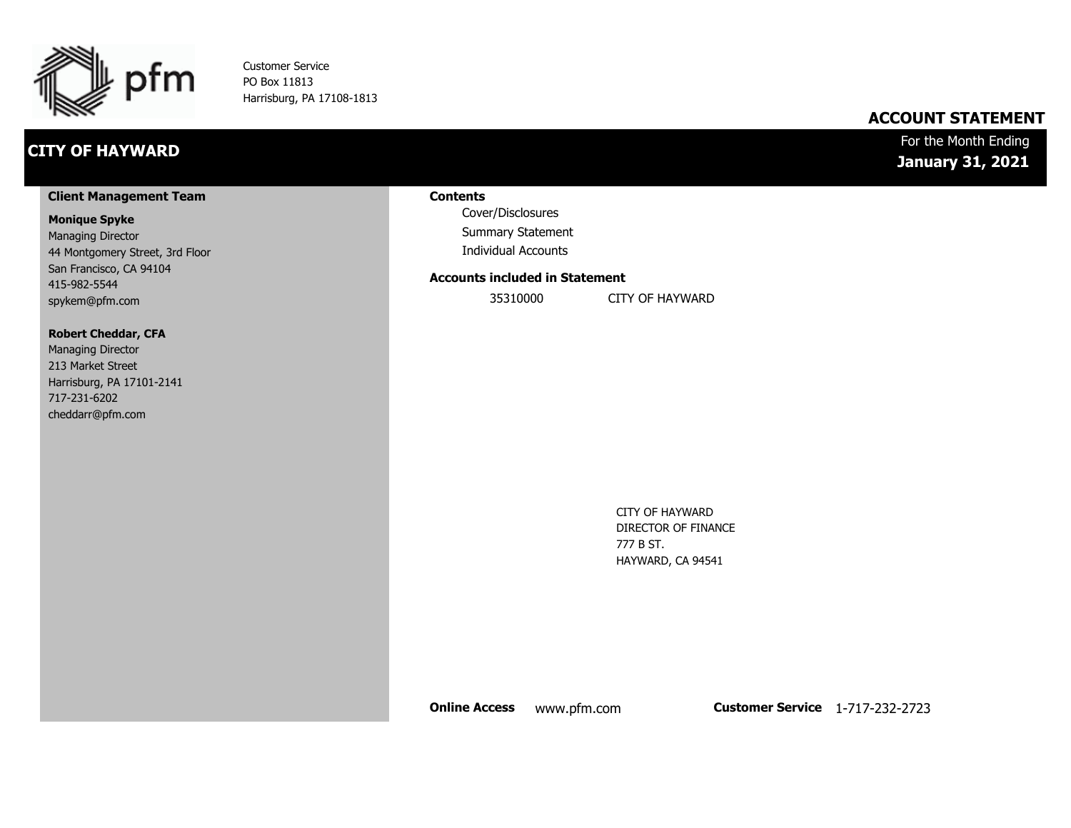

Customer Service PO Box 11813 Harrisburg, PA 17108-1813

### **CITY OF HAYWARD**

### **ACCOUNT STATEMENT**

### For the Month Ending **January 31, 2021**

#### **Client Management Team**

#### **Monique Spyke**

Managing Director 44 Montgomery Street, 3rd Floor San Francisco, CA 94104 415-982-5544 spykem@pfm.com

#### **Robert Cheddar, CFA**

| <b>Managing Director</b>  |
|---------------------------|
| 213 Market Street         |
| Harrisburg, PA 17101-2141 |
| 717-231-6202              |
| cheddarr@pfm.com          |

#### **Contents**

Cover/Disclosures Summary Statement Individual Accounts

#### **Accounts included in Statement**

35310000 CITY OF HAYWARD

CITY OF HAYWARD DIRECTOR OF FINANCE 777 B ST. HAYWARD, CA 94541

**Online Access** www.pfm.com **Customer Service** 1-717-232-2723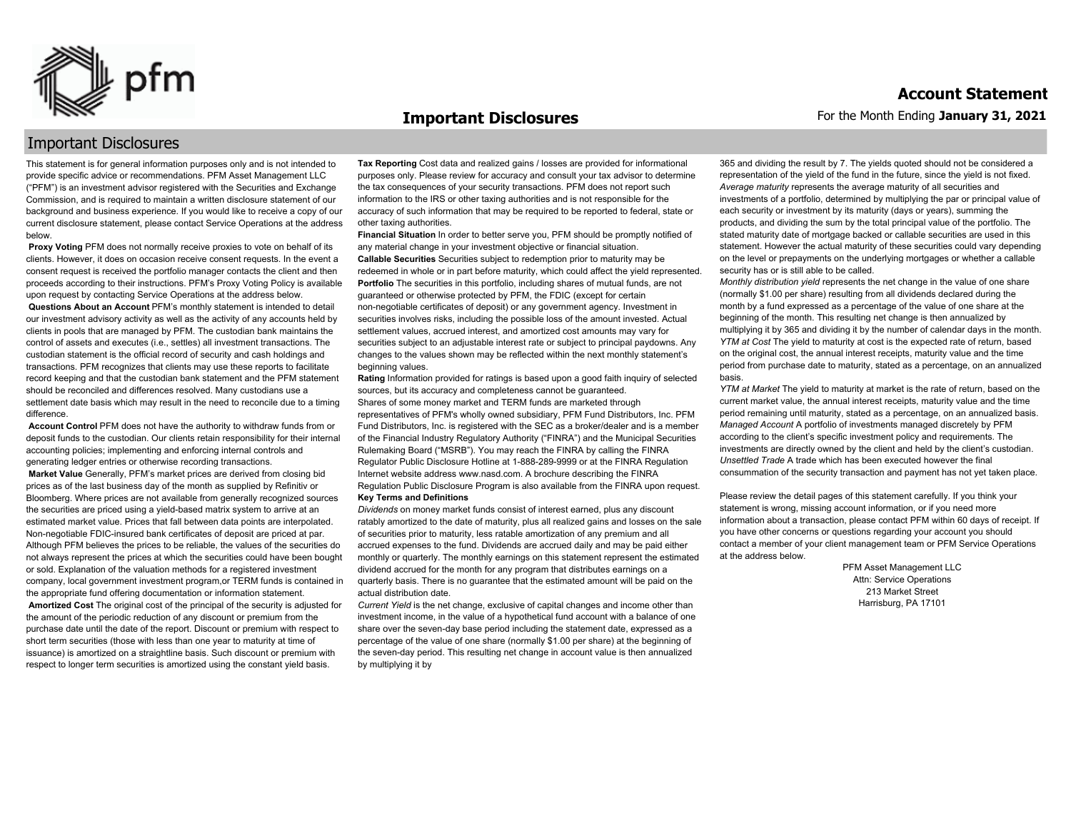

#### **Important Disclosures**

### Important Disclosures

This statement is for general information purposes only and is not intended to provide specific advice or recommendations. PFM Asset Management LLC ("PFM") is an investment advisor registered with the Securities and Exchange Commission, and is required to maintain a written disclosure statement of our background and business experience. If you would like to receive a copy of our current disclosure statement, please contact Service Operations at the address below.

**Proxy Voting** PFM does not normally receive proxies to vote on behalf of its clients. However, it does on occasion receive consent requests. In the event a consent request is received the portfolio manager contacts the client and then proceeds according to their instructions. PFM's Proxy Voting Policy is available upon request by contacting Service Operations at the address below. **Questions About an Account** PFM's monthly statement is intended to detail our investment advisory activity as well as the activity of any accounts held by clients in pools that are managed by PFM. The custodian bank maintains the control of assets and executes (i.e., settles) all investment transactions. The custodian statement is the official record of security and cash holdings and transactions. PFM recognizes that clients may use these reports to facilitate record keeping and that the custodian bank statement and the PFM statement should be reconciled and differences resolved. Many custodians use a

settlement date basis which may result in the need to reconcile due to a timing difference. **Account Control** PFM does not have the authority to withdraw funds from or

deposit funds to the custodian. Our clients retain responsibility for their internal accounting policies; implementing and enforcing internal controls and generating ledger entries or otherwise recording transactions. **Market Value** Generally, PFM's market prices are derived from closing bid prices as of the last business day of the month as supplied by Refinitiv or Bloomberg. Where prices are not available from generally recognized sources the securities are priced using a yield-based matrix system to arrive at an estimated market value. Prices that fall between data points are interpolated. Non-negotiable FDIC-insured bank certificates of deposit are priced at par. Although PFM believes the prices to be reliable, the values of the securities do not always represent the prices at which the securities could have been bought or sold. Explanation of the valuation methods for a registered investment company, local government investment program,or TERM funds is contained in the appropriate fund offering documentation or information statement. **Amortized Cost** The original cost of the principal of the security is adjusted for the amount of the periodic reduction of any discount or premium from the purchase date until the date of the report. Discount or premium with respect to short term securities (those with less than one year to maturity at time of issuance) is amortized on a straightline basis. Such discount or premium with respect to longer term securities is amortized using the constant yield basis.

**Tax Reporting** Cost data and realized gains / losses are provided for informational purposes only. Please review for accuracy and consult your tax advisor to determine the tax consequences of your security transactions. PFM does not report such information to the IRS or other taxing authorities and is not responsible for the accuracy of such information that may be required to be reported to federal, state or other taxing authorities.

**Financial Situation** In order to better serve you, PFM should be promptly notified of any material change in your investment objective or financial situation. **Callable Securities** Securities subject to redemption prior to maturity may be redeemed in whole or in part before maturity, which could affect the yield represented. Portfolio The securities in this portfolio, including shares of mutual funds, are not guaranteed or otherwise protected by PFM, the FDIC (except for certain non-negotiable certificates of deposit) or any government agency. Investment in securities involves risks, including the possible loss of the amount invested. Actual settlement values, accrued interest, and amortized cost amounts may vary for securities subject to an adjustable interest rate or subject to principal paydowns. Any changes to the values shown may be reflected within the next monthly statement's beginning values.

**Rating** Information provided for ratings is based upon a good faith inquiry of selected sources, but its accuracy and completeness cannot be guaranteed. Shares of some money market and TERM funds are marketed through representatives of PFM's wholly owned subsidiary, PFM Fund Distributors, Inc. PFM Fund Distributors, Inc. is registered with the SEC as a broker/dealer and is a member of the Financial Industry Regulatory Authority ("FINRA") and the Municipal Securities Rulemaking Board ("MSRB"). You may reach the FINRA by calling the FINRA Regulator Public Disclosure Hotline at 1-888-289-9999 or at the FINRA Regulation Internet website address www.nasd.com. A brochure describing the FINRA Regulation Public Disclosure Program is also available from the FINRA upon request. **Key Terms and Definitions**

*Dividends* on money market funds consist of interest earned, plus any discount ratably amortized to the date of maturity, plus all realized gains and losses on the sale of securities prior to maturity, less ratable amortization of any premium and all accrued expenses to the fund. Dividends are accrued daily and may be paid either monthly or quarterly. The monthly earnings on this statement represent the estimated dividend accrued for the month for any program that distributes earnings on a quarterly basis. There is no guarantee that the estimated amount will be paid on the actual distribution date.

*Current Yield* is the net change, exclusive of capital changes and income other than investment income, in the value of a hypothetical fund account with a balance of one share over the seven-day base period including the statement date, expressed as a percentage of the value of one share (normally \$1.00 per share) at the beginning of the seven-day period. This resulting net change in account value is then annualized by multiplying it by

365 and dividing the result by 7. The yields quoted should not be considered a representation of the yield of the fund in the future, since the yield is not fixed. *Average maturity* represents the average maturity of all securities and investments of a portfolio, determined by multiplying the par or principal value of each security or investment by its maturity (days or years), summing the products, and dividing the sum by the total principal value of the portfolio. The stated maturity date of mortgage backed or callable securities are used in this statement. However the actual maturity of these securities could vary depending on the level or prepayments on the underlying mortgages or whether a callable security has or is still able to be called.

*Monthly distribution yield* represents the net change in the value of one share (normally \$1.00 per share) resulting from all dividends declared during the month by a fund expressed as a percentage of the value of one share at the beginning of the month. This resulting net change is then annualized by multiplying it by 365 and dividing it by the number of calendar days in the month. *YTM at Cost* The yield to maturity at cost is the expected rate of return, based on the original cost, the annual interest receipts, maturity value and the time period from purchase date to maturity, stated as a percentage, on an annualized basis.

*YTM at Market* The yield to maturity at market is the rate of return, based on the current market value, the annual interest receipts, maturity value and the time period remaining until maturity, stated as a percentage, on an annualized basis. *Managed Account* A portfolio of investments managed discretely by PFM according to the client's specific investment policy and requirements. The investments are directly owned by the client and held by the client's custodian. *Unsettled Trade* A trade which has been executed however the final consummation of the security transaction and payment has not yet taken place.

Please review the detail pages of this statement carefully. If you think your statement is wrong, missing account information, or if you need more information about a transaction, please contact PFM within 60 days of receipt. If you have other concerns or questions regarding your account you should contact a member of your client management team or PFM Service Operations at the address below.

> PFM Asset Management LLC Attn: Service Operations 213 Market Street Harrisburg, PA 17101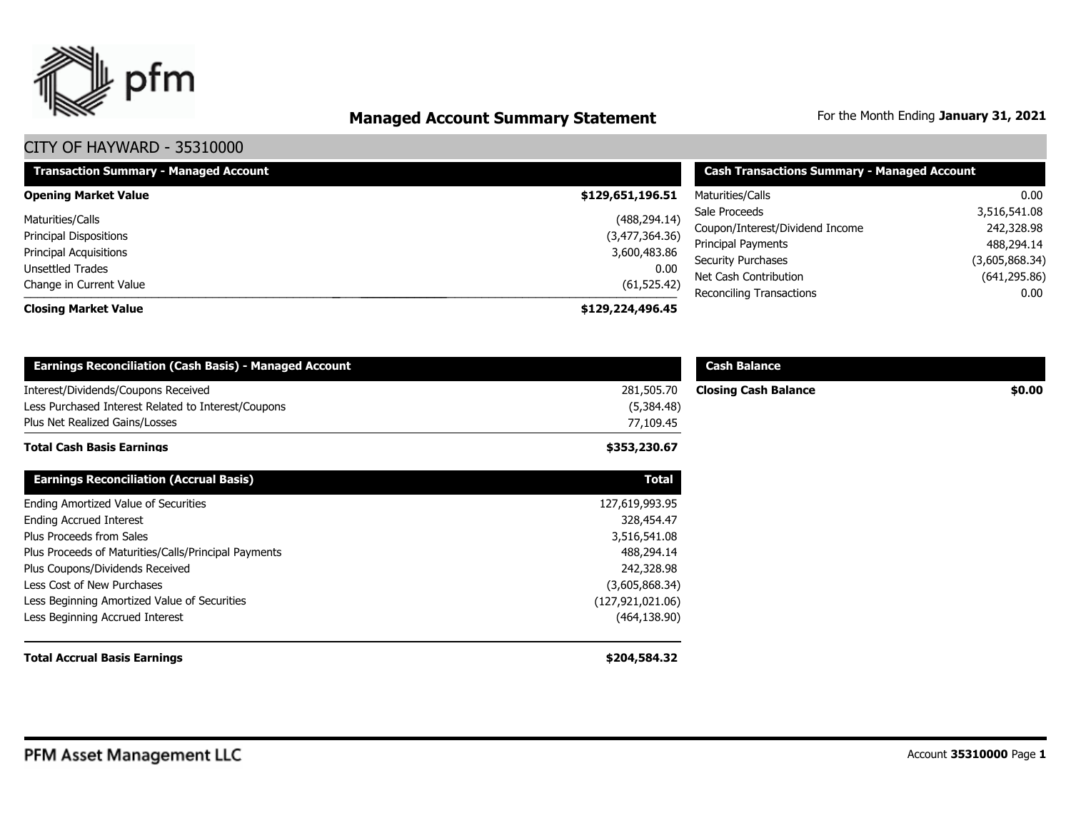

# **Managed Account Summary Statement** For the Month Ending January 31, 2021

| <b>Transaction Summary - Managed Account</b> | <b>Cash Transactions Summary - Managed Account</b> |                                 |                |
|----------------------------------------------|----------------------------------------------------|---------------------------------|----------------|
| <b>Opening Market Value</b>                  | \$129,651,196.51                                   | Maturities/Calls                | 0.00           |
| Maturities/Calls                             | (488, 294.14)                                      | Sale Proceeds                   | 3,516,541.08   |
| <b>Principal Dispositions</b>                | (3,477,364.36)                                     | Coupon/Interest/Dividend Income | 242,328.98     |
| Principal Acquisitions                       | 3,600,483.86                                       | Principal Payments              | 488,294.14     |
| Unsettled Trades                             | 0.00                                               | <b>Security Purchases</b>       | (3,605,868.34) |
| Change in Current Value                      | (61, 525.42)                                       | Net Cash Contribution           | (641, 295.86)  |
|                                              |                                                    | Reconciling Transactions        | 0.00           |
| <b>Closing Market Value</b>                  | \$129,224,496.45                                   |                                 |                |

| <b>Earnings Reconciliation (Cash Basis) - Managed Account</b>                                                                |                                       | <b>Cash Balance</b>         |        |
|------------------------------------------------------------------------------------------------------------------------------|---------------------------------------|-----------------------------|--------|
| Interest/Dividends/Coupons Received<br>Less Purchased Interest Related to Interest/Coupons<br>Plus Net Realized Gains/Losses | 281,505.70<br>(5,384.48)<br>77,109.45 | <b>Closing Cash Balance</b> | \$0.00 |
| <b>Total Cash Basis Earnings</b>                                                                                             | \$353,230.67                          |                             |        |
| <b>Earnings Reconciliation (Accrual Basis)</b>                                                                               | <b>Total</b>                          |                             |        |
| Ending Amortized Value of Securities                                                                                         | 127,619,993.95                        |                             |        |
| <b>Ending Accrued Interest</b>                                                                                               | 328,454.47                            |                             |        |
| Plus Proceeds from Sales                                                                                                     | 3,516,541.08                          |                             |        |
| Plus Proceeds of Maturities/Calls/Principal Payments                                                                         | 488,294.14                            |                             |        |
| Plus Coupons/Dividends Received                                                                                              | 242,328.98                            |                             |        |
| Less Cost of New Purchases                                                                                                   | (3,605,868.34)                        |                             |        |
| Less Beginning Amortized Value of Securities                                                                                 | (127, 921, 021.06)                    |                             |        |
| Less Beginning Accrued Interest                                                                                              | (464, 138.90)                         |                             |        |
| <b>Total Accrual Basis Earnings</b>                                                                                          | \$204,584.32                          |                             |        |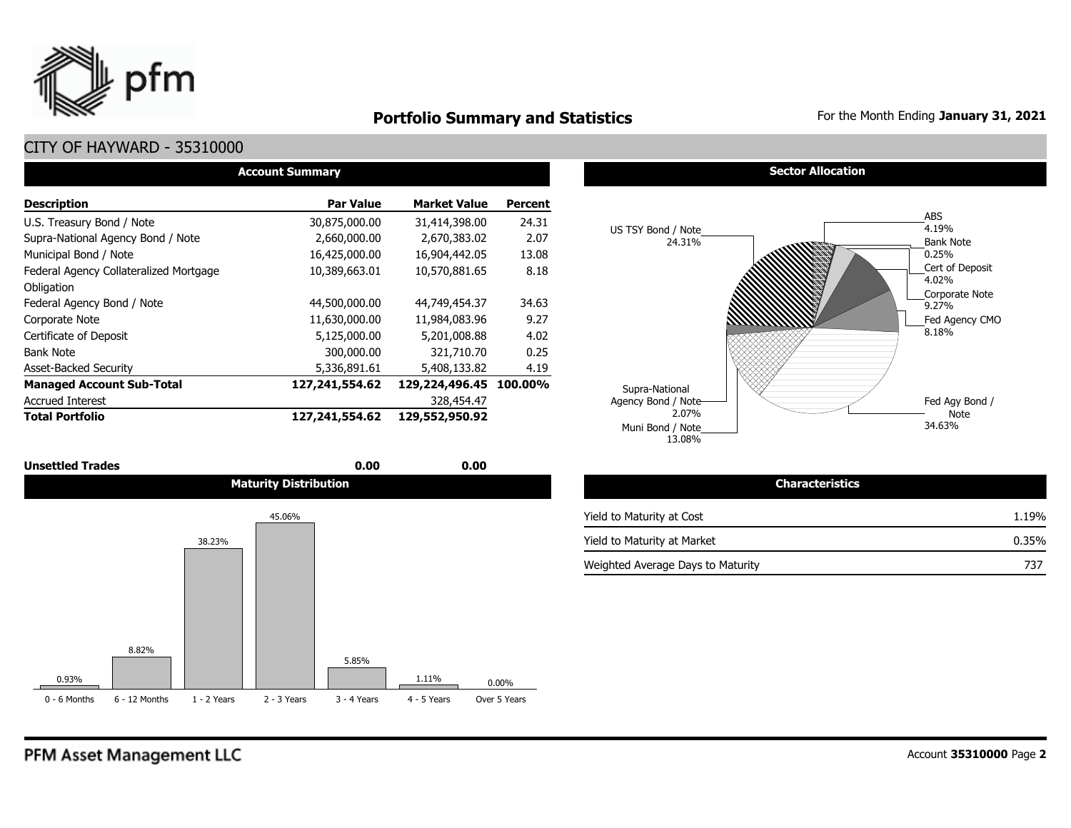

### **Portfolio Summary and Statistics** For the Month Ending January 31, 2021

### CITY OF HAYWARD - 35310000

| <b>Account Summary</b>                 |                   |                        |                |  |  |  |  |  |  |
|----------------------------------------|-------------------|------------------------|----------------|--|--|--|--|--|--|
| <b>Description</b>                     | <b>Par Value</b>  | <b>Market Value</b>    | <b>Percent</b> |  |  |  |  |  |  |
| U.S. Treasury Bond / Note              | 30,875,000.00     | 31,414,398.00          | 24.31          |  |  |  |  |  |  |
| Supra-National Agency Bond / Note      | 2,660,000.00      | 2,670,383.02           | 2.07           |  |  |  |  |  |  |
| Municipal Bond / Note                  | 16,425,000.00     | 16,904,442.05          | 13.08          |  |  |  |  |  |  |
| Federal Agency Collateralized Mortgage | 10,389,663.01     | 10,570,881.65          | 8.18           |  |  |  |  |  |  |
| Obligation                             |                   |                        |                |  |  |  |  |  |  |
| Federal Agency Bond / Note             | 44,500,000.00     | 44,749,454.37          | 34.63          |  |  |  |  |  |  |
| Corporate Note                         | 11,630,000.00     | 11,984,083.96          | 9.27           |  |  |  |  |  |  |
| Certificate of Deposit                 | 5,125,000.00      | 5,201,008.88           | 4.02           |  |  |  |  |  |  |
| <b>Bank Note</b>                       | 300,000.00        | 321,710.70             | 0.25           |  |  |  |  |  |  |
| <b>Asset-Backed Security</b>           | 5,336,891.61      | 5,408,133.82           | 4.19           |  |  |  |  |  |  |
| <b>Managed Account Sub-Total</b>       | 127, 241, 554. 62 | 129,224,496.45 100.00% |                |  |  |  |  |  |  |
| <b>Accrued Interest</b>                |                   | 328,454.47             |                |  |  |  |  |  |  |
| <b>Total Portfolio</b>                 | 127,241,554.62    | 129,552,950.92         |                |  |  |  |  |  |  |

| <b>Unsettled Trades</b> | 0.00                         | 0.00 |
|-------------------------|------------------------------|------|
|                         | <b>Maturity Distribution</b> |      |



#### **Sector Allocation**



| Maturity Distribution | <b>Characteristics</b>            |       |
|-----------------------|-----------------------------------|-------|
| 45.06%                | Yield to Maturity at Cost         | 1.19% |
|                       | Yield to Maturity at Market       | 0.35% |
|                       | Weighted Average Days to Maturity | 737   |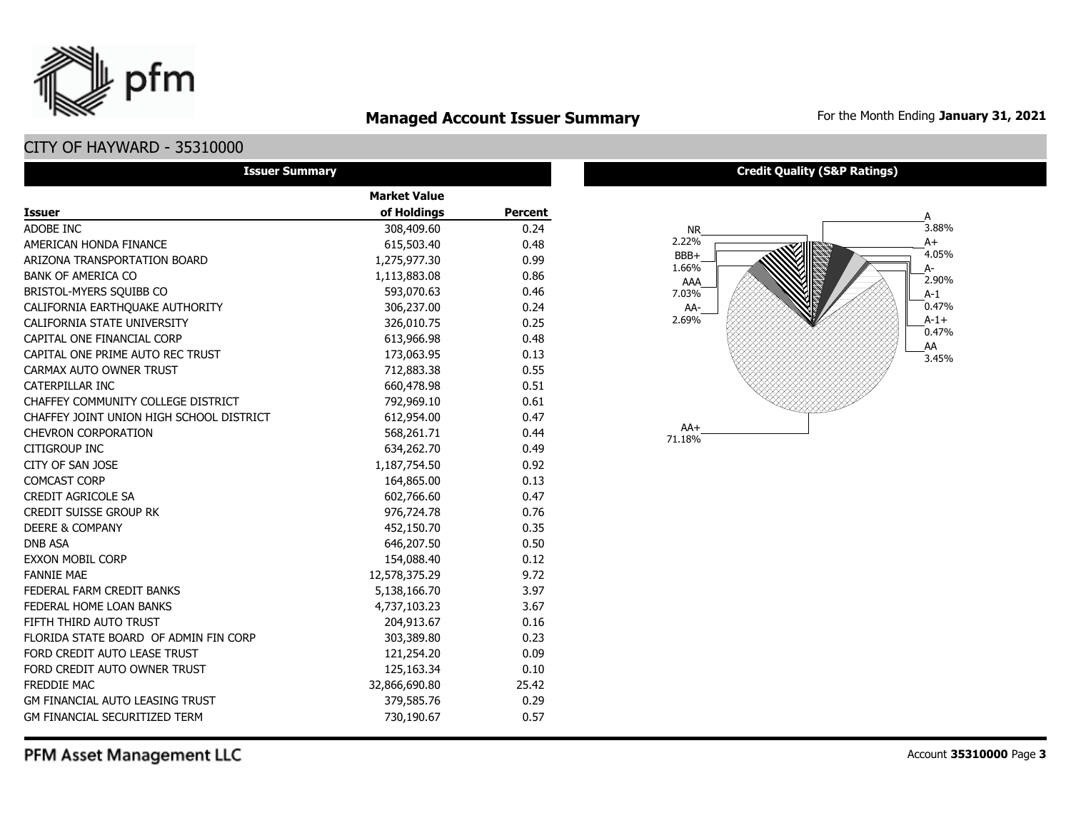

### **Managed Account Issuer Summary** For the Month Ending January 31, 2021

### CITY OF HAYWARD - 35310000

| <b>Issuer Summary</b>                    |                     |                |  |  |  |  |  |  |  |
|------------------------------------------|---------------------|----------------|--|--|--|--|--|--|--|
|                                          | <b>Market Value</b> |                |  |  |  |  |  |  |  |
| <b>Issuer</b>                            | of Holdings         | <b>Percent</b> |  |  |  |  |  |  |  |
| ADOBE INC                                | 308,409.60          | 0.24           |  |  |  |  |  |  |  |
| AMERICAN HONDA FINANCE                   | 615,503.40          | 0.48           |  |  |  |  |  |  |  |
| ARIZONA TRANSPORTATION BOARD             | 1,275,977.30        | 0.99           |  |  |  |  |  |  |  |
| <b>BANK OF AMERICA CO</b>                | 1,113,883.08        | 0.86           |  |  |  |  |  |  |  |
| BRISTOL-MYERS SQUIBB CO                  | 593,070.63          | 0.46           |  |  |  |  |  |  |  |
| CALIFORNIA EARTHQUAKE AUTHORITY          | 306,237.00          | 0.24           |  |  |  |  |  |  |  |
| CALIFORNIA STATE UNIVERSITY              | 326,010.75          | 0.25           |  |  |  |  |  |  |  |
| CAPITAL ONE FINANCIAL CORP               | 613,966.98          | 0.48           |  |  |  |  |  |  |  |
| CAPITAL ONE PRIME AUTO REC TRUST         | 173,063.95          | 0.13           |  |  |  |  |  |  |  |
| CARMAX AUTO OWNER TRUST                  | 712,883.38          | 0.55           |  |  |  |  |  |  |  |
| CATERPILLAR INC                          | 660,478.98          | 0.51           |  |  |  |  |  |  |  |
| CHAFFEY COMMUNITY COLLEGE DISTRICT       | 792,969.10          | 0.61           |  |  |  |  |  |  |  |
| CHAFFEY JOINT UNION HIGH SCHOOL DISTRICT | 612,954.00          | 0.47           |  |  |  |  |  |  |  |
| <b>CHEVRON CORPORATION</b>               | 568,261.71          | 0.44           |  |  |  |  |  |  |  |
| CITIGROUP INC                            | 634,262.70          | 0.49           |  |  |  |  |  |  |  |
| CITY OF SAN JOSE                         | 1,187,754.50        | 0.92           |  |  |  |  |  |  |  |
| <b>COMCAST CORP</b>                      | 164,865.00          | 0.13           |  |  |  |  |  |  |  |
| <b>CREDIT AGRICOLE SA</b>                | 602,766.60          | 0.47           |  |  |  |  |  |  |  |
| <b>CREDIT SUISSE GROUP RK</b>            | 976,724.78          | 0.76           |  |  |  |  |  |  |  |
| <b>DEERE &amp; COMPANY</b>               | 452,150.70          | 0.35           |  |  |  |  |  |  |  |
| <b>DNB ASA</b>                           | 646,207.50          | 0.50           |  |  |  |  |  |  |  |
| <b>EXXON MOBIL CORP</b>                  | 154,088.40          | 0.12           |  |  |  |  |  |  |  |
| <b>FANNIF MAF</b>                        | 12,578,375.29       | 9.72           |  |  |  |  |  |  |  |
| FEDERAL FARM CREDIT BANKS                | 5,138,166.70        | 3.97           |  |  |  |  |  |  |  |
| FEDERAL HOME LOAN BANKS                  | 4,737,103.23        | 3.67           |  |  |  |  |  |  |  |
| FIFTH THIRD AUTO TRUST                   | 204,913.67          | 0.16           |  |  |  |  |  |  |  |
| FLORIDA STATE BOARD OF ADMIN FIN CORP    | 303,389.80          | 0.23           |  |  |  |  |  |  |  |
| FORD CREDIT AUTO LEASE TRUST             | 121,254.20          | 0.09           |  |  |  |  |  |  |  |
| FORD CREDIT AUTO OWNER TRUST             | 125,163.34          | 0.10           |  |  |  |  |  |  |  |
| <b>FREDDIE MAC</b>                       | 32,866,690.80       | 25.42          |  |  |  |  |  |  |  |
| <b>GM FINANCIAL AUTO LEASING TRUST</b>   | 379,585.76          | 0.29           |  |  |  |  |  |  |  |
| GM FINANCIAL SECURITIZED TERM            | 730,190.67          | 0.57           |  |  |  |  |  |  |  |

#### **Credit Quality (S&P Ratings)**

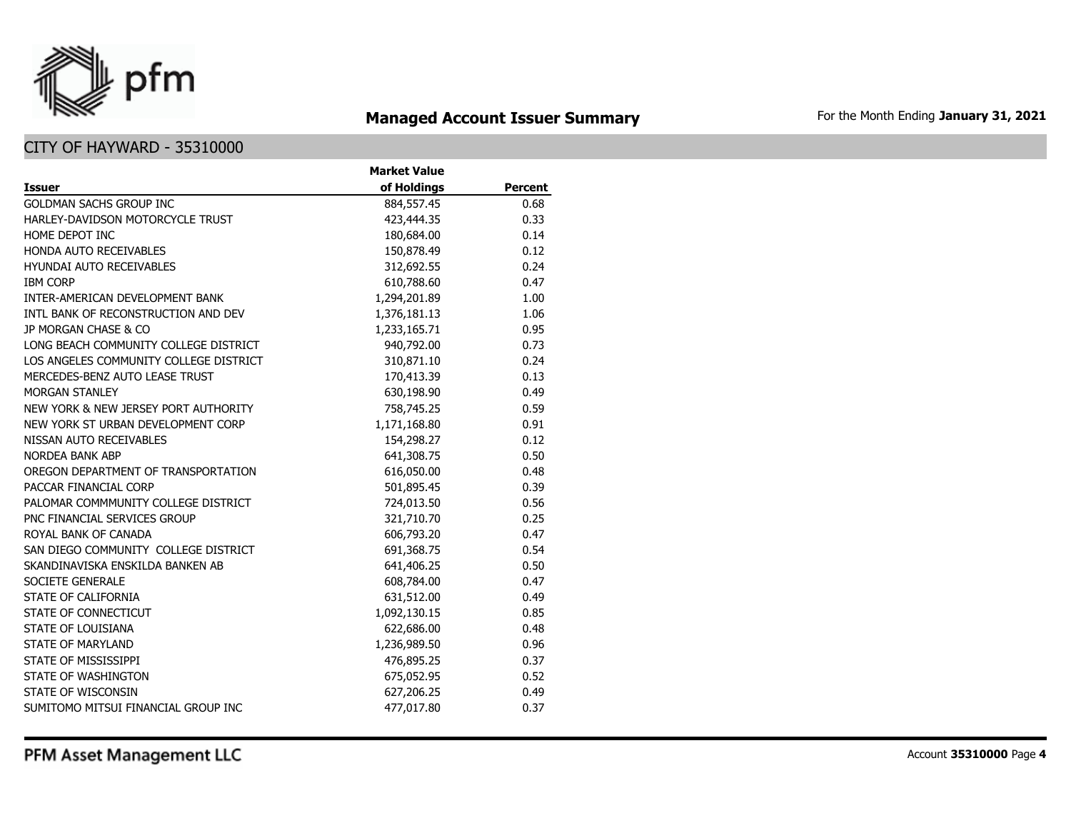

# **Managed Account Issuer Summary** For the Month Ending January 31, 2021

|                                        | <b>Market Value</b> |                |
|----------------------------------------|---------------------|----------------|
| <b>Issuer</b>                          | of Holdings         | <b>Percent</b> |
| <b>GOLDMAN SACHS GROUP INC</b>         | 884,557.45          | 0.68           |
| HARLEY-DAVIDSON MOTORCYCLE TRUST       | 423,444.35          | 0.33           |
| HOME DEPOT INC                         | 180,684.00          | 0.14           |
| <b>HONDA AUTO RECEIVABLES</b>          | 150,878.49          | 0.12           |
| <b>HYUNDAI AUTO RECEIVABLES</b>        | 312,692.55          | 0.24           |
| <b>IBM CORP</b>                        | 610,788.60          | 0.47           |
| INTER-AMERICAN DEVELOPMENT BANK        | 1,294,201.89        | 1.00           |
| INTL BANK OF RECONSTRUCTION AND DEV    | 1,376,181.13        | 1.06           |
| JP MORGAN CHASE & CO                   | 1,233,165.71        | 0.95           |
| LONG BEACH COMMUNITY COLLEGE DISTRICT  | 940,792.00          | 0.73           |
| LOS ANGELES COMMUNITY COLLEGE DISTRICT | 310,871.10          | 0.24           |
| MERCEDES-BENZ AUTO LEASE TRUST         | 170,413.39          | 0.13           |
| <b>MORGAN STANLEY</b>                  | 630,198.90          | 0.49           |
| NEW YORK & NEW JERSEY PORT AUTHORITY   | 758,745.25          | 0.59           |
| NEW YORK ST URBAN DEVELOPMENT CORP     | 1,171,168.80        | 0.91           |
| NISSAN AUTO RECEIVABLES                | 154,298.27          | 0.12           |
| <b>NORDEA BANK ABP</b>                 | 641,308.75          | 0.50           |
| OREGON DEPARTMENT OF TRANSPORTATION    | 616,050.00          | 0.48           |
| PACCAR FINANCIAL CORP                  | 501,895.45          | 0.39           |
| PALOMAR COMMMUNITY COLLEGE DISTRICT    | 724,013.50          | 0.56           |
| PNC FINANCIAL SERVICES GROUP           | 321,710.70          | 0.25           |
| ROYAL BANK OF CANADA                   | 606,793.20          | 0.47           |
| SAN DIEGO COMMUNITY COLLEGE DISTRICT   | 691,368.75          | 0.54           |
| SKANDINAVISKA ENSKILDA BANKEN AB       | 641,406.25          | 0.50           |
| SOCIETE GENERALE                       | 608,784.00          | 0.47           |
| STATE OF CALIFORNIA                    | 631,512.00          | 0.49           |
| STATE OF CONNECTICUT                   | 1,092,130.15        | 0.85           |
| STATE OF LOUISIANA                     | 622,686.00          | 0.48           |
| <b>STATE OF MARYLAND</b>               | 1,236,989.50        | 0.96           |
| STATE OF MISSISSIPPI                   | 476,895.25          | 0.37           |
| STATE OF WASHINGTON                    | 675,052.95          | 0.52           |
| STATE OF WISCONSIN                     | 627,206.25          | 0.49           |
| SUMITOMO MITSUI FINANCIAL GROUP INC    | 477,017.80          | 0.37           |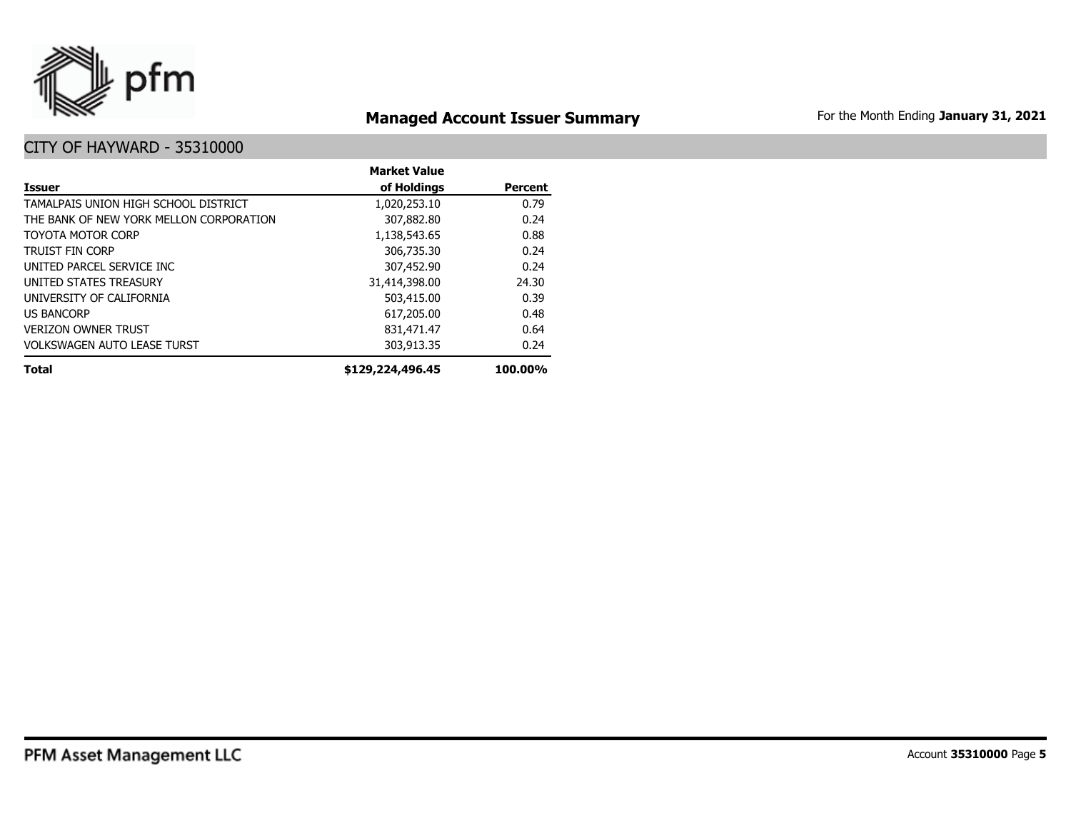

# **Managed Account Issuer Summary** For the Month Ending January 31, 2021

|                                         | <b>Market Value</b> |                |
|-----------------------------------------|---------------------|----------------|
| <b>Issuer</b>                           | of Holdings         | <b>Percent</b> |
| TAMALPAIS UNION HIGH SCHOOL DISTRICT    | 1,020,253.10        | 0.79           |
| THE BANK OF NEW YORK MELLON CORPORATION | 307,882.80          | 0.24           |
| TOYOTA MOTOR CORP                       | 1,138,543.65        | 0.88           |
| <b>TRUIST FIN CORP</b>                  | 306,735.30          | 0.24           |
| UNITED PARCEL SERVICE INC               | 307,452.90          | 0.24           |
| UNITED STATES TREASURY                  | 31,414,398.00       | 24.30          |
| UNIVERSITY OF CALIFORNIA                | 503,415.00          | 0.39           |
| <b>US BANCORP</b>                       | 617,205.00          | 0.48           |
| <b>VERIZON OWNER TRUST</b>              | 831,471.47          | 0.64           |
| <b>VOLKSWAGEN AUTO LEASE TURST</b>      | 303,913.35          | 0.24           |
| <b>Total</b>                            | \$129,224,496.45    | 100.00%        |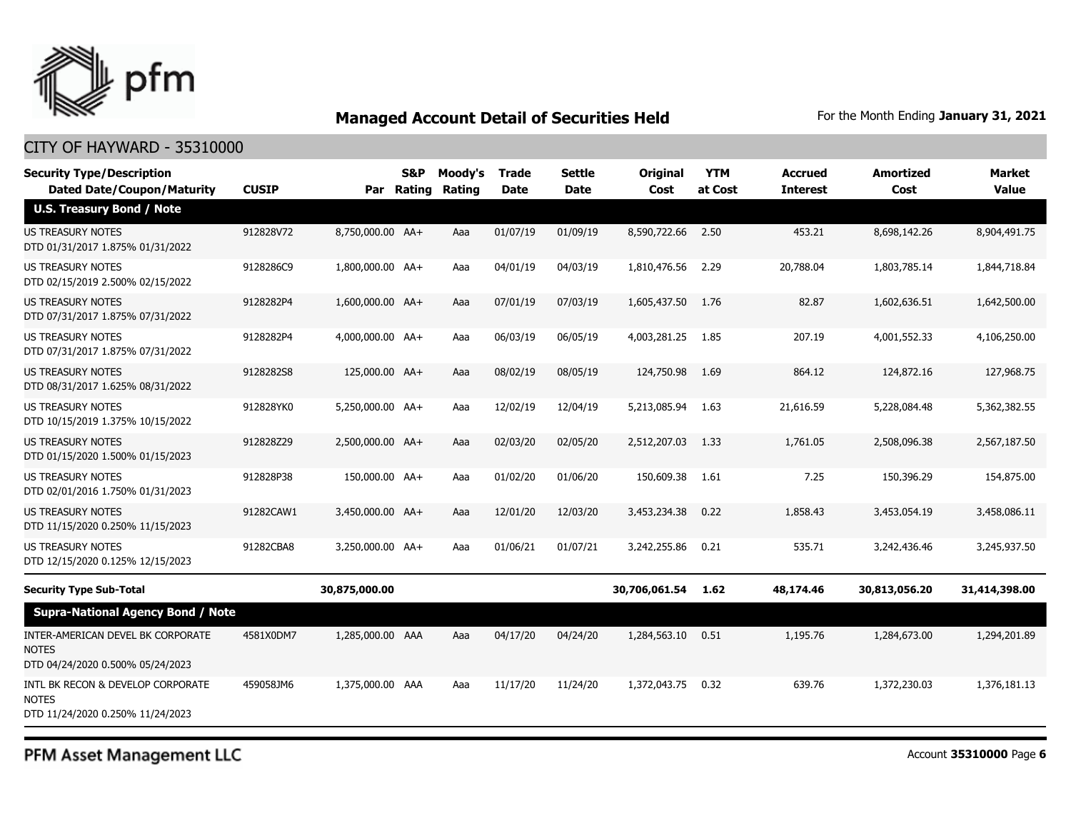

### CITY OF HAYWARD - 35310000

| <b>Security Type/Description</b><br><b>Dated Date/Coupon/Maturity</b>                 | <b>CUSIP</b> |                  | S&P<br>Par Rating | Moody's<br>Rating | <b>Trade</b><br><b>Date</b> | Settle<br>Date | Original<br>Cost | <b>YTM</b><br>at Cost | <b>Accrued</b><br><b>Interest</b> | <b>Amortized</b><br>Cost | <b>Market</b><br><b>Value</b> |
|---------------------------------------------------------------------------------------|--------------|------------------|-------------------|-------------------|-----------------------------|----------------|------------------|-----------------------|-----------------------------------|--------------------------|-------------------------------|
| <b>U.S. Treasury Bond / Note</b>                                                      |              |                  |                   |                   |                             |                |                  |                       |                                   |                          |                               |
| <b>US TREASURY NOTES</b><br>DTD 01/31/2017 1.875% 01/31/2022                          | 912828V72    | 8,750,000.00 AA+ |                   | Aaa               | 01/07/19                    | 01/09/19       | 8,590,722.66     | 2.50                  | 453.21                            | 8,698,142.26             | 8,904,491.75                  |
| US TREASURY NOTES<br>DTD 02/15/2019 2.500% 02/15/2022                                 | 9128286C9    | 1,800,000.00 AA+ |                   | Aaa               | 04/01/19                    | 04/03/19       | 1,810,476.56     | 2.29                  | 20,788.04                         | 1,803,785.14             | 1,844,718.84                  |
| <b>US TREASURY NOTES</b><br>DTD 07/31/2017 1.875% 07/31/2022                          | 9128282P4    | 1,600,000.00 AA+ |                   | Aaa               | 07/01/19                    | 07/03/19       | 1,605,437.50     | 1.76                  | 82.87                             | 1,602,636.51             | 1,642,500.00                  |
| US TREASURY NOTES<br>DTD 07/31/2017 1.875% 07/31/2022                                 | 9128282P4    | 4,000,000.00 AA+ |                   | Aaa               | 06/03/19                    | 06/05/19       | 4,003,281.25     | 1.85                  | 207.19                            | 4,001,552.33             | 4,106,250.00                  |
| <b>US TREASURY NOTES</b><br>DTD 08/31/2017 1.625% 08/31/2022                          | 9128282S8    | 125,000.00 AA+   |                   | Aaa               | 08/02/19                    | 08/05/19       | 124,750.98       | 1.69                  | 864.12                            | 124,872.16               | 127,968.75                    |
| US TREASURY NOTES<br>DTD 10/15/2019 1.375% 10/15/2022                                 | 912828YK0    | 5,250,000.00 AA+ |                   | Aaa               | 12/02/19                    | 12/04/19       | 5,213,085.94     | 1.63                  | 21,616.59                         | 5,228,084.48             | 5,362,382.55                  |
| US TREASURY NOTES<br>DTD 01/15/2020 1.500% 01/15/2023                                 | 912828Z29    | 2,500,000.00 AA+ |                   | Aaa               | 02/03/20                    | 02/05/20       | 2,512,207.03     | 1.33                  | 1,761.05                          | 2,508,096.38             | 2,567,187.50                  |
| <b>US TREASURY NOTES</b><br>DTD 02/01/2016 1.750% 01/31/2023                          | 912828P38    | 150,000.00 AA+   |                   | Aaa               | 01/02/20                    | 01/06/20       | 150,609.38       | 1.61                  | 7.25                              | 150,396.29               | 154,875,00                    |
| <b>US TREASURY NOTES</b><br>DTD 11/15/2020 0.250% 11/15/2023                          | 91282CAW1    | 3,450,000.00 AA+ |                   | Aaa               | 12/01/20                    | 12/03/20       | 3,453,234.38     | 0.22                  | 1,858.43                          | 3,453,054.19             | 3,458,086.11                  |
| <b>US TREASURY NOTES</b><br>DTD 12/15/2020 0.125% 12/15/2023                          | 91282CBA8    | 3,250,000.00 AA+ |                   | Aaa               | 01/06/21                    | 01/07/21       | 3,242,255.86     | 0.21                  | 535.71                            | 3,242,436.46             | 3,245,937.50                  |
| <b>Security Type Sub-Total</b>                                                        |              | 30,875,000.00    |                   |                   |                             |                | 30,706,061.54    | 1.62                  | 48,174.46                         | 30,813,056.20            | 31,414,398.00                 |
| <b>Supra-National Agency Bond / Note</b>                                              |              |                  |                   |                   |                             |                |                  |                       |                                   |                          |                               |
| INTER-AMERICAN DEVEL BK CORPORATE<br><b>NOTES</b><br>DTD 04/24/2020 0.500% 05/24/2023 | 4581X0DM7    | 1,285,000.00 AAA |                   | Aaa               | 04/17/20                    | 04/24/20       | 1,284,563.10     | 0.51                  | 1,195.76                          | 1,284,673.00             | 1,294,201.89                  |
| INTL BK RECON & DEVELOP CORPORATE<br><b>NOTES</b><br>DTD 11/24/2020 0.250% 11/24/2023 | 459058JM6    | 1,375,000.00 AAA |                   | Aaa               | 11/17/20                    | 11/24/20       | 1,372,043.75     | 0.32                  | 639.76                            | 1,372,230.03             | 1,376,181.13                  |

PFM Asset Management LLC

Account **35310000** Page **6**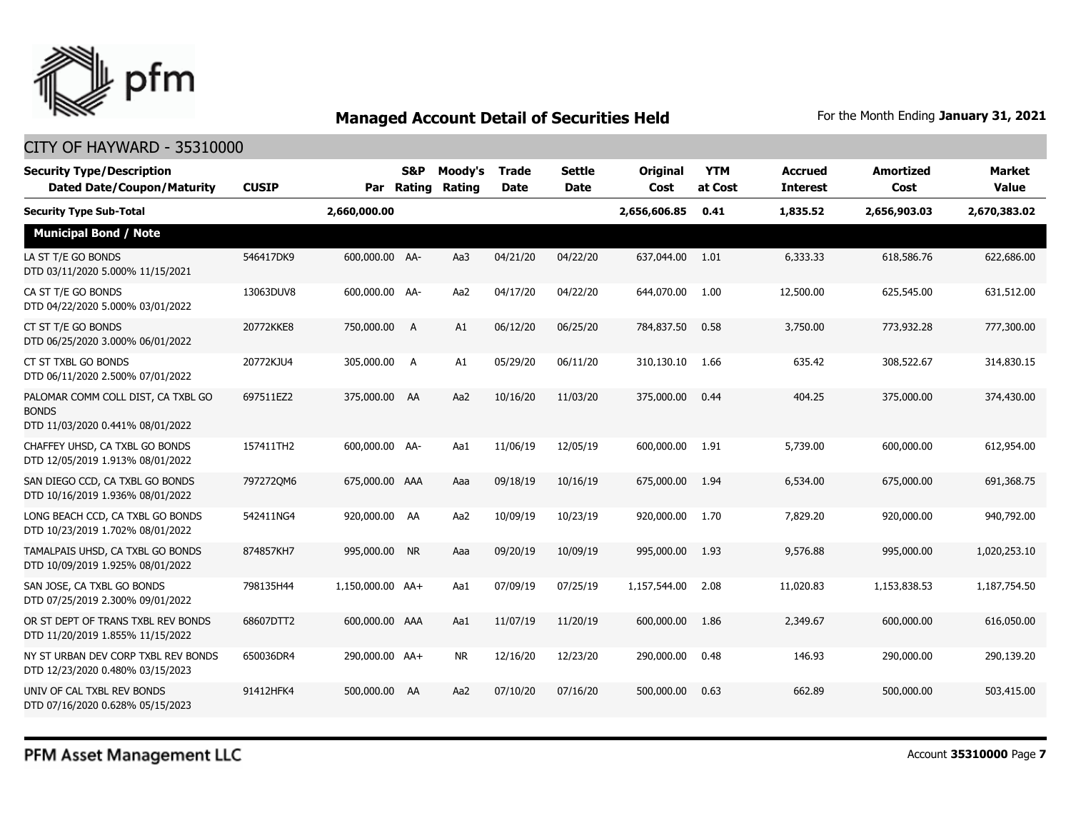

#### CITY OF HAYWARD - 35310000

| <b>Security Type/Description</b><br><b>Dated Date/Coupon/Maturity</b>                  | <b>CUSIP</b> | Par              | S&P<br>Rating | Moody's<br><b>Rating</b> | <b>Trade</b><br><b>Date</b> | <b>Settle</b><br><b>Date</b> | Original<br>Cost | <b>YTM</b><br>at Cost | <b>Accrued</b><br><b>Interest</b> | <b>Amortized</b><br>Cost | <b>Market</b><br><b>Value</b> |
|----------------------------------------------------------------------------------------|--------------|------------------|---------------|--------------------------|-----------------------------|------------------------------|------------------|-----------------------|-----------------------------------|--------------------------|-------------------------------|
| <b>Security Type Sub-Total</b>                                                         |              | 2,660,000.00     |               |                          |                             |                              | 2,656,606.85     | 0.41                  | 1,835.52                          | 2,656,903.03             | 2,670,383.02                  |
| <b>Municipal Bond / Note</b>                                                           |              |                  |               |                          |                             |                              |                  |                       |                                   |                          |                               |
| LA ST T/E GO BONDS<br>DTD 03/11/2020 5.000% 11/15/2021                                 | 546417DK9    | 600,000.00 AA-   |               | Aa3                      | 04/21/20                    | 04/22/20                     | 637,044.00       | 1.01                  | 6,333.33                          | 618,586.76               | 622,686.00                    |
| CA ST T/E GO BONDS<br>DTD 04/22/2020 5.000% 03/01/2022                                 | 13063DUV8    | 600,000.00 AA-   |               | Aa2                      | 04/17/20                    | 04/22/20                     | 644,070.00       | 1.00                  | 12,500.00                         | 625,545.00               | 631,512.00                    |
| CT ST T/E GO BONDS<br>DTD 06/25/2020 3.000% 06/01/2022                                 | 20772KKE8    | 750,000.00       | A             | A1                       | 06/12/20                    | 06/25/20                     | 784,837.50       | 0.58                  | 3,750.00                          | 773,932.28               | 777,300.00                    |
| CT ST TXBL GO BONDS<br>DTD 06/11/2020 2.500% 07/01/2022                                | 20772KJU4    | 305,000.00 A     |               | A1                       | 05/29/20                    | 06/11/20                     | 310,130.10       | 1.66                  | 635.42                            | 308,522.67               | 314,830.15                    |
| PALOMAR COMM COLL DIST, CA TXBL GO<br><b>BONDS</b><br>DTD 11/03/2020 0.441% 08/01/2022 | 697511EZ2    | 375,000.00 AA    |               | Aa2                      | 10/16/20                    | 11/03/20                     | 375,000.00       | 0.44                  | 404.25                            | 375,000.00               | 374,430.00                    |
| CHAFFEY UHSD, CA TXBL GO BONDS<br>DTD 12/05/2019 1.913% 08/01/2022                     | 157411TH2    | 600,000.00 AA-   |               | Aa1                      | 11/06/19                    | 12/05/19                     | 600,000.00       | 1.91                  | 5,739.00                          | 600,000,00               | 612,954.00                    |
| SAN DIEGO CCD, CA TXBL GO BONDS<br>DTD 10/16/2019 1.936% 08/01/2022                    | 7972720M6    | 675,000.00 AAA   |               | Aaa                      | 09/18/19                    | 10/16/19                     | 675,000.00       | 1.94                  | 6,534.00                          | 675,000.00               | 691,368.75                    |
| LONG BEACH CCD, CA TXBL GO BONDS<br>DTD 10/23/2019 1.702% 08/01/2022                   | 542411NG4    | 920,000.00 AA    |               | Aa2                      | 10/09/19                    | 10/23/19                     | 920,000.00       | 1.70                  | 7,829.20                          | 920,000.00               | 940,792.00                    |
| TAMALPAIS UHSD, CA TXBL GO BONDS<br>DTD 10/09/2019 1.925% 08/01/2022                   | 874857KH7    | 995,000.00 NR    |               | Aaa                      | 09/20/19                    | 10/09/19                     | 995,000.00       | 1.93                  | 9,576.88                          | 995,000.00               | 1,020,253.10                  |
| SAN JOSE, CA TXBL GO BONDS<br>DTD 07/25/2019 2.300% 09/01/2022                         | 798135H44    | 1,150,000.00 AA+ |               | Aa1                      | 07/09/19                    | 07/25/19                     | 1,157,544.00     | 2.08                  | 11,020.83                         | 1,153,838.53             | 1,187,754.50                  |
| OR ST DEPT OF TRANS TXBL REV BONDS<br>DTD 11/20/2019 1.855% 11/15/2022                 | 68607DTT2    | 600,000.00 AAA   |               | Aa1                      | 11/07/19                    | 11/20/19                     | 600,000.00       | 1.86                  | 2,349.67                          | 600,000.00               | 616,050.00                    |
| NY ST URBAN DEV CORP TXBL REV BONDS<br>DTD 12/23/2020 0.480% 03/15/2023                | 650036DR4    | 290,000.00 AA+   |               | <b>NR</b>                | 12/16/20                    | 12/23/20                     | 290,000.00       | 0.48                  | 146.93                            | 290,000.00               | 290,139.20                    |
| UNIV OF CAL TXBL REV BONDS<br>DTD 07/16/2020 0.628% 05/15/2023                         | 91412HFK4    | 500,000.00       | AA            | Aa2                      | 07/10/20                    | 07/16/20                     | 500,000.00       | 0.63                  | 662.89                            | 500,000.00               | 503,415.00                    |

PFM Asset Management LLC

Account **35310000** Page **7**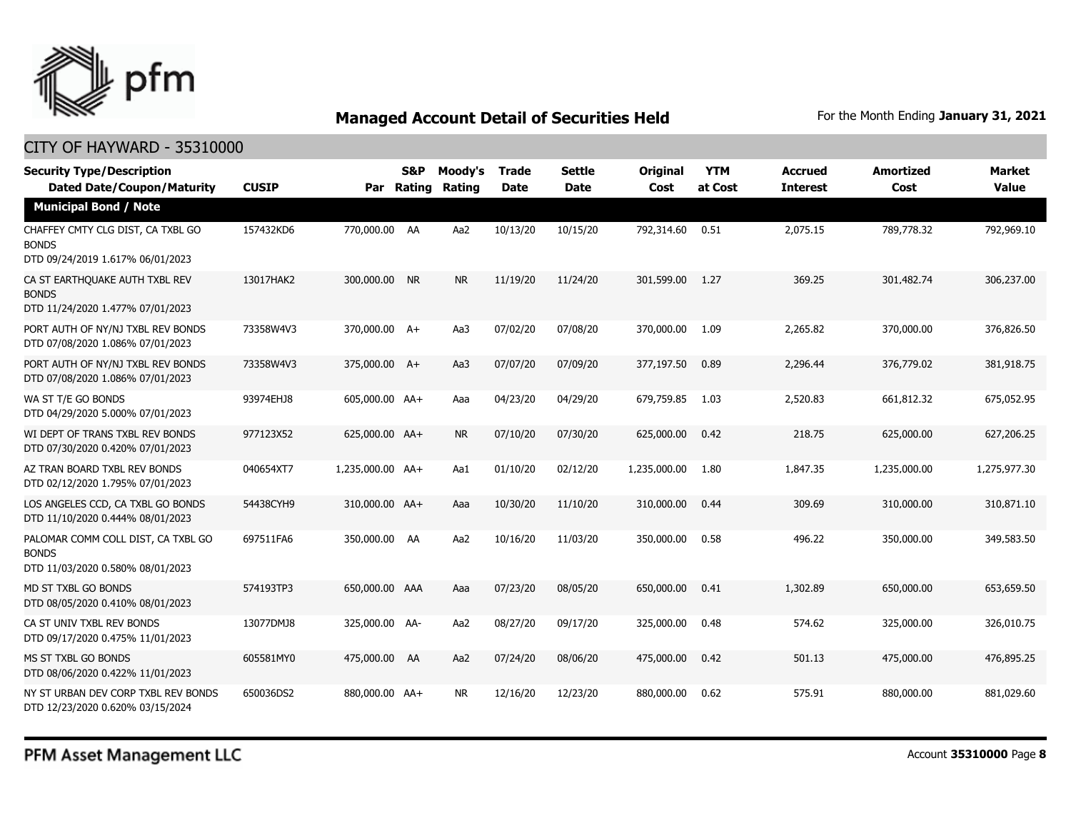

| <b>Security Type/Description</b><br><b>Dated Date/Coupon/Maturity</b>                  | <b>CUSIP</b> | Par              | S&P<br>Rating | Moody's<br><b>Rating</b> | <b>Trade</b><br><b>Date</b> | <b>Settle</b><br><b>Date</b> | <b>Original</b><br>Cost | <b>YTM</b><br>at Cost | <b>Accrued</b><br><b>Interest</b> | <b>Amortized</b><br>Cost | <b>Market</b><br><b>Value</b> |
|----------------------------------------------------------------------------------------|--------------|------------------|---------------|--------------------------|-----------------------------|------------------------------|-------------------------|-----------------------|-----------------------------------|--------------------------|-------------------------------|
| <b>Municipal Bond / Note</b>                                                           |              |                  |               |                          |                             |                              |                         |                       |                                   |                          |                               |
| CHAFFEY CMTY CLG DIST, CA TXBL GO<br><b>BONDS</b><br>DTD 09/24/2019 1.617% 06/01/2023  | 157432KD6    | 770,000.00 AA    |               | Aa2                      | 10/13/20                    | 10/15/20                     | 792,314.60              | 0.51                  | 2,075.15                          | 789,778.32               | 792,969.10                    |
| CA ST EARTHOUAKE AUTH TXBL REV<br><b>BONDS</b><br>DTD 11/24/2020 1.477% 07/01/2023     | 13017HAK2    | 300,000.00 NR    |               | <b>NR</b>                | 11/19/20                    | 11/24/20                     | 301,599.00              | 1.27                  | 369.25                            | 301,482.74               | 306,237.00                    |
| PORT AUTH OF NY/NJ TXBL REV BONDS<br>DTD 07/08/2020 1.086% 07/01/2023                  | 73358W4V3    | 370,000.00 A+    |               | Aa3                      | 07/02/20                    | 07/08/20                     | 370,000.00              | 1.09                  | 2,265.82                          | 370,000.00               | 376,826.50                    |
| PORT AUTH OF NY/NJ TXBL REV BONDS<br>DTD 07/08/2020 1.086% 07/01/2023                  | 73358W4V3    | 375,000.00 A+    |               | Aa3                      | 07/07/20                    | 07/09/20                     | 377,197.50              | 0.89                  | 2,296.44                          | 376,779.02               | 381,918.75                    |
| WA ST T/E GO BONDS<br>DTD 04/29/2020 5.000% 07/01/2023                                 | 93974EHJ8    | 605,000.00 AA+   |               | Aaa                      | 04/23/20                    | 04/29/20                     | 679,759.85              | 1.03                  | 2,520.83                          | 661,812.32               | 675,052.95                    |
| WI DEPT OF TRANS TXBL REV BONDS<br>DTD 07/30/2020 0.420% 07/01/2023                    | 977123X52    | 625,000.00 AA+   |               | <b>NR</b>                | 07/10/20                    | 07/30/20                     | 625,000.00              | 0.42                  | 218.75                            | 625,000.00               | 627,206.25                    |
| AZ TRAN BOARD TXBL REV BONDS<br>DTD 02/12/2020 1.795% 07/01/2023                       | 040654XT7    | 1,235,000.00 AA+ |               | Aa1                      | 01/10/20                    | 02/12/20                     | 1,235,000.00            | 1.80                  | 1,847.35                          | 1,235,000.00             | 1,275,977.30                  |
| LOS ANGELES CCD, CA TXBL GO BONDS<br>DTD 11/10/2020 0.444% 08/01/2023                  | 54438CYH9    | 310,000.00 AA+   |               | Aaa                      | 10/30/20                    | 11/10/20                     | 310,000.00              | 0.44                  | 309.69                            | 310,000.00               | 310,871.10                    |
| PALOMAR COMM COLL DIST, CA TXBL GO<br><b>BONDS</b><br>DTD 11/03/2020 0.580% 08/01/2023 | 697511FA6    | 350,000.00 AA    |               | Aa2                      | 10/16/20                    | 11/03/20                     | 350,000.00              | 0.58                  | 496.22                            | 350,000.00               | 349,583.50                    |
| MD ST TXBL GO BONDS<br>DTD 08/05/2020 0.410% 08/01/2023                                | 574193TP3    | 650,000.00 AAA   |               | Aaa                      | 07/23/20                    | 08/05/20                     | 650,000.00              | 0.41                  | 1,302.89                          | 650,000.00               | 653,659.50                    |
| CA ST UNIV TXBL REV BONDS<br>DTD 09/17/2020 0.475% 11/01/2023                          | 13077DMJ8    | 325,000.00 AA-   |               | Aa2                      | 08/27/20                    | 09/17/20                     | 325,000.00              | 0.48                  | 574.62                            | 325,000.00               | 326,010.75                    |
| MS ST TXBL GO BONDS<br>DTD 08/06/2020 0.422% 11/01/2023                                | 605581MY0    | 475,000.00 AA    |               | Aa2                      | 07/24/20                    | 08/06/20                     | 475,000.00              | 0.42                  | 501.13                            | 475,000.00               | 476,895.25                    |
| NY ST URBAN DEV CORP TXBL REV BONDS<br>DTD 12/23/2020 0.620% 03/15/2024                | 650036DS2    | 880,000.00 AA+   |               | <b>NR</b>                | 12/16/20                    | 12/23/20                     | 880,000.00              | 0.62                  | 575.91                            | 880,000.00               | 881,029.60                    |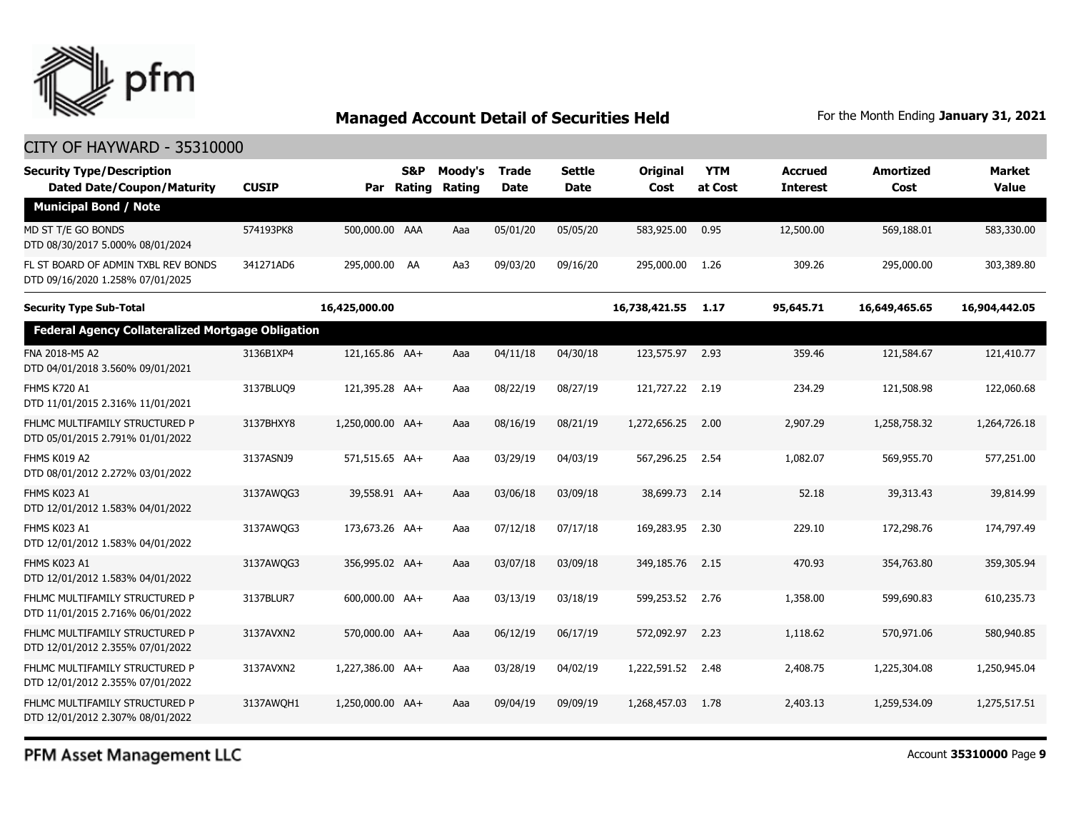

#### CITY OF HAYWARD - 35310000

| <b>Security Type/Description</b><br><b>Dated Date/Coupon/Maturity</b>   | <b>CUSIP</b> | Par              | S&P<br>Rating | Moody's<br><b>Rating</b> | <b>Trade</b><br><b>Date</b> | <b>Settle</b><br>Date | Original<br>Cost | <b>YTM</b><br>at Cost | <b>Accrued</b><br><b>Interest</b> | <b>Amortized</b><br>Cost | <b>Market</b><br><b>Value</b> |
|-------------------------------------------------------------------------|--------------|------------------|---------------|--------------------------|-----------------------------|-----------------------|------------------|-----------------------|-----------------------------------|--------------------------|-------------------------------|
| <b>Municipal Bond / Note</b>                                            |              |                  |               |                          |                             |                       |                  |                       |                                   |                          |                               |
| MD ST T/E GO BONDS<br>DTD 08/30/2017 5.000% 08/01/2024                  | 574193PK8    | 500,000.00 AAA   |               | Aaa                      | 05/01/20                    | 05/05/20              | 583,925.00       | 0.95                  | 12,500.00                         | 569,188.01               | 583,330.00                    |
| FL ST BOARD OF ADMIN TXBL REV BONDS<br>DTD 09/16/2020 1.258% 07/01/2025 | 341271AD6    | 295,000.00 AA    |               | Aa3                      | 09/03/20                    | 09/16/20              | 295,000.00       | 1.26                  | 309.26                            | 295,000.00               | 303,389.80                    |
| <b>Security Type Sub-Total</b>                                          |              | 16,425,000.00    |               |                          |                             |                       | 16,738,421.55    | 1.17                  | 95,645.71                         | 16,649,465.65            | 16,904,442.05                 |
| <b>Federal Agency Collateralized Mortgage Obligation</b>                |              |                  |               |                          |                             |                       |                  |                       |                                   |                          |                               |
| FNA 2018-M5 A2<br>DTD 04/01/2018 3.560% 09/01/2021                      | 3136B1XP4    | 121,165.86 AA+   |               | Aaa                      | 04/11/18                    | 04/30/18              | 123,575.97 2.93  |                       | 359.46                            | 121,584.67               | 121,410.77                    |
| <b>FHMS K720 A1</b><br>DTD 11/01/2015 2.316% 11/01/2021                 | 3137BLUQ9    | 121,395.28 AA+   |               | Aaa                      | 08/22/19                    | 08/27/19              | 121,727.22       | 2.19                  | 234.29                            | 121,508.98               | 122,060.68                    |
| FHLMC MULTIFAMILY STRUCTURED P<br>DTD 05/01/2015 2.791% 01/01/2022      | 3137BHXY8    | 1,250,000.00 AA+ |               | Aaa                      | 08/16/19                    | 08/21/19              | 1,272,656.25     | 2.00                  | 2,907.29                          | 1,258,758.32             | 1,264,726.18                  |
| FHMS K019 A2<br>DTD 08/01/2012 2.272% 03/01/2022                        | 3137ASNJ9    | 571,515.65 AA+   |               | Aaa                      | 03/29/19                    | 04/03/19              | 567,296.25       | 2.54                  | 1.082.07                          | 569,955.70               | 577,251.00                    |
| FHMS K023 A1<br>DTD 12/01/2012 1.583% 04/01/2022                        | 3137AWQG3    | 39,558.91 AA+    |               | Aaa                      | 03/06/18                    | 03/09/18              | 38,699.73        | 2.14                  | 52.18                             | 39,313.43                | 39,814.99                     |
| FHMS K023 A1<br>DTD 12/01/2012 1.583% 04/01/2022                        | 3137AWQG3    | 173,673.26 AA+   |               | Aaa                      | 07/12/18                    | 07/17/18              | 169,283.95       | 2.30                  | 229.10                            | 172,298.76               | 174,797.49                    |
| FHMS K023 A1<br>DTD 12/01/2012 1.583% 04/01/2022                        | 3137AWQG3    | 356,995.02 AA+   |               | Aaa                      | 03/07/18                    | 03/09/18              | 349,185.76       | 2.15                  | 470.93                            | 354,763.80               | 359,305.94                    |
| FHLMC MULTIFAMILY STRUCTURED P<br>DTD 11/01/2015 2.716% 06/01/2022      | 3137BLUR7    | 600,000.00 AA+   |               | Aaa                      | 03/13/19                    | 03/18/19              | 599,253.52       | 2.76                  | 1,358.00                          | 599,690.83               | 610,235.73                    |
| FHLMC MULTIFAMILY STRUCTURED P<br>DTD 12/01/2012 2.355% 07/01/2022      | 3137AVXN2    | 570,000.00 AA+   |               | Aaa                      | 06/12/19                    | 06/17/19              | 572,092.97       | 2.23                  | 1,118.62                          | 570,971.06               | 580,940.85                    |
| FHLMC MULTIFAMILY STRUCTURED P<br>DTD 12/01/2012 2.355% 07/01/2022      | 3137AVXN2    | 1,227,386.00 AA+ |               | Aaa                      | 03/28/19                    | 04/02/19              | 1,222,591.52     | 2.48                  | 2,408.75                          | 1,225,304.08             | 1,250,945.04                  |
| FHLMC MULTIFAMILY STRUCTURED P<br>DTD 12/01/2012 2.307% 08/01/2022      | 3137AWOH1    | 1,250,000.00 AA+ |               | Aaa                      | 09/04/19                    | 09/09/19              | 1,268,457,03     | 1.78                  | 2,403.13                          | 1,259,534.09             | 1,275,517.51                  |

PFM Asset Management LLC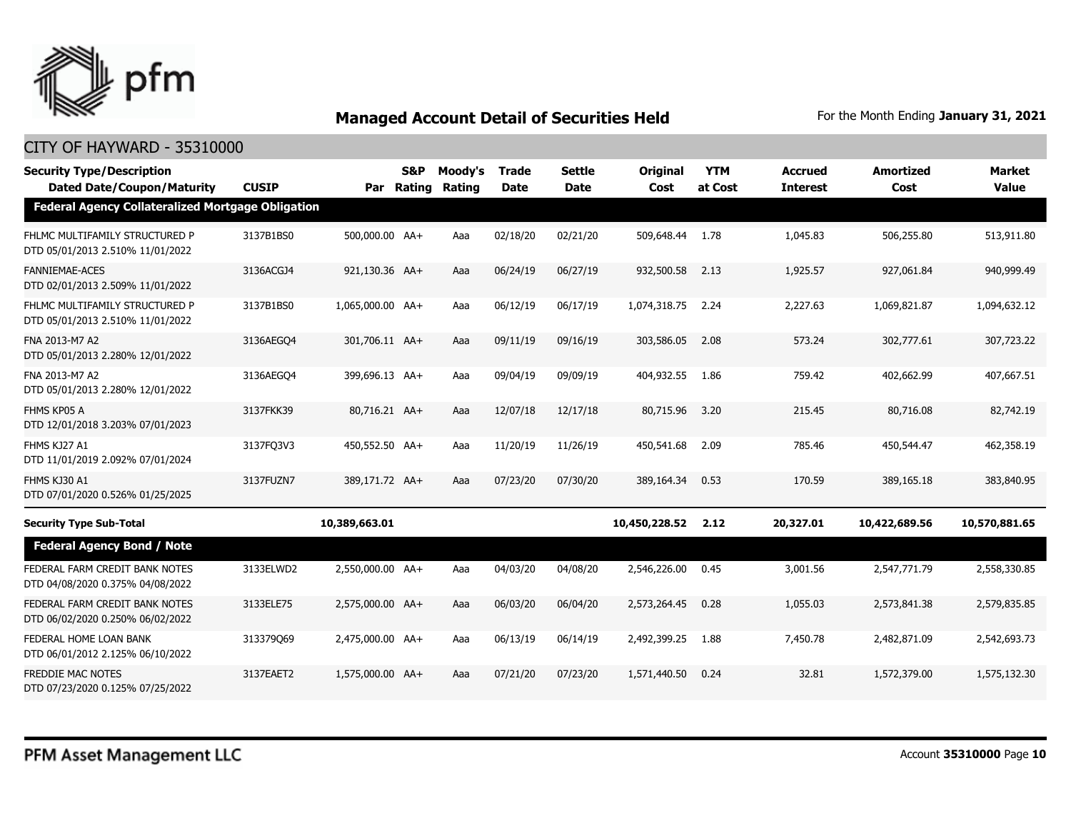

| <b>Security Type/Description</b><br><b>Dated Date/Coupon/Maturity</b> | <b>CUSIP</b> |                  | S&P<br>Par Rating | Moody's<br>Rating | <b>Trade</b><br><b>Date</b> | <b>Settle</b><br><b>Date</b> | Original<br>Cost | <b>YTM</b><br>at Cost | <b>Accrued</b><br><b>Interest</b> | <b>Amortized</b><br>Cost | <b>Market</b><br><b>Value</b> |
|-----------------------------------------------------------------------|--------------|------------------|-------------------|-------------------|-----------------------------|------------------------------|------------------|-----------------------|-----------------------------------|--------------------------|-------------------------------|
| <b>Federal Agency Collateralized Mortgage Obligation</b>              |              |                  |                   |                   |                             |                              |                  |                       |                                   |                          |                               |
| FHLMC MULTIFAMILY STRUCTURED P<br>DTD 05/01/2013 2.510% 11/01/2022    | 3137B1BS0    | 500,000.00 AA+   |                   | Aaa               | 02/18/20                    | 02/21/20                     | 509,648.44       | 1.78                  | 1,045.83                          | 506,255.80               | 513,911.80                    |
| <b>FANNIEMAE-ACES</b><br>DTD 02/01/2013 2.509% 11/01/2022             | 3136ACGJ4    | 921,130.36 AA+   |                   | Aaa               | 06/24/19                    | 06/27/19                     | 932,500.58       | 2.13                  | 1,925.57                          | 927,061.84               | 940,999.49                    |
| FHLMC MULTIFAMILY STRUCTURED P<br>DTD 05/01/2013 2.510% 11/01/2022    | 3137B1BS0    | 1,065,000.00 AA+ |                   | Aaa               | 06/12/19                    | 06/17/19                     | 1,074,318.75     | 2.24                  | 2,227.63                          | 1,069,821.87             | 1,094,632.12                  |
| FNA 2013-M7 A2<br>DTD 05/01/2013 2.280% 12/01/2022                    | 3136AEGO4    | 301,706.11 AA+   |                   | Aaa               | 09/11/19                    | 09/16/19                     | 303,586.05       | 2.08                  | 573.24                            | 302,777.61               | 307,723.22                    |
| FNA 2013-M7 A2<br>DTD 05/01/2013 2.280% 12/01/2022                    | 3136AEGO4    | 399,696.13 AA+   |                   | Aaa               | 09/04/19                    | 09/09/19                     | 404,932.55       | 1.86                  | 759.42                            | 402,662.99               | 407,667.51                    |
| FHMS KP05 A<br>DTD 12/01/2018 3.203% 07/01/2023                       | 3137FKK39    | 80,716.21 AA+    |                   | Aaa               | 12/07/18                    | 12/17/18                     | 80,715.96        | 3.20                  | 215.45                            | 80,716.08                | 82,742.19                     |
| FHMS KJ27 A1<br>DTD 11/01/2019 2.092% 07/01/2024                      | 3137FQ3V3    | 450,552.50 AA+   |                   | Aaa               | 11/20/19                    | 11/26/19                     | 450,541.68       | 2.09                  | 785.46                            | 450,544.47               | 462,358.19                    |
| FHMS KJ30 A1<br>DTD 07/01/2020 0.526% 01/25/2025                      | 3137FUZN7    | 389,171.72 AA+   |                   | Aaa               | 07/23/20                    | 07/30/20                     | 389,164.34       | 0.53                  | 170.59                            | 389,165.18               | 383,840.95                    |
| <b>Security Type Sub-Total</b>                                        |              | 10,389,663.01    |                   |                   |                             |                              | 10,450,228.52    | 2.12                  | 20,327.01                         | 10,422,689.56            | 10,570,881.65                 |
| <b>Federal Agency Bond / Note</b>                                     |              |                  |                   |                   |                             |                              |                  |                       |                                   |                          |                               |
| FEDERAL FARM CREDIT BANK NOTES<br>DTD 04/08/2020 0.375% 04/08/2022    | 3133ELWD2    | 2,550,000.00 AA+ |                   | Aaa               | 04/03/20                    | 04/08/20                     | 2,546,226.00     | 0.45                  | 3,001.56                          | 2,547,771.79             | 2,558,330.85                  |
| FEDERAL FARM CREDIT BANK NOTES<br>DTD 06/02/2020 0.250% 06/02/2022    | 3133ELE75    | 2.575.000.00 AA+ |                   | Aaa               | 06/03/20                    | 06/04/20                     | 2,573,264.45     | 0.28                  | 1,055.03                          | 2,573,841.38             | 2,579,835.85                  |
| FEDERAL HOME LOAN BANK<br>DTD 06/01/2012 2.125% 06/10/2022            | 313379069    | 2,475,000.00 AA+ |                   | Aaa               | 06/13/19                    | 06/14/19                     | 2,492,399.25     | 1.88                  | 7,450.78                          | 2,482,871.09             | 2,542,693.73                  |
| <b>FREDDIE MAC NOTES</b><br>DTD 07/23/2020 0.125% 07/25/2022          | 3137EAET2    | 1,575,000.00 AA+ |                   | Aaa               | 07/21/20                    | 07/23/20                     | 1,571,440.50     | 0.24                  | 32.81                             | 1,572,379.00             | 1,575,132.30                  |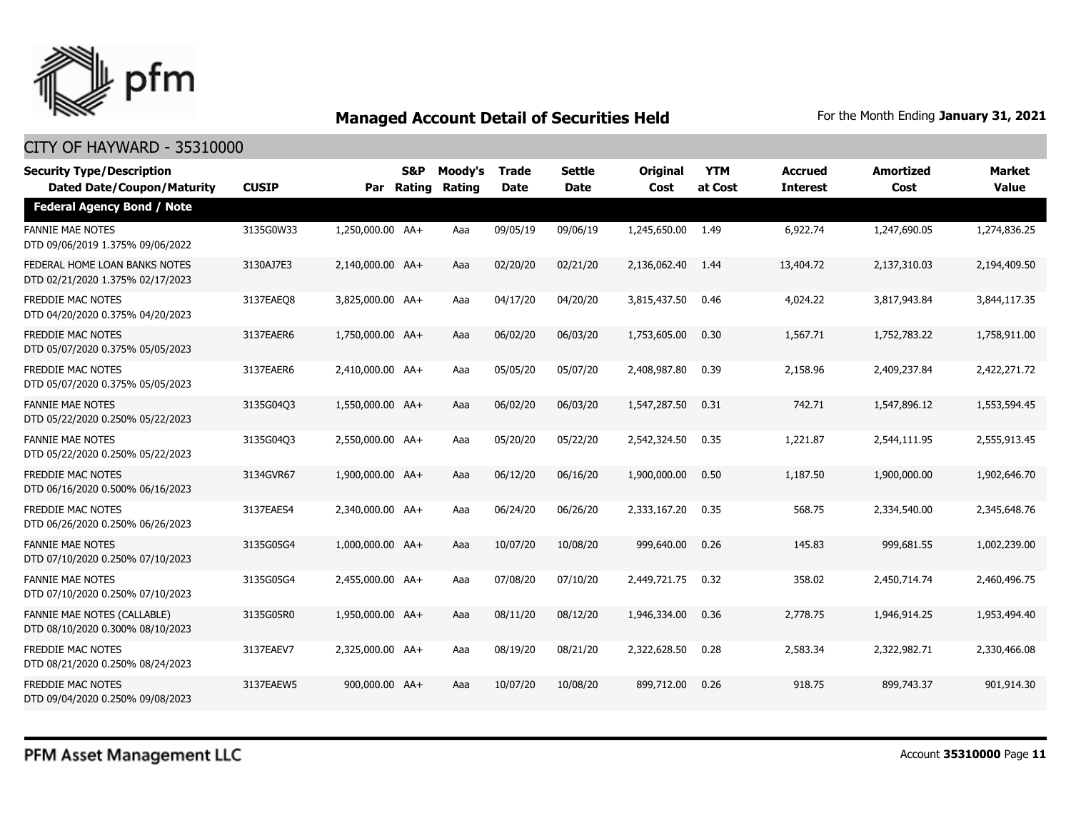

| <b>Security Type/Description</b><br><b>Dated Date/Coupon/Maturity</b> | <b>CUSIP</b> |                  | <b>S&amp;P</b><br>Par Rating | Moody's<br><b>Rating</b> | <b>Trade</b><br><b>Date</b> | <b>Settle</b><br>Date | <b>Original</b><br>Cost | <b>YTM</b><br>at Cost | <b>Accrued</b><br><b>Interest</b> | <b>Amortized</b><br>Cost | <b>Market</b><br><b>Value</b> |
|-----------------------------------------------------------------------|--------------|------------------|------------------------------|--------------------------|-----------------------------|-----------------------|-------------------------|-----------------------|-----------------------------------|--------------------------|-------------------------------|
| <b>Federal Agency Bond / Note</b>                                     |              |                  |                              |                          |                             |                       |                         |                       |                                   |                          |                               |
| <b>FANNIE MAE NOTES</b><br>DTD 09/06/2019 1.375% 09/06/2022           | 3135G0W33    | 1,250,000.00 AA+ |                              | Aaa                      | 09/05/19                    | 09/06/19              | 1,245,650.00            | 1.49                  | 6,922.74                          | 1,247,690.05             | 1,274,836.25                  |
| FEDERAL HOME LOAN BANKS NOTES<br>DTD 02/21/2020 1.375% 02/17/2023     | 3130AJ7E3    | 2,140,000.00 AA+ |                              | Aaa                      | 02/20/20                    | 02/21/20              | 2,136,062.40            | 1.44                  | 13,404.72                         | 2,137,310.03             | 2,194,409.50                  |
| <b>FREDDIE MAC NOTES</b><br>DTD 04/20/2020 0.375% 04/20/2023          | 3137EAEQ8    | 3,825,000.00 AA+ |                              | Aaa                      | 04/17/20                    | 04/20/20              | 3,815,437.50            | 0.46                  | 4,024.22                          | 3,817,943.84             | 3,844,117.35                  |
| <b>FREDDIE MAC NOTES</b><br>DTD 05/07/2020 0.375% 05/05/2023          | 3137EAER6    | 1,750,000.00 AA+ |                              | Aaa                      | 06/02/20                    | 06/03/20              | 1,753,605.00            | 0.30                  | 1,567.71                          | 1,752,783.22             | 1,758,911.00                  |
| <b>FREDDIE MAC NOTES</b><br>DTD 05/07/2020 0.375% 05/05/2023          | 3137EAER6    | 2,410,000.00 AA+ |                              | Aaa                      | 05/05/20                    | 05/07/20              | 2,408,987.80            | 0.39                  | 2,158.96                          | 2,409,237.84             | 2,422,271.72                  |
| <b>FANNIE MAE NOTES</b><br>DTD 05/22/2020 0.250% 05/22/2023           | 3135G04Q3    | 1,550,000.00 AA+ |                              | Aaa                      | 06/02/20                    | 06/03/20              | 1,547,287.50            | 0.31                  | 742.71                            | 1,547,896.12             | 1,553,594.45                  |
| <b>FANNIE MAE NOTES</b><br>DTD 05/22/2020 0.250% 05/22/2023           | 3135G04Q3    | 2,550,000.00 AA+ |                              | Aaa                      | 05/20/20                    | 05/22/20              | 2,542,324.50            | 0.35                  | 1,221.87                          | 2,544,111.95             | 2,555,913.45                  |
| <b>FREDDIE MAC NOTES</b><br>DTD 06/16/2020 0.500% 06/16/2023          | 3134GVR67    | 1,900,000.00 AA+ |                              | Aaa                      | 06/12/20                    | 06/16/20              | 1,900,000.00            | 0.50                  | 1,187.50                          | 1,900,000,00             | 1,902,646.70                  |
| <b>FREDDIE MAC NOTES</b><br>DTD 06/26/2020 0.250% 06/26/2023          | 3137EAES4    | 2.340.000.00 AA+ |                              | Aaa                      | 06/24/20                    | 06/26/20              | 2,333,167.20            | 0.35                  | 568.75                            | 2,334,540.00             | 2,345,648.76                  |
| <b>FANNIE MAE NOTES</b><br>DTD 07/10/2020 0.250% 07/10/2023           | 3135G05G4    | 1,000,000.00 AA+ |                              | Aaa                      | 10/07/20                    | 10/08/20              | 999,640.00              | 0.26                  | 145.83                            | 999,681.55               | 1,002,239.00                  |
| <b>FANNIE MAE NOTES</b><br>DTD 07/10/2020 0.250% 07/10/2023           | 3135G05G4    | 2,455,000.00 AA+ |                              | Aaa                      | 07/08/20                    | 07/10/20              | 2,449,721.75            | 0.32                  | 358.02                            | 2,450,714.74             | 2,460,496.75                  |
| FANNIE MAE NOTES (CALLABLE)<br>DTD 08/10/2020 0.300% 08/10/2023       | 3135G05R0    | 1,950,000.00 AA+ |                              | Aaa                      | 08/11/20                    | 08/12/20              | 1,946,334.00            | 0.36                  | 2,778.75                          | 1,946,914.25             | 1,953,494.40                  |
| <b>FREDDIE MAC NOTES</b><br>DTD 08/21/2020 0.250% 08/24/2023          | 3137EAEV7    | 2.325.000.00 AA+ |                              | Aaa                      | 08/19/20                    | 08/21/20              | 2,322,628.50            | 0.28                  | 2,583.34                          | 2,322,982.71             | 2,330,466.08                  |
| <b>FREDDIE MAC NOTES</b><br>DTD 09/04/2020 0.250% 09/08/2023          | 3137EAEW5    | 900,000.00 AA+   |                              | Aaa                      | 10/07/20                    | 10/08/20              | 899,712.00              | 0.26                  | 918.75                            | 899,743.37               | 901,914.30                    |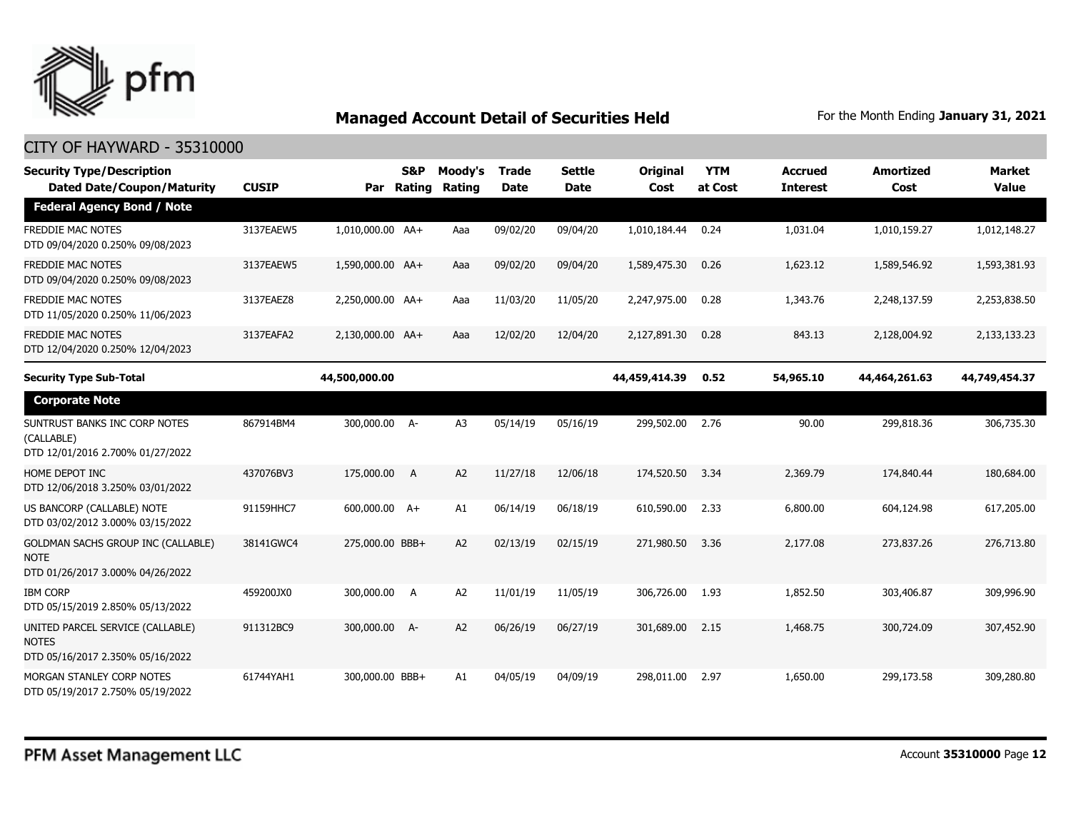

| <b>Security Type/Description</b><br><b>Dated Date/Coupon/Maturity</b>                 | <b>CUSIP</b> | Par              | <b>S&amp;P</b><br>Rating | Moody's<br>Rating | Trade<br><b>Date</b> | <b>Settle</b><br><b>Date</b> | Original<br>Cost | <b>YTM</b><br>at Cost | <b>Accrued</b><br><b>Interest</b> | <b>Amortized</b><br>Cost | <b>Market</b><br><b>Value</b> |
|---------------------------------------------------------------------------------------|--------------|------------------|--------------------------|-------------------|----------------------|------------------------------|------------------|-----------------------|-----------------------------------|--------------------------|-------------------------------|
| <b>Federal Agency Bond / Note</b>                                                     |              |                  |                          |                   |                      |                              |                  |                       |                                   |                          |                               |
| <b>FREDDIE MAC NOTES</b><br>DTD 09/04/2020 0.250% 09/08/2023                          | 3137EAEW5    | 1,010,000.00 AA+ |                          | Aaa               | 09/02/20             | 09/04/20                     | 1,010,184.44     | 0.24                  | 1,031.04                          | 1,010,159.27             | 1,012,148.27                  |
| <b>FREDDIE MAC NOTES</b><br>DTD 09/04/2020 0.250% 09/08/2023                          | 3137EAEW5    | 1,590,000.00 AA+ |                          | Aaa               | 09/02/20             | 09/04/20                     | 1,589,475.30     | 0.26                  | 1,623.12                          | 1,589,546.92             | 1,593,381.93                  |
| <b>FREDDIE MAC NOTES</b><br>DTD 11/05/2020 0.250% 11/06/2023                          | 3137EAEZ8    | 2,250,000.00 AA+ |                          | Aaa               | 11/03/20             | 11/05/20                     | 2,247,975.00     | 0.28                  | 1,343.76                          | 2,248,137.59             | 2,253,838.50                  |
| <b>FREDDIE MAC NOTES</b><br>DTD 12/04/2020 0.250% 12/04/2023                          | 3137EAFA2    | 2,130,000.00 AA+ |                          | Aaa               | 12/02/20             | 12/04/20                     | 2,127,891.30     | 0.28                  | 843.13                            | 2,128,004.92             | 2,133,133.23                  |
| <b>Security Type Sub-Total</b>                                                        |              | 44,500,000.00    |                          |                   |                      |                              | 44,459,414.39    | 0.52                  | 54,965.10                         | 44,464,261.63            | 44,749,454.37                 |
| <b>Corporate Note</b>                                                                 |              |                  |                          |                   |                      |                              |                  |                       |                                   |                          |                               |
| SUNTRUST BANKS INC CORP NOTES<br>(CALLABLE)<br>DTD 12/01/2016 2.700% 01/27/2022       | 867914BM4    | 300,000.00 A-    |                          | A <sub>3</sub>    | 05/14/19             | 05/16/19                     | 299,502.00       | 2.76                  | 90.00                             | 299,818.36               | 306,735.30                    |
| HOME DEPOT INC<br>DTD 12/06/2018 3.250% 03/01/2022                                    | 437076BV3    | 175,000.00       | $\overline{A}$           | A <sub>2</sub>    | 11/27/18             | 12/06/18                     | 174,520.50       | 3.34                  | 2,369.79                          | 174,840.44               | 180,684.00                    |
| US BANCORP (CALLABLE) NOTE<br>DTD 03/02/2012 3.000% 03/15/2022                        | 91159HHC7    | 600,000.00 A+    |                          | A1                | 06/14/19             | 06/18/19                     | 610,590.00       | 2.33                  | 6,800.00                          | 604,124.98               | 617,205.00                    |
| GOLDMAN SACHS GROUP INC (CALLABLE)<br><b>NOTE</b><br>DTD 01/26/2017 3.000% 04/26/2022 | 38141GWC4    | 275,000.00 BBB+  |                          | A2                | 02/13/19             | 02/15/19                     | 271,980.50       | 3.36                  | 2,177,08                          | 273,837,26               | 276,713.80                    |
| <b>IBM CORP</b><br>DTD 05/15/2019 2.850% 05/13/2022                                   | 459200JX0    | 300,000.00       | A                        | A2                | 11/01/19             | 11/05/19                     | 306,726.00       | 1.93                  | 1,852.50                          | 303,406.87               | 309,996.90                    |
| UNITED PARCEL SERVICE (CALLABLE)<br><b>NOTES</b><br>DTD 05/16/2017 2.350% 05/16/2022  | 911312BC9    | 300,000.00 A-    |                          | A2                | 06/26/19             | 06/27/19                     | 301,689.00       | 2.15                  | 1,468.75                          | 300,724.09               | 307,452.90                    |
| MORGAN STANLEY CORP NOTES<br>DTD 05/19/2017 2.750% 05/19/2022                         | 61744YAH1    | 300,000.00 BBB+  |                          | A1                | 04/05/19             | 04/09/19                     | 298,011.00       | 2.97                  | 1,650.00                          | 299,173.58               | 309,280.80                    |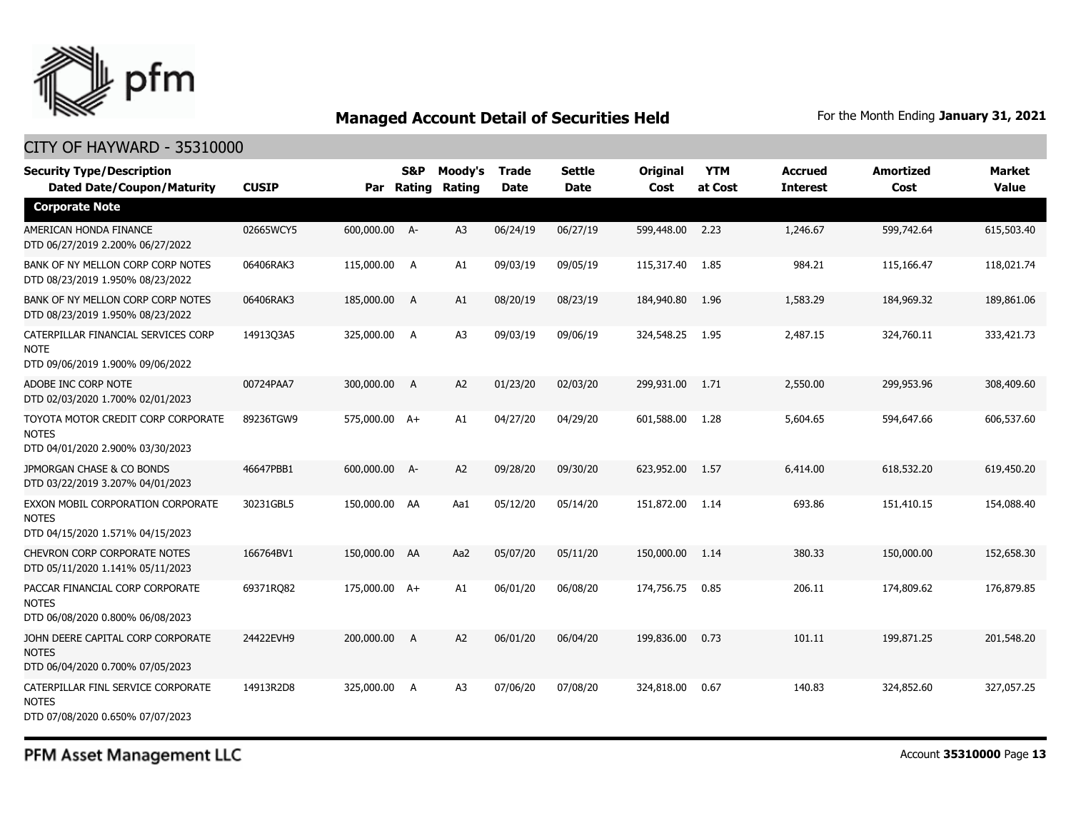

#### CITY OF HAYWARD - 35310000

| <b>Security Type/Description</b><br><b>Dated Date/Coupon/Maturity</b>                  | <b>CUSIP</b> | Par           | <b>S&amp;P</b><br>Rating | Moody's<br>Rating | <b>Trade</b><br><b>Date</b> | <b>Settle</b><br><b>Date</b> | <b>Original</b><br>Cost | <b>YTM</b><br>at Cost | <b>Accrued</b><br><b>Interest</b> | <b>Amortized</b><br>Cost | <b>Market</b><br><b>Value</b> |
|----------------------------------------------------------------------------------------|--------------|---------------|--------------------------|-------------------|-----------------------------|------------------------------|-------------------------|-----------------------|-----------------------------------|--------------------------|-------------------------------|
| <b>Corporate Note</b>                                                                  |              |               |                          |                   |                             |                              |                         |                       |                                   |                          |                               |
| AMERICAN HONDA FINANCE<br>DTD 06/27/2019 2.200% 06/27/2022                             | 02665WCY5    | 600,000.00 A- |                          | A3                | 06/24/19                    | 06/27/19                     | 599,448.00              | 2.23                  | 1,246.67                          | 599,742.64               | 615,503.40                    |
| BANK OF NY MELLON CORP CORP NOTES<br>DTD 08/23/2019 1.950% 08/23/2022                  | 06406RAK3    | 115,000.00 A  |                          | A1                | 09/03/19                    | 09/05/19                     | 115,317.40              | 1.85                  | 984.21                            | 115,166.47               | 118,021.74                    |
| BANK OF NY MELLON CORP CORP NOTES<br>DTD 08/23/2019 1.950% 08/23/2022                  | 06406RAK3    | 185,000.00 A  |                          | A1                | 08/20/19                    | 08/23/19                     | 184,940.80              | 1.96                  | 1,583.29                          | 184,969.32               | 189,861.06                    |
| CATERPILLAR FINANCIAL SERVICES CORP<br><b>NOTE</b><br>DTD 09/06/2019 1.900% 09/06/2022 | 14913Q3A5    | 325,000.00 A  |                          | A <sub>3</sub>    | 09/03/19                    | 09/06/19                     | 324,548.25              | 1.95                  | 2,487.15                          | 324,760.11               | 333,421.73                    |
| ADOBE INC CORP NOTE<br>DTD 02/03/2020 1.700% 02/01/2023                                | 00724PAA7    | 300,000.00 A  |                          | A <sub>2</sub>    | 01/23/20                    | 02/03/20                     | 299,931.00              | 1.71                  | 2,550.00                          | 299,953.96               | 308,409.60                    |
| TOYOTA MOTOR CREDIT CORP CORPORATE<br><b>NOTES</b><br>DTD 04/01/2020 2.900% 03/30/2023 | 89236TGW9    | 575,000.00 A+ |                          | A1                | 04/27/20                    | 04/29/20                     | 601,588.00              | 1.28                  | 5,604.65                          | 594,647.66               | 606,537.60                    |
| JPMORGAN CHASE & CO BONDS<br>DTD 03/22/2019 3.207% 04/01/2023                          | 46647PBB1    | 600,000.00 A- |                          | A <sub>2</sub>    | 09/28/20                    | 09/30/20                     | 623,952.00              | 1.57                  | 6,414.00                          | 618,532.20               | 619,450.20                    |
| EXXON MOBIL CORPORATION CORPORATE<br><b>NOTES</b><br>DTD 04/15/2020 1.571% 04/15/2023  | 30231GBL5    | 150,000.00 AA |                          | Aa1               | 05/12/20                    | 05/14/20                     | 151,872.00              | 1.14                  | 693.86                            | 151,410.15               | 154,088.40                    |
| <b>CHEVRON CORP CORPORATE NOTES</b><br>DTD 05/11/2020 1.141% 05/11/2023                | 166764BV1    | 150,000.00 AA |                          | Aa2               | 05/07/20                    | 05/11/20                     | 150,000.00              | 1.14                  | 380.33                            | 150,000.00               | 152,658.30                    |
| PACCAR FINANCIAL CORP CORPORATE<br><b>NOTES</b><br>DTD 06/08/2020 0.800% 06/08/2023    | 69371RQ82    | 175,000.00 A+ |                          | A1                | 06/01/20                    | 06/08/20                     | 174,756.75              | 0.85                  | 206.11                            | 174,809.62               | 176,879.85                    |
| JOHN DEERE CAPITAL CORP CORPORATE<br><b>NOTES</b><br>DTD 06/04/2020 0.700% 07/05/2023  | 24422EVH9    | 200,000.00 A  |                          | A <sub>2</sub>    | 06/01/20                    | 06/04/20                     | 199,836.00              | 0.73                  | 101.11                            | 199,871.25               | 201,548.20                    |
| CATERPILLAR FINL SERVICE CORPORATE<br><b>NOTES</b><br>DTD 07/08/2020 0.650% 07/07/2023 | 14913R2D8    | 325,000.00 A  |                          | A3                | 07/06/20                    | 07/08/20                     | 324,818.00              | 0.67                  | 140.83                            | 324,852.60               | 327,057.25                    |

PFM Asset Management LLC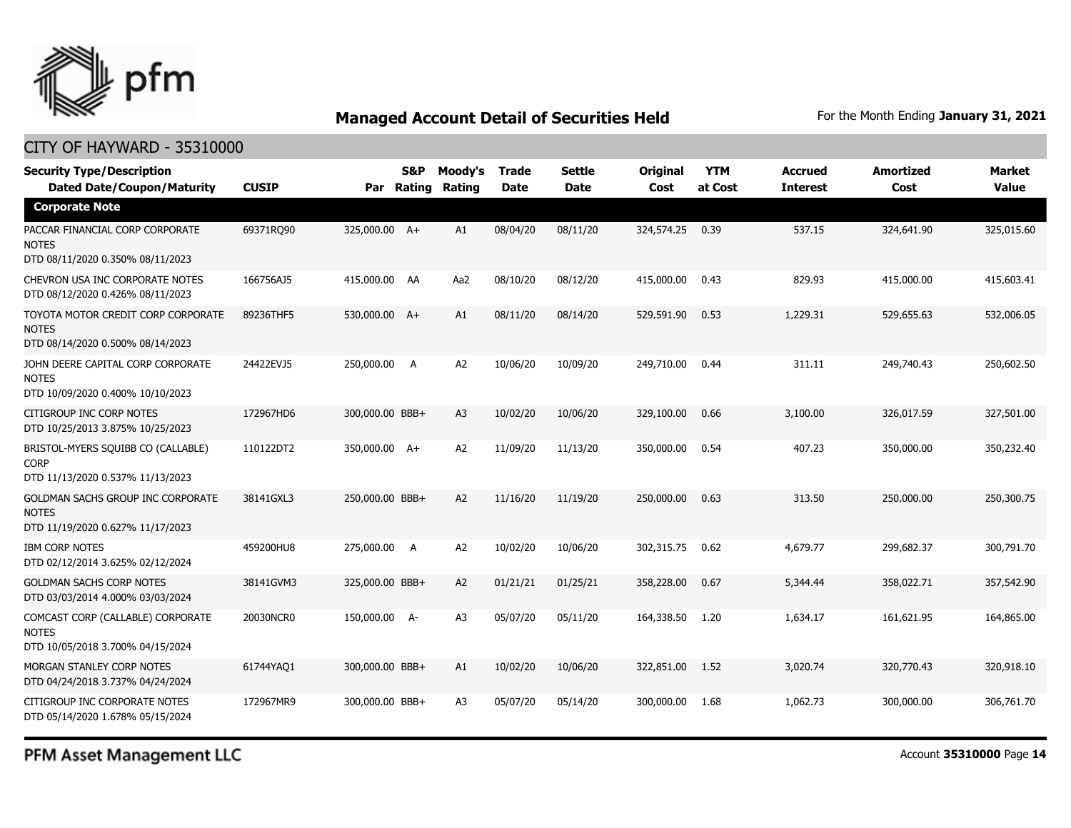

### CITY OF HAYWARD - 35310000

| <b>Security Type/Description</b><br><b>Dated Date/Coupon/Maturity</b>                  | <b>CUSIP</b> | Par             | S&P<br>Rating | Moody's<br>Rating | <b>Trade</b><br><b>Date</b> | <b>Settle</b><br>Date | <b>Original</b><br>Cost | <b>YTM</b><br>at Cost | <b>Accrued</b><br><b>Interest</b> | <b>Amortized</b><br>Cost | <b>Market</b><br><b>Value</b> |
|----------------------------------------------------------------------------------------|--------------|-----------------|---------------|-------------------|-----------------------------|-----------------------|-------------------------|-----------------------|-----------------------------------|--------------------------|-------------------------------|
| <b>Corporate Note</b>                                                                  |              |                 |               |                   |                             |                       |                         |                       |                                   |                          |                               |
| PACCAR FINANCIAL CORP CORPORATE<br><b>NOTES</b><br>DTD 08/11/2020 0.350% 08/11/2023    | 69371RQ90    | 325,000.00 A+   |               | A1                | 08/04/20                    | 08/11/20              | 324,574.25              | 0.39                  | 537.15                            | 324,641.90               | 325,015.60                    |
| CHEVRON USA INC CORPORATE NOTES<br>DTD 08/12/2020 0.426% 08/11/2023                    | 166756AJ5    | 415,000.00 AA   |               | Aa2               | 08/10/20                    | 08/12/20              | 415,000.00              | 0.43                  | 829.93                            | 415,000.00               | 415,603.41                    |
| TOYOTA MOTOR CREDIT CORP CORPORATE<br><b>NOTES</b><br>DTD 08/14/2020 0.500% 08/14/2023 | 89236THF5    | 530,000.00 A+   |               | A1                | 08/11/20                    | 08/14/20              | 529,591.90              | 0.53                  | 1,229.31                          | 529,655.63               | 532,006.05                    |
| JOHN DEERE CAPITAL CORP CORPORATE<br><b>NOTES</b><br>DTD 10/09/2020 0.400% 10/10/2023  | 24422EVJ5    | 250,000.00      | - A           | A <sub>2</sub>    | 10/06/20                    | 10/09/20              | 249,710.00              | 0.44                  | 311.11                            | 249,740.43               | 250,602.50                    |
| CITIGROUP INC CORP NOTES<br>DTD 10/25/2013 3.875% 10/25/2023                           | 172967HD6    | 300,000.00 BBB+ |               | A <sub>3</sub>    | 10/02/20                    | 10/06/20              | 329,100.00              | 0.66                  | 3,100.00                          | 326,017.59               | 327,501.00                    |
| BRISTOL-MYERS SQUIBB CO (CALLABLE)<br><b>CORP</b><br>DTD 11/13/2020 0.537% 11/13/2023  | 110122DT2    | 350,000.00 A+   |               | A2                | 11/09/20                    | 11/13/20              | 350,000.00              | 0.54                  | 407.23                            | 350,000.00               | 350,232.40                    |
| GOLDMAN SACHS GROUP INC CORPORATE<br><b>NOTES</b><br>DTD 11/19/2020 0.627% 11/17/2023  | 38141GXL3    | 250,000.00 BBB+ |               | A <sub>2</sub>    | 11/16/20                    | 11/19/20              | 250,000.00              | 0.63                  | 313.50                            | 250,000.00               | 250,300.75                    |
| <b>IBM CORP NOTES</b><br>DTD 02/12/2014 3.625% 02/12/2024                              | 459200HU8    | 275,000.00      | A             | A <sub>2</sub>    | 10/02/20                    | 10/06/20              | 302,315.75              | 0.62                  | 4,679.77                          | 299,682.37               | 300,791.70                    |
| <b>GOLDMAN SACHS CORP NOTES</b><br>DTD 03/03/2014 4.000% 03/03/2024                    | 38141GVM3    | 325,000.00 BBB+ |               | A2                | 01/21/21                    | 01/25/21              | 358,228.00              | 0.67                  | 5,344.44                          | 358,022.71               | 357,542.90                    |
| COMCAST CORP (CALLABLE) CORPORATE<br><b>NOTES</b><br>DTD 10/05/2018 3.700% 04/15/2024  | 20030NCR0    | 150,000.00 A-   |               | A <sub>3</sub>    | 05/07/20                    | 05/11/20              | 164,338.50              | 1.20                  | 1,634.17                          | 161,621.95               | 164,865.00                    |
| MORGAN STANLEY CORP NOTES<br>DTD 04/24/2018 3.737% 04/24/2024                          | 61744YAQ1    | 300,000.00 BBB+ |               | A1                | 10/02/20                    | 10/06/20              | 322,851.00              | 1.52                  | 3,020.74                          | 320,770.43               | 320,918.10                    |
| CITIGROUP INC CORPORATE NOTES<br>DTD 05/14/2020 1.678% 05/15/2024                      | 172967MR9    | 300,000.00 BBB+ |               | A <sub>3</sub>    | 05/07/20                    | 05/14/20              | 300,000.00              | 1.68                  | 1,062.73                          | 300,000.00               | 306,761.70                    |

PFM Asset Management LLC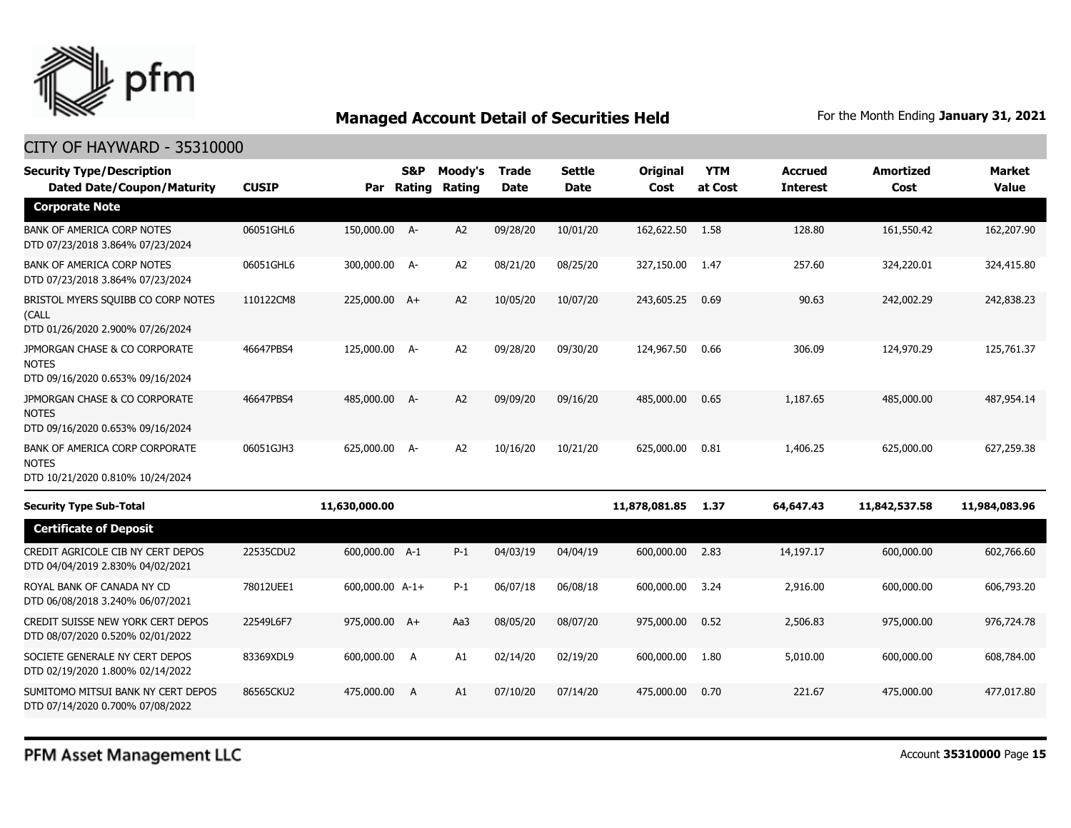

| <b>Security Type/Description</b>                                                   |              |                 | <b>S&amp;P</b> | Moody's        | <b>Trade</b> | <b>Settle</b> | Original      | <b>YTM</b> | <b>Accrued</b>  | <b>Amortized</b> | <b>Market</b> |
|------------------------------------------------------------------------------------|--------------|-----------------|----------------|----------------|--------------|---------------|---------------|------------|-----------------|------------------|---------------|
| <b>Dated Date/Coupon/Maturity</b>                                                  | <b>CUSIP</b> | Par             | Rating         | <b>Rating</b>  | <b>Date</b>  | <b>Date</b>   | Cost          | at Cost    | <b>Interest</b> | Cost             | <b>Value</b>  |
| <b>Corporate Note</b>                                                              |              |                 |                |                |              |               |               |            |                 |                  |               |
| <b>BANK OF AMERICA CORP NOTES</b><br>DTD 07/23/2018 3.864% 07/23/2024              | 06051GHL6    | 150,000.00 A-   |                | A2             | 09/28/20     | 10/01/20      | 162,622.50    | 1.58       | 128.80          | 161,550.42       | 162,207.90    |
| BANK OF AMERICA CORP NOTES<br>DTD 07/23/2018 3.864% 07/23/2024                     | 06051GHL6    | 300,000.00 A-   |                | A2             | 08/21/20     | 08/25/20      | 327,150.00    | 1.47       | 257.60          | 324,220.01       | 324,415.80    |
| BRISTOL MYERS SQUIBB CO CORP NOTES<br>(CALL<br>DTD 01/26/2020 2.900% 07/26/2024    | 110122CM8    | 225,000.00 A+   |                | A2             | 10/05/20     | 10/07/20      | 243,605.25    | 0.69       | 90.63           | 242,002.29       | 242,838.23    |
| JPMORGAN CHASE & CO CORPORATE<br><b>NOTES</b><br>DTD 09/16/2020 0.653% 09/16/2024  | 46647PBS4    | 125,000.00 A-   |                | A2             | 09/28/20     | 09/30/20      | 124,967.50    | 0.66       | 306.09          | 124,970.29       | 125,761.37    |
| JPMORGAN CHASE & CO CORPORATE<br><b>NOTES</b><br>DTD 09/16/2020 0.653% 09/16/2024  | 46647PBS4    | 485,000.00 A-   |                | A2             | 09/09/20     | 09/16/20      | 485,000.00    | 0.65       | 1,187.65        | 485,000.00       | 487,954.14    |
| BANK OF AMERICA CORP CORPORATE<br><b>NOTES</b><br>DTD 10/21/2020 0.810% 10/24/2024 | 06051GJH3    | 625,000.00 A-   |                | A <sub>2</sub> | 10/16/20     | 10/21/20      | 625,000.00    | 0.81       | 1,406.25        | 625,000.00       | 627,259.38    |
| <b>Security Type Sub-Total</b>                                                     |              | 11,630,000.00   |                |                |              |               | 11,878,081.85 | 1.37       | 64,647.43       | 11,842,537.58    | 11,984,083.96 |
| <b>Certificate of Deposit</b>                                                      |              |                 |                |                |              |               |               |            |                 |                  |               |
| CREDIT AGRICOLE CIB NY CERT DEPOS<br>DTD 04/04/2019 2.830% 04/02/2021              | 22535CDU2    | 600,000.00 A-1  |                | $P-1$          | 04/03/19     | 04/04/19      | 600,000.00    | 2.83       | 14,197.17       | 600,000.00       | 602,766.60    |
| ROYAL BANK OF CANADA NY CD<br>DTD 06/08/2018 3.240% 06/07/2021                     | 78012UEE1    | 600,000.00 A-1+ |                | $P-1$          | 06/07/18     | 06/08/18      | 600,000.00    | 3.24       | 2,916.00        | 600,000.00       | 606,793.20    |
| CREDIT SUISSE NEW YORK CERT DEPOS<br>DTD 08/07/2020 0.520% 02/01/2022              | 22549L6F7    | 975,000.00 A+   |                | Aa3            | 08/05/20     | 08/07/20      | 975,000.00    | 0.52       | 2,506.83        | 975,000.00       | 976,724.78    |
| SOCIETE GENERALE NY CERT DEPOS<br>DTD 02/19/2020 1.800% 02/14/2022                 | 83369XDL9    | 600,000.00 A    |                | A1             | 02/14/20     | 02/19/20      | 600,000.00    | 1.80       | 5,010.00        | 600,000.00       | 608,784.00    |
| SUMITOMO MITSUI BANK NY CERT DEPOS<br>DTD 07/14/2020 0.700% 07/08/2022             | 86565CKU2    | 475,000,00      | $\overline{A}$ | A1             | 07/10/20     | 07/14/20      | 475,000.00    | 0.70       | 221.67          | 475,000,00       | 477,017.80    |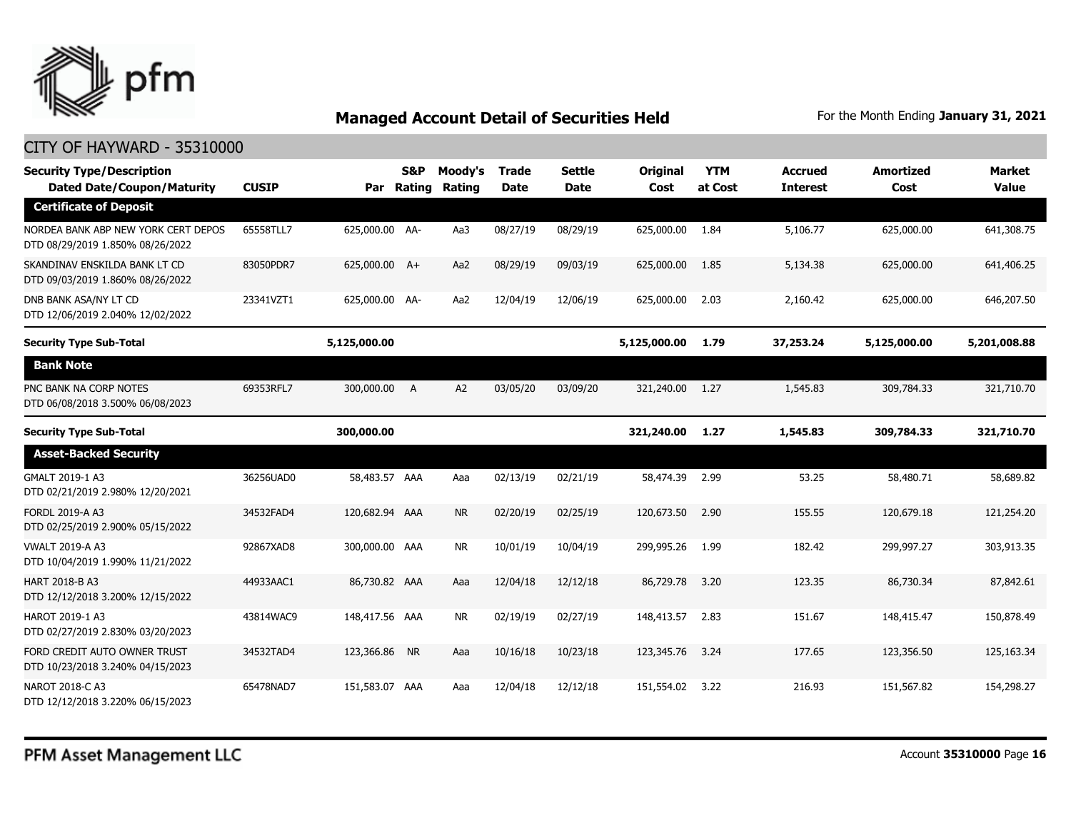

| <b>Security Type/Description</b><br><b>Dated Date/Coupon/Maturity</b>   | <b>CUSIP</b> | Par            | S&P<br>Rating | Moody's<br>Rating | <b>Trade</b><br><b>Date</b> | <b>Settle</b><br><b>Date</b> | Original<br>Cost | <b>YTM</b><br>at Cost | <b>Accrued</b><br><b>Interest</b> | <b>Amortized</b><br>Cost | <b>Market</b><br><b>Value</b> |
|-------------------------------------------------------------------------|--------------|----------------|---------------|-------------------|-----------------------------|------------------------------|------------------|-----------------------|-----------------------------------|--------------------------|-------------------------------|
| <b>Certificate of Deposit</b>                                           |              |                |               |                   |                             |                              |                  |                       |                                   |                          |                               |
| NORDEA BANK ABP NEW YORK CERT DEPOS<br>DTD 08/29/2019 1.850% 08/26/2022 | 65558TLL7    | 625,000.00 AA- |               | Aa3               | 08/27/19                    | 08/29/19                     | 625,000.00       | 1.84                  | 5,106.77                          | 625,000.00               | 641,308.75                    |
| SKANDINAV ENSKILDA BANK LT CD<br>DTD 09/03/2019 1.860% 08/26/2022       | 83050PDR7    | 625,000.00 A+  |               | Aa2               | 08/29/19                    | 09/03/19                     | 625,000.00       | 1.85                  | 5,134.38                          | 625,000.00               | 641,406.25                    |
| DNB BANK ASA/NY LT CD<br>DTD 12/06/2019 2.040% 12/02/2022               | 23341VZT1    | 625,000.00 AA- |               | Aa2               | 12/04/19                    | 12/06/19                     | 625,000.00       | 2.03                  | 2,160.42                          | 625,000.00               | 646,207.50                    |
| <b>Security Type Sub-Total</b>                                          |              | 5,125,000.00   |               |                   |                             |                              | 5,125,000.00     | 1.79                  | 37,253.24                         | 5,125,000.00             | 5,201,008.88                  |
| <b>Bank Note</b>                                                        |              |                |               |                   |                             |                              |                  |                       |                                   |                          |                               |
| PNC BANK NA CORP NOTES<br>DTD 06/08/2018 3.500% 06/08/2023              | 69353RFL7    | 300,000.00 A   |               | A <sub>2</sub>    | 03/05/20                    | 03/09/20                     | 321,240.00 1.27  |                       | 1,545.83                          | 309,784.33               | 321,710.70                    |
| <b>Security Type Sub-Total</b>                                          |              | 300,000.00     |               |                   |                             |                              | 321,240.00       | 1.27                  | 1,545.83                          | 309,784.33               | 321,710.70                    |
| <b>Asset-Backed Security</b>                                            |              |                |               |                   |                             |                              |                  |                       |                                   |                          |                               |
| GMALT 2019-1 A3<br>DTD 02/21/2019 2.980% 12/20/2021                     | 36256UAD0    | 58,483.57 AAA  |               | Aaa               | 02/13/19                    | 02/21/19                     | 58,474.39        | 2.99                  | 53.25                             | 58,480.71                | 58,689.82                     |
| FORDL 2019-A A3<br>DTD 02/25/2019 2.900% 05/15/2022                     | 34532FAD4    | 120,682.94 AAA |               | <b>NR</b>         | 02/20/19                    | 02/25/19                     | 120,673.50       | 2.90                  | 155.55                            | 120,679.18               | 121,254.20                    |
| <b>VWALT 2019-A A3</b><br>DTD 10/04/2019 1.990% 11/21/2022              | 92867XAD8    | 300,000.00 AAA |               | <b>NR</b>         | 10/01/19                    | 10/04/19                     | 299,995.26       | 1.99                  | 182.42                            | 299,997.27               | 303,913.35                    |
| HART 2018-B A3<br>DTD 12/12/2018 3.200% 12/15/2022                      | 44933AAC1    | 86,730.82 AAA  |               | Aaa               | 12/04/18                    | 12/12/18                     | 86,729.78        | 3.20                  | 123.35                            | 86,730.34                | 87,842.61                     |
| HAROT 2019-1 A3<br>DTD 02/27/2019 2.830% 03/20/2023                     | 43814WAC9    | 148,417.56 AAA |               | <b>NR</b>         | 02/19/19                    | 02/27/19                     | 148,413.57       | 2.83                  | 151.67                            | 148,415.47               | 150,878.49                    |
| FORD CREDIT AUTO OWNER TRUST<br>DTD 10/23/2018 3.240% 04/15/2023        | 34532TAD4    | 123,366.86 NR  |               | Aaa               | 10/16/18                    | 10/23/18                     | 123,345.76       | 3.24                  | 177.65                            | 123,356.50               | 125,163.34                    |
| NAROT 2018-C A3<br>DTD 12/12/2018 3.220% 06/15/2023                     | 65478NAD7    | 151,583.07 AAA |               | Aaa               | 12/04/18                    | 12/12/18                     | 151,554.02       | 3.22                  | 216.93                            | 151,567.82               | 154,298.27                    |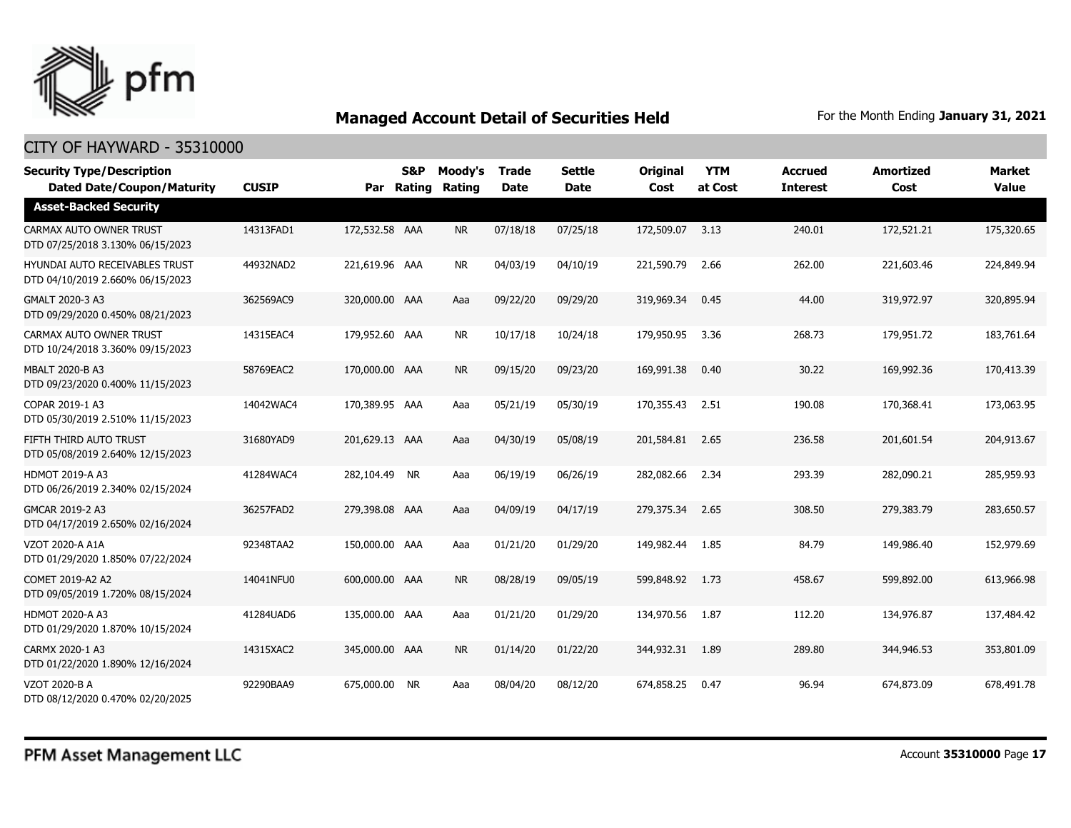

| <b>Security Type/Description</b><br><b>Dated Date/Coupon/Maturity</b>     | <b>CUSIP</b> | Par            | <b>S&amp;P</b><br>Rating | Moody's<br>Rating | <b>Trade</b><br><b>Date</b> | <b>Settle</b><br><b>Date</b> | <b>Original</b><br>Cost | <b>YTM</b><br>at Cost | <b>Accrued</b><br><b>Interest</b> | <b>Amortized</b><br>Cost | <b>Market</b><br><b>Value</b> |
|---------------------------------------------------------------------------|--------------|----------------|--------------------------|-------------------|-----------------------------|------------------------------|-------------------------|-----------------------|-----------------------------------|--------------------------|-------------------------------|
| <b>Asset-Backed Security</b>                                              |              |                |                          |                   |                             |                              |                         |                       |                                   |                          |                               |
| CARMAX AUTO OWNER TRUST<br>DTD 07/25/2018 3.130% 06/15/2023               | 14313FAD1    | 172,532.58 AAA |                          | <b>NR</b>         | 07/18/18                    | 07/25/18                     | 172,509.07              | 3.13                  | 240.01                            | 172,521.21               | 175,320.65                    |
| <b>HYUNDAI AUTO RECEIVABLES TRUST</b><br>DTD 04/10/2019 2.660% 06/15/2023 | 44932NAD2    | 221,619.96 AAA |                          | <b>NR</b>         | 04/03/19                    | 04/10/19                     | 221,590.79              | 2.66                  | 262.00                            | 221,603.46               | 224,849.94                    |
| GMALT 2020-3 A3<br>DTD 09/29/2020 0.450% 08/21/2023                       | 362569AC9    | 320,000.00 AAA |                          | Aaa               | 09/22/20                    | 09/29/20                     | 319,969.34              | 0.45                  | 44.00                             | 319,972.97               | 320,895.94                    |
| CARMAX AUTO OWNER TRUST<br>DTD 10/24/2018 3.360% 09/15/2023               | 14315EAC4    | 179,952.60 AAA |                          | <b>NR</b>         | 10/17/18                    | 10/24/18                     | 179,950.95              | 3.36                  | 268.73                            | 179,951.72               | 183,761.64                    |
| MBALT 2020-B A3<br>DTD 09/23/2020 0.400% 11/15/2023                       | 58769EAC2    | 170,000.00 AAA |                          | <b>NR</b>         | 09/15/20                    | 09/23/20                     | 169,991.38              | 0.40                  | 30.22                             | 169,992.36               | 170,413.39                    |
| COPAR 2019-1 A3<br>DTD 05/30/2019 2.510% 11/15/2023                       | 14042WAC4    | 170,389.95 AAA |                          | Aaa               | 05/21/19                    | 05/30/19                     | 170,355,43              | 2.51                  | 190.08                            | 170,368.41               | 173,063,95                    |
| FIFTH THIRD AUTO TRUST<br>DTD 05/08/2019 2.640% 12/15/2023                | 31680YAD9    | 201,629.13 AAA |                          | Aaa               | 04/30/19                    | 05/08/19                     | 201,584.81              | 2.65                  | 236.58                            | 201,601.54               | 204,913.67                    |
| <b>HDMOT 2019-A A3</b><br>DTD 06/26/2019 2.340% 02/15/2024                | 41284WAC4    | 282,104.49 NR  |                          | Aaa               | 06/19/19                    | 06/26/19                     | 282,082.66              | 2.34                  | 293.39                            | 282,090.21               | 285,959.93                    |
| GMCAR 2019-2 A3<br>DTD 04/17/2019 2.650% 02/16/2024                       | 36257FAD2    | 279,398.08 AAA |                          | Aaa               | 04/09/19                    | 04/17/19                     | 279,375.34              | 2.65                  | 308.50                            | 279,383.79               | 283,650.57                    |
| VZOT 2020-A A1A<br>DTD 01/29/2020 1.850% 07/22/2024                       | 92348TAA2    | 150,000.00 AAA |                          | Aaa               | 01/21/20                    | 01/29/20                     | 149,982.44              | 1.85                  | 84.79                             | 149,986,40               | 152,979.69                    |
| COMET 2019-A2 A2<br>DTD 09/05/2019 1.720% 08/15/2024                      | 14041NFU0    | 600,000.00 AAA |                          | <b>NR</b>         | 08/28/19                    | 09/05/19                     | 599,848.92              | 1.73                  | 458.67                            | 599,892.00               | 613,966.98                    |
| <b>HDMOT 2020-A A3</b><br>DTD 01/29/2020 1.870% 10/15/2024                | 41284UAD6    | 135,000.00 AAA |                          | Aaa               | 01/21/20                    | 01/29/20                     | 134,970.56              | 1.87                  | 112.20                            | 134,976.87               | 137,484.42                    |
| CARMX 2020-1 A3<br>DTD 01/22/2020 1.890% 12/16/2024                       | 14315XAC2    | 345,000.00 AAA |                          | <b>NR</b>         | 01/14/20                    | 01/22/20                     | 344,932.31              | 1.89                  | 289.80                            | 344,946.53               | 353,801.09                    |
| VZOT 2020-B A<br>DTD 08/12/2020 0.470% 02/20/2025                         | 92290BAA9    | 675,000.00 NR  |                          | Aaa               | 08/04/20                    | 08/12/20                     | 674,858,25              | 0.47                  | 96.94                             | 674,873.09               | 678,491.78                    |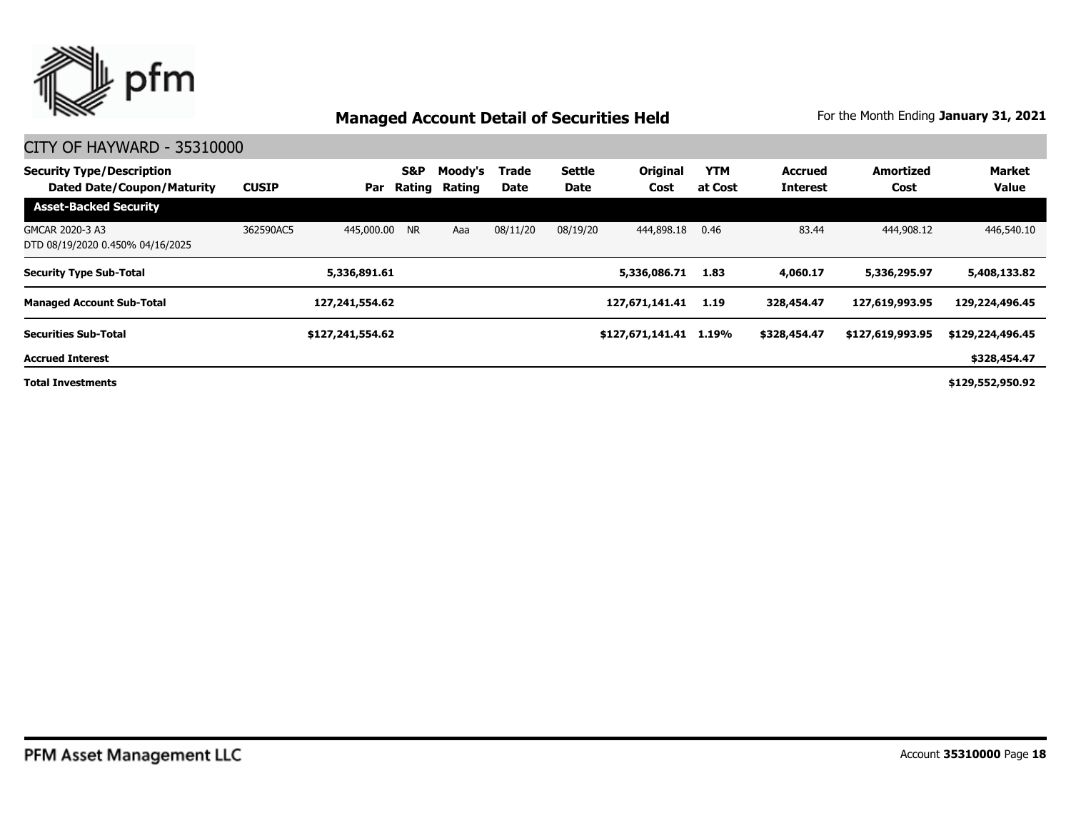

| <b>Security Type/Description</b><br><b>Dated Date/Coupon/Maturity</b> | <b>CUSIP</b> | Par              | S&P<br>Rating | Moody's<br>Rating | Trade<br>Date | <b>Settle</b><br>Date | <b>Original</b><br>Cost | <b>YTM</b><br>at Cost | <b>Accrued</b><br><b>Interest</b> | Amortized<br>Cost | Market<br><b>Value</b> |
|-----------------------------------------------------------------------|--------------|------------------|---------------|-------------------|---------------|-----------------------|-------------------------|-----------------------|-----------------------------------|-------------------|------------------------|
| <b>Asset-Backed Security</b>                                          |              |                  |               |                   |               |                       |                         |                       |                                   |                   |                        |
| GMCAR 2020-3 A3<br>DTD 08/19/2020 0.450% 04/16/2025                   | 362590AC5    | 445,000.00 NR    |               | Aaa               | 08/11/20      | 08/19/20              | 444,898.18              | 0.46                  | 83.44                             | 444,908.12        | 446,540.10             |
| <b>Security Type Sub-Total</b>                                        |              | 5,336,891.61     |               |                   |               |                       | 5,336,086.71            | 1.83                  | 4,060.17                          | 5,336,295.97      | 5,408,133.82           |
| <b>Managed Account Sub-Total</b>                                      |              | 127,241,554.62   |               |                   |               |                       | 127,671,141.41          | 1.19                  | 328,454.47                        | 127,619,993.95    | 129,224,496.45         |
| <b>Securities Sub-Total</b>                                           |              | \$127,241,554.62 |               |                   |               |                       | \$127,671,141.41        | 1.19%                 | \$328,454.47                      | \$127,619,993.95  | \$129,224,496.45       |
| <b>Accrued Interest</b>                                               |              |                  |               |                   |               |                       |                         |                       |                                   |                   | \$328,454.47           |
| <b>Total Investments</b>                                              |              |                  |               |                   |               |                       |                         |                       |                                   |                   | \$129,552,950.92       |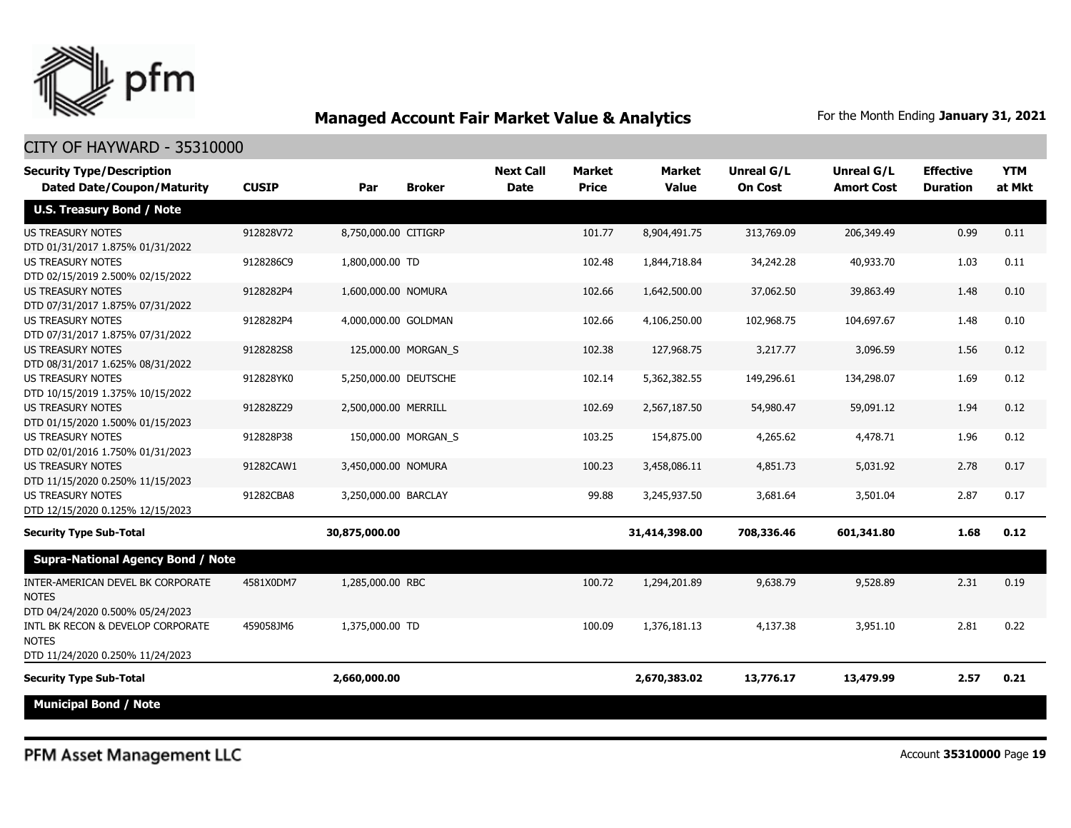

#### CITY OF HAYWARD - 35310000

| <b>Security Type/Description</b><br><b>Dated Date/Coupon/Maturity</b>                 | <b>CUSIP</b> | Par                   | <b>Broker</b>       | <b>Next Call</b><br><b>Date</b> | Market<br><b>Price</b> | <b>Market</b><br><b>Value</b> | Unreal G/L<br><b>On Cost</b> | <b>Unreal G/L</b><br><b>Amort Cost</b> | <b>Effective</b><br><b>Duration</b> | <b>YTM</b><br>at Mkt |
|---------------------------------------------------------------------------------------|--------------|-----------------------|---------------------|---------------------------------|------------------------|-------------------------------|------------------------------|----------------------------------------|-------------------------------------|----------------------|
| <b>U.S. Treasury Bond / Note</b>                                                      |              |                       |                     |                                 |                        |                               |                              |                                        |                                     |                      |
| <b>US TREASURY NOTES</b><br>DTD 01/31/2017 1.875% 01/31/2022                          | 912828V72    | 8,750,000.00 CITIGRP  |                     |                                 | 101.77                 | 8,904,491.75                  | 313,769.09                   | 206,349.49                             | 0.99                                | 0.11                 |
| <b>US TREASURY NOTES</b><br>DTD 02/15/2019 2.500% 02/15/2022                          | 9128286C9    | 1,800,000.00 TD       |                     |                                 | 102.48                 | 1,844,718.84                  | 34,242.28                    | 40,933.70                              | 1.03                                | 0.11                 |
| <b>US TREASURY NOTES</b><br>DTD 07/31/2017 1.875% 07/31/2022                          | 9128282P4    | 1,600,000.00 NOMURA   |                     |                                 | 102.66                 | 1,642,500.00                  | 37,062.50                    | 39,863.49                              | 1.48                                | 0.10                 |
| <b>US TREASURY NOTES</b><br>DTD 07/31/2017 1.875% 07/31/2022                          | 9128282P4    | 4,000,000.00 GOLDMAN  |                     |                                 | 102.66                 | 4,106,250.00                  | 102,968.75                   | 104,697.67                             | 1.48                                | 0.10                 |
| <b>US TREASURY NOTES</b><br>DTD 08/31/2017 1.625% 08/31/2022                          | 9128282S8    |                       | 125,000.00 MORGAN_S |                                 | 102.38                 | 127,968.75                    | 3,217.77                     | 3,096.59                               | 1.56                                | 0.12                 |
| <b>US TREASURY NOTES</b><br>DTD 10/15/2019 1.375% 10/15/2022                          | 912828YK0    | 5,250,000.00 DEUTSCHE |                     |                                 | 102.14                 | 5,362,382.55                  | 149,296.61                   | 134,298.07                             | 1.69                                | 0.12                 |
| <b>US TREASURY NOTES</b><br>DTD 01/15/2020 1.500% 01/15/2023                          | 912828Z29    | 2,500,000.00 MERRILL  |                     |                                 | 102.69                 | 2,567,187.50                  | 54,980.47                    | 59,091.12                              | 1.94                                | 0.12                 |
| <b>US TREASURY NOTES</b><br>DTD 02/01/2016 1.750% 01/31/2023                          | 912828P38    |                       | 150,000.00 MORGAN_S |                                 | 103.25                 | 154,875.00                    | 4,265.62                     | 4,478.71                               | 1.96                                | 0.12                 |
| <b>US TREASURY NOTES</b><br>DTD 11/15/2020 0.250% 11/15/2023                          | 91282CAW1    | 3,450,000.00 NOMURA   |                     |                                 | 100.23                 | 3,458,086.11                  | 4,851.73                     | 5,031.92                               | 2.78                                | 0.17                 |
| <b>US TREASURY NOTES</b><br>DTD 12/15/2020 0.125% 12/15/2023                          | 91282CBA8    | 3,250,000.00 BARCLAY  |                     |                                 | 99.88                  | 3,245,937.50                  | 3,681.64                     | 3,501.04                               | 2.87                                | 0.17                 |
| <b>Security Type Sub-Total</b>                                                        |              | 30,875,000.00         |                     |                                 |                        | 31,414,398.00                 | 708,336.46                   | 601,341.80                             | 1.68                                | 0.12                 |
| <b>Supra-National Agency Bond / Note</b>                                              |              |                       |                     |                                 |                        |                               |                              |                                        |                                     |                      |
| INTER-AMERICAN DEVEL BK CORPORATE<br><b>NOTES</b><br>DTD 04/24/2020 0.500% 05/24/2023 | 4581X0DM7    | 1,285,000.00 RBC      |                     |                                 | 100.72                 | 1,294,201.89                  | 9,638.79                     | 9,528.89                               | 2.31                                | 0.19                 |
| INTL BK RECON & DEVELOP CORPORATE<br><b>NOTES</b><br>DTD 11/24/2020 0.250% 11/24/2023 | 459058JM6    | 1,375,000.00 TD       |                     |                                 | 100.09                 | 1,376,181.13                  | 4,137.38                     | 3,951.10                               | 2.81                                | 0.22                 |
| <b>Security Type Sub-Total</b>                                                        |              | 2,660,000.00          |                     |                                 |                        | 2,670,383.02                  | 13,776.17                    | 13,479.99                              | 2.57                                | 0.21                 |
| <b>Municipal Bond / Note</b>                                                          |              |                       |                     |                                 |                        |                               |                              |                                        |                                     |                      |

PFM Asset Management LLC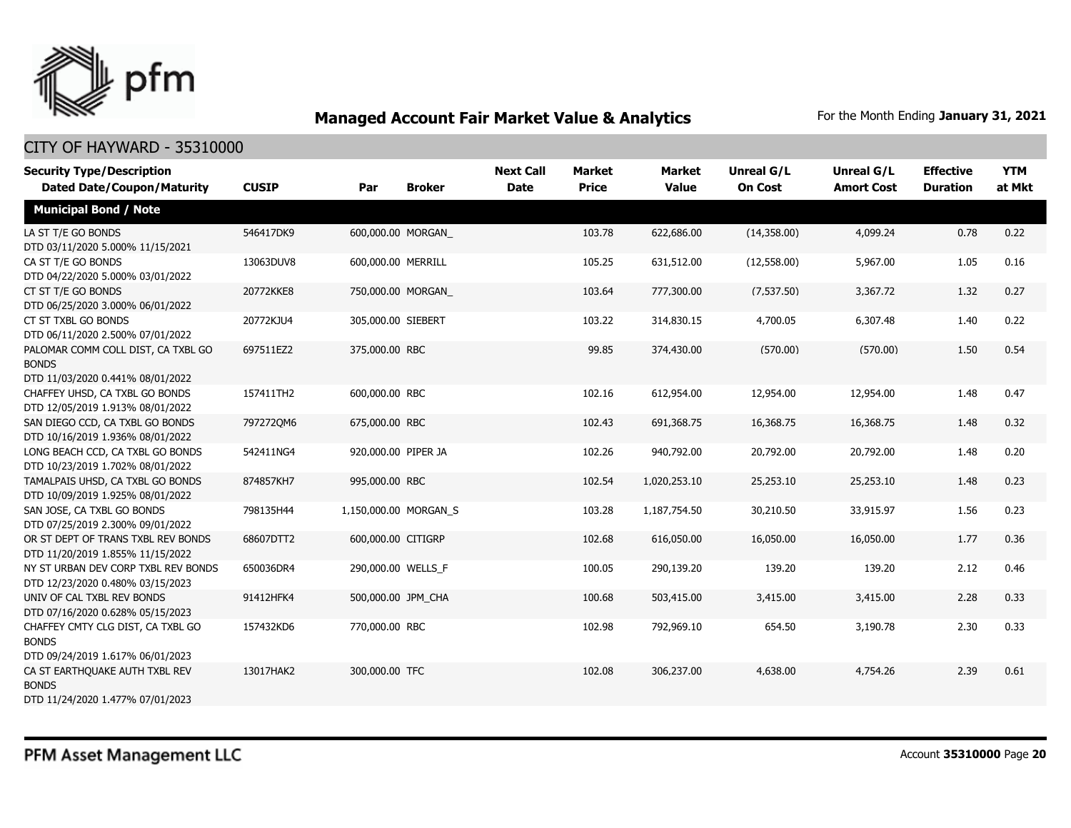

| <b>Security Type/Description</b><br><b>Dated Date/Coupon/Maturity</b>                  | <b>CUSIP</b> | Par                   | <b>Broker</b> | <b>Next Call</b><br><b>Date</b> | <b>Market</b><br><b>Price</b> | <b>Market</b><br><b>Value</b> | <b>Unreal G/L</b><br><b>On Cost</b> | <b>Unreal G/L</b><br><b>Amort Cost</b> | <b>Effective</b><br><b>Duration</b> | <b>YTM</b><br>at Mkt |
|----------------------------------------------------------------------------------------|--------------|-----------------------|---------------|---------------------------------|-------------------------------|-------------------------------|-------------------------------------|----------------------------------------|-------------------------------------|----------------------|
|                                                                                        |              |                       |               |                                 |                               |                               |                                     |                                        |                                     |                      |
| <b>Municipal Bond / Note</b>                                                           |              |                       |               |                                 |                               |                               |                                     |                                        |                                     |                      |
| LA ST T/E GO BONDS<br>DTD 03/11/2020 5.000% 11/15/2021                                 | 546417DK9    | 600,000.00 MORGAN     |               |                                 | 103.78                        | 622,686.00                    | (14,358.00)                         | 4,099.24                               | 0.78                                | 0.22                 |
| CA ST T/E GO BONDS<br>DTD 04/22/2020 5.000% 03/01/2022                                 | 13063DUV8    | 600,000.00 MERRILL    |               |                                 | 105.25                        | 631,512.00                    | (12,558.00)                         | 5,967.00                               | 1.05                                | 0.16                 |
| CT ST T/E GO BONDS<br>DTD 06/25/2020 3.000% 06/01/2022                                 | 20772KKE8    | 750,000.00 MORGAN     |               |                                 | 103.64                        | 777,300.00                    | (7,537.50)                          | 3,367.72                               | 1.32                                | 0.27                 |
| CT ST TXBL GO BONDS<br>DTD 06/11/2020 2.500% 07/01/2022                                | 20772KJU4    | 305,000.00 SIEBERT    |               |                                 | 103.22                        | 314,830.15                    | 4,700.05                            | 6,307.48                               | 1.40                                | 0.22                 |
| PALOMAR COMM COLL DIST, CA TXBL GO<br><b>BONDS</b><br>DTD 11/03/2020 0.441% 08/01/2022 | 697511EZ2    | 375,000.00 RBC        |               |                                 | 99.85                         | 374,430.00                    | (570.00)                            | (570.00)                               | 1.50                                | 0.54                 |
| CHAFFEY UHSD, CA TXBL GO BONDS<br>DTD 12/05/2019 1.913% 08/01/2022                     | 157411TH2    | 600,000.00 RBC        |               |                                 | 102.16                        | 612,954.00                    | 12,954.00                           | 12,954.00                              | 1.48                                | 0.47                 |
| SAN DIEGO CCD, CA TXBL GO BONDS<br>DTD 10/16/2019 1.936% 08/01/2022                    | 7972720M6    | 675,000.00 RBC        |               |                                 | 102.43                        | 691,368.75                    | 16,368.75                           | 16,368.75                              | 1.48                                | 0.32                 |
| LONG BEACH CCD, CA TXBL GO BONDS<br>DTD 10/23/2019 1.702% 08/01/2022                   | 542411NG4    | 920,000.00 PIPER JA   |               |                                 | 102.26                        | 940,792.00                    | 20,792.00                           | 20,792.00                              | 1.48                                | 0.20                 |
| TAMALPAIS UHSD, CA TXBL GO BONDS<br>DTD 10/09/2019 1.925% 08/01/2022                   | 874857KH7    | 995,000.00 RBC        |               |                                 | 102.54                        | 1,020,253.10                  | 25,253.10                           | 25,253.10                              | 1.48                                | 0.23                 |
| SAN JOSE, CA TXBL GO BONDS<br>DTD 07/25/2019 2.300% 09/01/2022                         | 798135H44    | 1,150,000.00 MORGAN_S |               |                                 | 103.28                        | 1,187,754.50                  | 30,210.50                           | 33,915.97                              | 1.56                                | 0.23                 |
| OR ST DEPT OF TRANS TXBL REV BONDS<br>DTD 11/20/2019 1.855% 11/15/2022                 | 68607DTT2    | 600,000.00 CITIGRP    |               |                                 | 102.68                        | 616,050.00                    | 16,050.00                           | 16,050.00                              | 1.77                                | 0.36                 |
| NY ST URBAN DEV CORP TXBL REV BONDS<br>DTD 12/23/2020 0.480% 03/15/2023                | 650036DR4    | 290,000.00 WELLS_F    |               |                                 | 100.05                        | 290,139.20                    | 139.20                              | 139.20                                 | 2.12                                | 0.46                 |
| UNIV OF CAL TXBL REV BONDS<br>DTD 07/16/2020 0.628% 05/15/2023                         | 91412HFK4    | 500,000.00 JPM CHA    |               |                                 | 100.68                        | 503,415.00                    | 3,415.00                            | 3,415.00                               | 2.28                                | 0.33                 |
| CHAFFEY CMTY CLG DIST, CA TXBL GO<br><b>BONDS</b><br>DTD 09/24/2019 1.617% 06/01/2023  | 157432KD6    | 770,000.00 RBC        |               |                                 | 102.98                        | 792,969.10                    | 654.50                              | 3,190.78                               | 2.30                                | 0.33                 |
| CA ST EARTHQUAKE AUTH TXBL REV<br><b>BONDS</b><br>DTD 11/24/2020 1.477% 07/01/2023     | 13017HAK2    | 300,000.00 TFC        |               |                                 | 102.08                        | 306,237.00                    | 4,638.00                            | 4,754.26                               | 2.39                                | 0.61                 |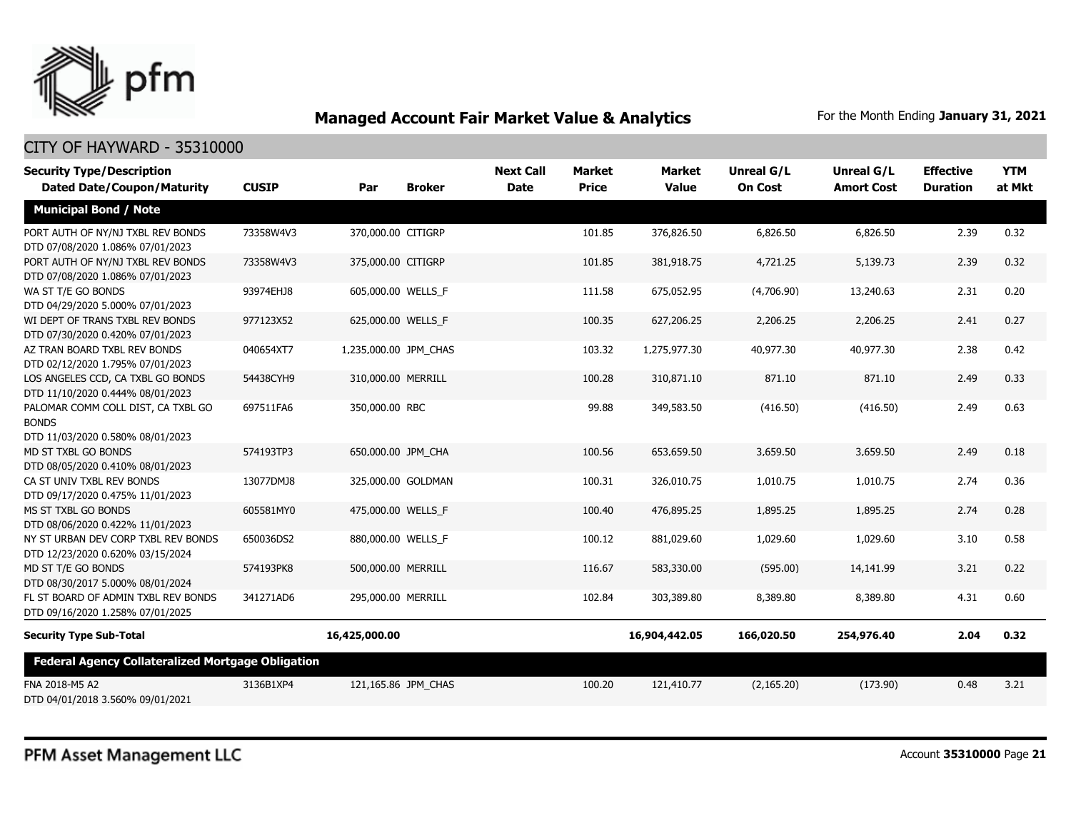

| <b>Security Type/Description</b>                                                       |              |                       |                     | <b>Next Call</b> | <b>Market</b> | <b>Market</b> | <b>Unreal G/L</b> | <b>Unreal G/L</b> | <b>Effective</b> | <b>YTM</b> |
|----------------------------------------------------------------------------------------|--------------|-----------------------|---------------------|------------------|---------------|---------------|-------------------|-------------------|------------------|------------|
| <b>Dated Date/Coupon/Maturity</b>                                                      | <b>CUSIP</b> | Par                   | <b>Broker</b>       | <b>Date</b>      | <b>Price</b>  | <b>Value</b>  | <b>On Cost</b>    | <b>Amort Cost</b> | <b>Duration</b>  | at Mkt     |
| <b>Municipal Bond / Note</b>                                                           |              |                       |                     |                  |               |               |                   |                   |                  |            |
| PORT AUTH OF NY/NJ TXBL REV BONDS<br>DTD 07/08/2020 1.086% 07/01/2023                  | 73358W4V3    | 370,000.00 CITIGRP    |                     |                  | 101.85        | 376,826.50    | 6,826.50          | 6,826.50          | 2.39             | 0.32       |
| PORT AUTH OF NY/NJ TXBL REV BONDS<br>DTD 07/08/2020 1.086% 07/01/2023                  | 73358W4V3    | 375,000.00 CITIGRP    |                     |                  | 101.85        | 381,918.75    | 4,721.25          | 5,139.73          | 2.39             | 0.32       |
| WA ST T/E GO BONDS<br>DTD 04/29/2020 5.000% 07/01/2023                                 | 93974EHJ8    | 605,000.00 WELLS F    |                     |                  | 111.58        | 675,052.95    | (4,706.90)        | 13,240.63         | 2.31             | 0.20       |
| WI DEPT OF TRANS TXBL REV BONDS<br>DTD 07/30/2020 0.420% 07/01/2023                    | 977123X52    | 625,000.00 WELLS_F    |                     |                  | 100.35        | 627,206.25    | 2,206.25          | 2,206.25          | 2.41             | 0.27       |
| AZ TRAN BOARD TXBL REV BONDS<br>DTD 02/12/2020 1.795% 07/01/2023                       | 040654XT7    | 1,235,000.00 JPM CHAS |                     |                  | 103.32        | 1,275,977.30  | 40,977.30         | 40,977.30         | 2.38             | 0.42       |
| LOS ANGELES CCD, CA TXBL GO BONDS<br>DTD 11/10/2020 0.444% 08/01/2023                  | 54438CYH9    | 310,000.00 MERRILL    |                     |                  | 100.28        | 310,871.10    | 871.10            | 871.10            | 2.49             | 0.33       |
| PALOMAR COMM COLL DIST, CA TXBL GO<br><b>BONDS</b><br>DTD 11/03/2020 0.580% 08/01/2023 | 697511FA6    | 350,000.00 RBC        |                     |                  | 99.88         | 349,583.50    | (416.50)          | (416.50)          | 2.49             | 0.63       |
| MD ST TXBL GO BONDS<br>DTD 08/05/2020 0.410% 08/01/2023                                | 574193TP3    | 650,000.00 JPM CHA    |                     |                  | 100.56        | 653,659.50    | 3,659.50          | 3,659.50          | 2.49             | 0.18       |
| CA ST UNIV TXBL REV BONDS<br>DTD 09/17/2020 0.475% 11/01/2023                          | 13077DMJ8    |                       | 325,000.00 GOLDMAN  |                  | 100.31        | 326,010.75    | 1,010.75          | 1,010.75          | 2.74             | 0.36       |
| MS ST TXBL GO BONDS<br>DTD 08/06/2020 0.422% 11/01/2023                                | 605581MY0    | 475,000.00 WELLS_F    |                     |                  | 100.40        | 476,895.25    | 1,895.25          | 1,895.25          | 2.74             | 0.28       |
| NY ST URBAN DEV CORP TXBL REV BONDS<br>DTD 12/23/2020 0.620% 03/15/2024                | 650036DS2    | 880,000.00 WELLS_F    |                     |                  | 100.12        | 881,029.60    | 1,029.60          | 1,029.60          | 3.10             | 0.58       |
| MD ST T/E GO BONDS<br>DTD 08/30/2017 5.000% 08/01/2024                                 | 574193PK8    | 500,000.00 MERRILL    |                     |                  | 116.67        | 583,330.00    | (595.00)          | 14,141.99         | 3.21             | 0.22       |
| FL ST BOARD OF ADMIN TXBL REV BONDS<br>DTD 09/16/2020 1.258% 07/01/2025                | 341271AD6    | 295,000.00 MERRILL    |                     |                  | 102.84        | 303,389.80    | 8,389.80          | 8,389.80          | 4.31             | 0.60       |
| <b>Security Type Sub-Total</b>                                                         |              | 16,425,000.00         |                     |                  |               | 16,904,442.05 | 166,020.50        | 254,976.40        | 2.04             | 0.32       |
| <b>Federal Agency Collateralized Mortgage Obligation</b>                               |              |                       |                     |                  |               |               |                   |                   |                  |            |
| FNA 2018-M5 A2<br>DTD 04/01/2018 3.560% 09/01/2021                                     | 3136B1XP4    |                       | 121,165.86 JPM CHAS |                  | 100.20        | 121,410.77    | (2, 165.20)       | (173.90)          | 0.48             | 3.21       |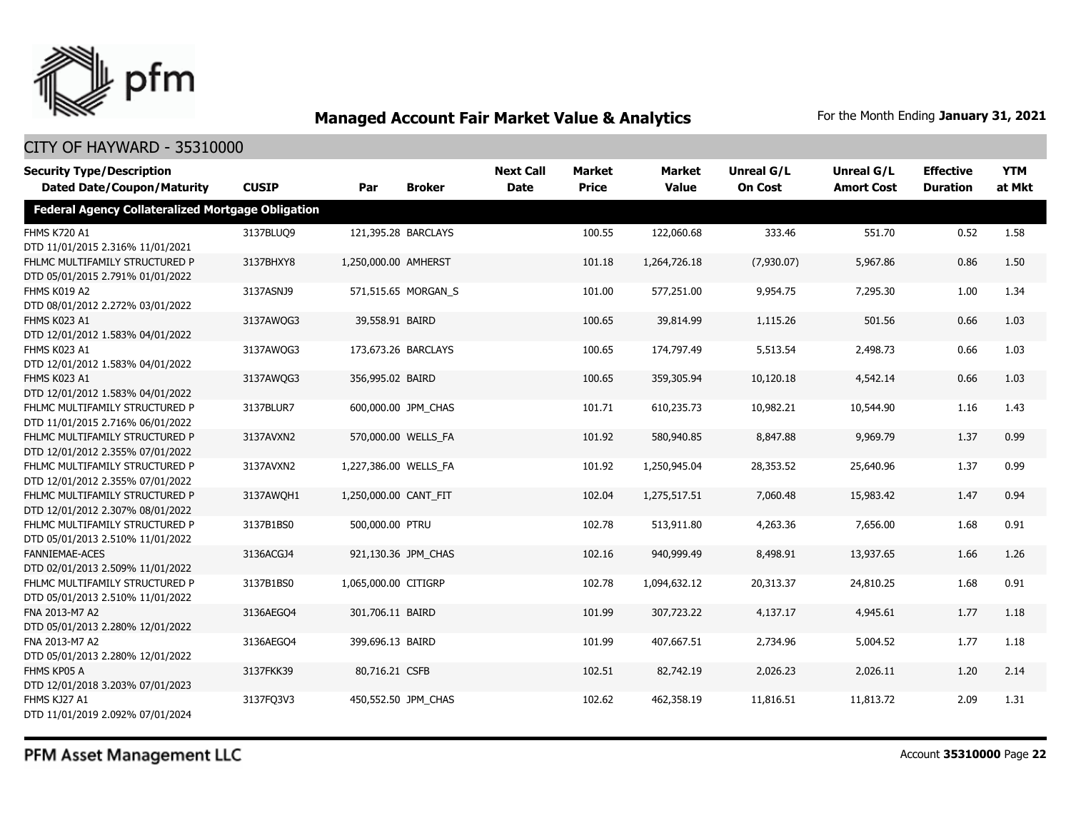

| <b>Security Type/Description</b><br><b>Dated Date/Coupon/Maturity</b> | <b>CUSIP</b> | Par                   | <b>Broker</b>       | <b>Next Call</b><br><b>Date</b> | <b>Market</b><br><b>Price</b> | <b>Market</b><br><b>Value</b> | <b>Unreal G/L</b><br><b>On Cost</b> | Unreal G/L<br><b>Amort Cost</b> | <b>Effective</b><br><b>Duration</b> | <b>YTM</b><br>at Mkt |
|-----------------------------------------------------------------------|--------------|-----------------------|---------------------|---------------------------------|-------------------------------|-------------------------------|-------------------------------------|---------------------------------|-------------------------------------|----------------------|
| <b>Federal Agency Collateralized Mortgage Obligation</b>              |              |                       |                     |                                 |                               |                               |                                     |                                 |                                     |                      |
| <b>FHMS K720 A1</b><br>DTD 11/01/2015 2.316% 11/01/2021               | 3137BLUQ9    |                       | 121,395.28 BARCLAYS |                                 | 100.55                        | 122,060.68                    | 333.46                              | 551.70                          | 0.52                                | 1.58                 |
| FHLMC MULTIFAMILY STRUCTURED P<br>DTD 05/01/2015 2.791% 01/01/2022    | 3137BHXY8    | 1,250,000.00 AMHERST  |                     |                                 | 101.18                        | 1,264,726.18                  | (7,930.07)                          | 5,967.86                        | 0.86                                | 1.50                 |
| FHMS K019 A2<br>DTD 08/01/2012 2.272% 03/01/2022                      | 3137ASNJ9    |                       | 571,515.65 MORGAN_S |                                 | 101.00                        | 577,251.00                    | 9,954.75                            | 7,295.30                        | 1.00                                | 1.34                 |
| FHMS K023 A1<br>DTD 12/01/2012 1.583% 04/01/2022                      | 3137AWQG3    | 39,558.91 BAIRD       |                     |                                 | 100.65                        | 39,814.99                     | 1,115.26                            | 501.56                          | 0.66                                | 1.03                 |
| FHMS K023 A1<br>DTD 12/01/2012 1.583% 04/01/2022                      | 3137AWQG3    |                       | 173,673.26 BARCLAYS |                                 | 100.65                        | 174,797.49                    | 5,513.54                            | 2,498.73                        | 0.66                                | 1.03                 |
| FHMS K023 A1<br>DTD 12/01/2012 1.583% 04/01/2022                      | 3137AWOG3    | 356,995.02 BAIRD      |                     |                                 | 100.65                        | 359,305.94                    | 10,120.18                           | 4,542.14                        | 0.66                                | 1.03                 |
| FHLMC MULTIFAMILY STRUCTURED P<br>DTD 11/01/2015 2.716% 06/01/2022    | 3137BLUR7    |                       | 600,000.00 JPM_CHAS |                                 | 101.71                        | 610,235.73                    | 10,982.21                           | 10,544.90                       | 1.16                                | 1.43                 |
| FHLMC MULTIFAMILY STRUCTURED P<br>DTD 12/01/2012 2.355% 07/01/2022    | 3137AVXN2    |                       | 570,000.00 WELLS_FA |                                 | 101.92                        | 580,940.85                    | 8,847.88                            | 9,969.79                        | 1.37                                | 0.99                 |
| FHLMC MULTIFAMILY STRUCTURED P<br>DTD 12/01/2012 2.355% 07/01/2022    | 3137AVXN2    | 1,227,386.00 WELLS_FA |                     |                                 | 101.92                        | 1,250,945.04                  | 28,353.52                           | 25,640.96                       | 1.37                                | 0.99                 |
| FHLMC MULTIFAMILY STRUCTURED P<br>DTD 12/01/2012 2.307% 08/01/2022    | 3137AWOH1    | 1,250,000.00 CANT_FIT |                     |                                 | 102.04                        | 1,275,517.51                  | 7,060.48                            | 15,983.42                       | 1.47                                | 0.94                 |
| FHLMC MULTIFAMILY STRUCTURED P<br>DTD 05/01/2013 2.510% 11/01/2022    | 3137B1BS0    | 500,000.00 PTRU       |                     |                                 | 102.78                        | 513,911.80                    | 4,263.36                            | 7,656.00                        | 1.68                                | 0.91                 |
| <b>FANNIEMAE-ACES</b><br>DTD 02/01/2013 2.509% 11/01/2022             | 3136ACGJ4    |                       | 921,130.36 JPM CHAS |                                 | 102.16                        | 940,999.49                    | 8,498.91                            | 13,937.65                       | 1.66                                | 1.26                 |
| FHLMC MULTIFAMILY STRUCTURED P<br>DTD 05/01/2013 2.510% 11/01/2022    | 3137B1BS0    | 1,065,000.00 CITIGRP  |                     |                                 | 102.78                        | 1,094,632.12                  | 20,313.37                           | 24,810.25                       | 1.68                                | 0.91                 |
| FNA 2013-M7 A2<br>DTD 05/01/2013 2.280% 12/01/2022                    | 3136AEGO4    | 301,706.11 BAIRD      |                     |                                 | 101.99                        | 307,723.22                    | 4,137.17                            | 4,945.61                        | 1.77                                | 1.18                 |
| FNA 2013-M7 A2<br>DTD 05/01/2013 2.280% 12/01/2022                    | 3136AEGO4    | 399,696.13 BAIRD      |                     |                                 | 101.99                        | 407,667.51                    | 2,734.96                            | 5,004.52                        | 1.77                                | 1.18                 |
| FHMS KP05 A<br>DTD 12/01/2018 3.203% 07/01/2023                       | 3137FKK39    | 80,716.21 CSFB        |                     |                                 | 102.51                        | 82,742.19                     | 2,026.23                            | 2,026.11                        | 1.20                                | 2.14                 |
| FHMS KJ27 A1<br>DTD 11/01/2019 2.092% 07/01/2024                      | 3137FQ3V3    |                       | 450,552.50 JPM CHAS |                                 | 102.62                        | 462,358.19                    | 11,816.51                           | 11,813.72                       | 2.09                                | 1.31                 |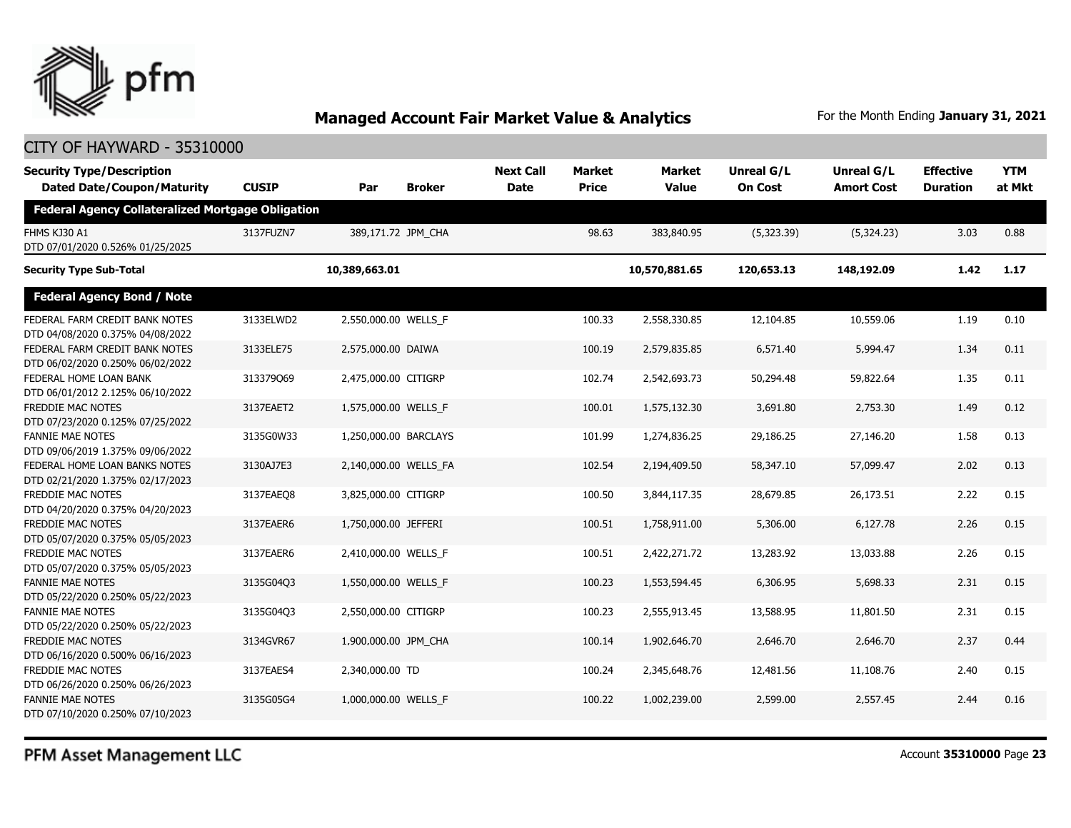

#### CITY OF HAYWARD - 35310000

| <b>Security Type/Description</b><br><b>Dated Date/Coupon/Maturity</b> | <b>CUSIP</b> | Par                   | <b>Broker</b> | <b>Next Call</b><br><b>Date</b> | <b>Market</b><br><b>Price</b> | <b>Market</b><br><b>Value</b> | Unreal G/L<br><b>On Cost</b> | <b>Unreal G/L</b><br><b>Amort Cost</b> | <b>Effective</b><br><b>Duration</b> | <b>YTM</b><br>at Mkt |
|-----------------------------------------------------------------------|--------------|-----------------------|---------------|---------------------------------|-------------------------------|-------------------------------|------------------------------|----------------------------------------|-------------------------------------|----------------------|
| <b>Federal Agency Collateralized Mortgage Obligation</b>              |              |                       |               |                                 |                               |                               |                              |                                        |                                     |                      |
| FHMS KJ30 A1<br>DTD 07/01/2020 0.526% 01/25/2025                      | 3137FUZN7    | 389,171.72 JPM_CHA    |               |                                 | 98.63                         | 383,840.95                    | (5,323.39)                   | (5,324.23)                             | 3.03                                | 0.88                 |
| <b>Security Type Sub-Total</b>                                        |              | 10,389,663.01         |               |                                 |                               | 10,570,881.65                 | 120,653.13                   | 148,192.09                             | 1.42                                | 1.17                 |
| <b>Federal Agency Bond / Note</b>                                     |              |                       |               |                                 |                               |                               |                              |                                        |                                     |                      |
| FEDERAL FARM CREDIT BANK NOTES<br>DTD 04/08/2020 0.375% 04/08/2022    | 3133ELWD2    | 2,550,000.00 WELLS F  |               |                                 | 100.33                        | 2,558,330.85                  | 12,104.85                    | 10,559.06                              | 1.19                                | 0.10                 |
| FEDERAL FARM CREDIT BANK NOTES<br>DTD 06/02/2020 0.250% 06/02/2022    | 3133ELE75    | 2,575,000.00 DAIWA    |               |                                 | 100.19                        | 2,579,835.85                  | 6,571.40                     | 5,994.47                               | 1.34                                | 0.11                 |
| FEDERAL HOME LOAN BANK<br>DTD 06/01/2012 2.125% 06/10/2022            | 313379069    | 2,475,000.00 CITIGRP  |               |                                 | 102.74                        | 2,542,693.73                  | 50,294.48                    | 59,822.64                              | 1.35                                | 0.11                 |
| FREDDIE MAC NOTES<br>DTD 07/23/2020 0.125% 07/25/2022                 | 3137EAET2    | 1,575,000.00 WELLS_F  |               |                                 | 100.01                        | 1,575,132.30                  | 3,691.80                     | 2,753.30                               | 1.49                                | 0.12                 |
| <b>FANNIE MAE NOTES</b><br>DTD 09/06/2019 1.375% 09/06/2022           | 3135G0W33    | 1,250,000.00 BARCLAYS |               |                                 | 101.99                        | 1,274,836.25                  | 29,186.25                    | 27,146.20                              | 1.58                                | 0.13                 |
| FEDERAL HOME LOAN BANKS NOTES<br>DTD 02/21/2020 1.375% 02/17/2023     | 3130AJ7E3    | 2,140,000.00 WELLS_FA |               |                                 | 102.54                        | 2,194,409.50                  | 58,347.10                    | 57,099.47                              | 2.02                                | 0.13                 |
| FREDDIE MAC NOTES<br>DTD 04/20/2020 0.375% 04/20/2023                 | 3137EAEO8    | 3,825,000.00 CITIGRP  |               |                                 | 100.50                        | 3,844,117.35                  | 28,679.85                    | 26,173.51                              | 2.22                                | 0.15                 |
| FREDDIE MAC NOTES<br>DTD 05/07/2020 0.375% 05/05/2023                 | 3137EAER6    | 1,750,000.00 JEFFERI  |               |                                 | 100.51                        | 1,758,911.00                  | 5,306.00                     | 6,127.78                               | 2.26                                | 0.15                 |
| <b>FREDDIE MAC NOTES</b><br>DTD 05/07/2020 0.375% 05/05/2023          | 3137EAER6    | 2,410,000.00 WELLS F  |               |                                 | 100.51                        | 2,422,271.72                  | 13,283.92                    | 13,033.88                              | 2.26                                | 0.15                 |
| <b>FANNIE MAE NOTES</b><br>DTD 05/22/2020 0.250% 05/22/2023           | 3135G04O3    | 1,550,000.00 WELLS F  |               |                                 | 100.23                        | 1,553,594.45                  | 6,306.95                     | 5,698.33                               | 2.31                                | 0.15                 |
| <b>FANNIE MAE NOTES</b><br>DTD 05/22/2020 0.250% 05/22/2023           | 3135G04Q3    | 2,550,000.00 CITIGRP  |               |                                 | 100.23                        | 2,555,913.45                  | 13,588.95                    | 11,801.50                              | 2.31                                | 0.15                 |
| FREDDIE MAC NOTES<br>DTD 06/16/2020 0.500% 06/16/2023                 | 3134GVR67    | 1,900,000.00 JPM_CHA  |               |                                 | 100.14                        | 1,902,646.70                  | 2,646.70                     | 2,646.70                               | 2.37                                | 0.44                 |
| FREDDIE MAC NOTES<br>DTD 06/26/2020 0.250% 06/26/2023                 | 3137EAES4    | 2,340,000.00 TD       |               |                                 | 100.24                        | 2,345,648.76                  | 12,481.56                    | 11,108.76                              | 2.40                                | 0.15                 |
| <b>FANNIE MAE NOTES</b><br>DTD 07/10/2020 0.250% 07/10/2023           | 3135G05G4    | 1,000,000.00 WELLS F  |               |                                 | 100.22                        | 1,002,239.00                  | 2,599.00                     | 2,557.45                               | 2.44                                | 0.16                 |

PFM Asset Management LLC

Account **35310000** Page **23**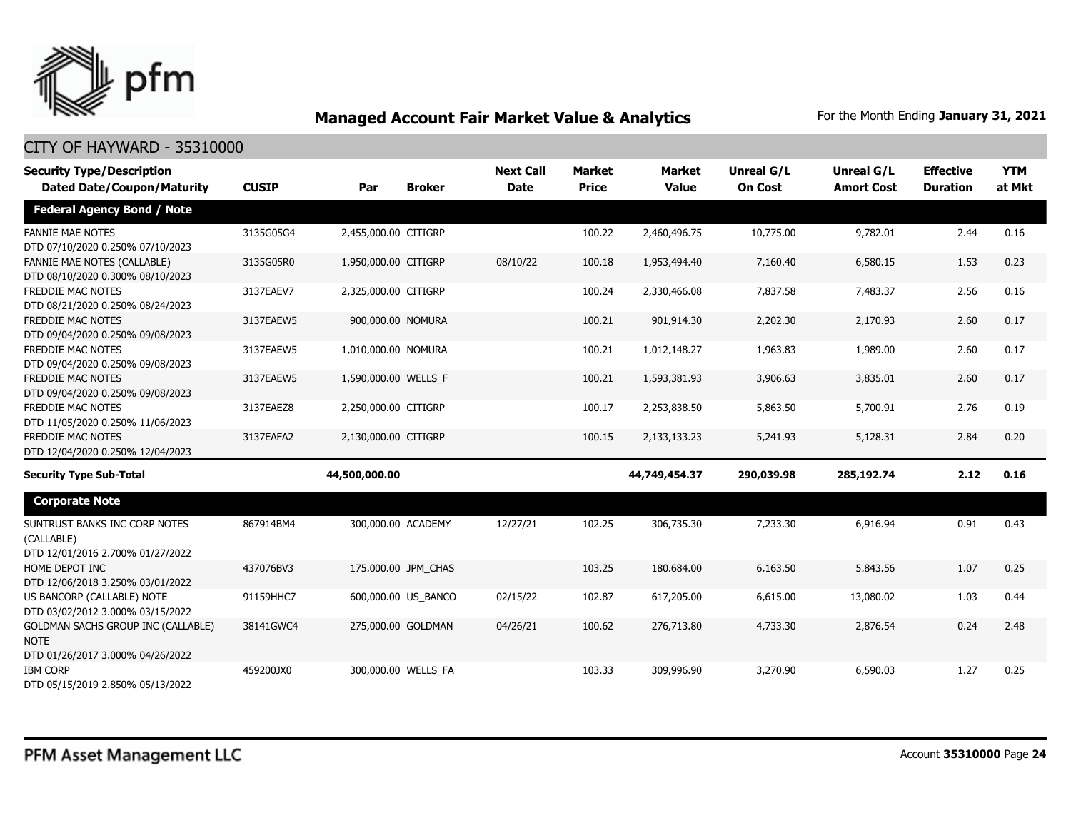

| <b>Security Type/Description</b>                                                             |              |                      |                     | <b>Next Call</b> | <b>Market</b> | <b>Market</b> | <b>Unreal G/L</b> | <b>Unreal G/L</b> | <b>Effective</b> | <b>YTM</b> |
|----------------------------------------------------------------------------------------------|--------------|----------------------|---------------------|------------------|---------------|---------------|-------------------|-------------------|------------------|------------|
| <b>Dated Date/Coupon/Maturity</b>                                                            | <b>CUSIP</b> | Par                  | <b>Broker</b>       | <b>Date</b>      | <b>Price</b>  | <b>Value</b>  | <b>On Cost</b>    | <b>Amort Cost</b> | <b>Duration</b>  | at Mkt     |
| <b>Federal Agency Bond / Note</b>                                                            |              |                      |                     |                  |               |               |                   |                   |                  |            |
| <b>FANNIE MAE NOTES</b><br>DTD 07/10/2020 0.250% 07/10/2023                                  | 3135G05G4    | 2,455,000.00 CITIGRP |                     |                  | 100.22        | 2,460,496.75  | 10,775.00         | 9,782.01          | 2.44             | 0.16       |
| <b>FANNIE MAE NOTES (CALLABLE)</b><br>DTD 08/10/2020 0.300% 08/10/2023                       | 3135G05R0    | 1,950,000.00 CITIGRP |                     | 08/10/22         | 100.18        | 1,953,494.40  | 7,160.40          | 6,580.15          | 1.53             | 0.23       |
| FREDDIE MAC NOTES<br>DTD 08/21/2020 0.250% 08/24/2023                                        | 3137EAEV7    | 2,325,000.00 CITIGRP |                     |                  | 100.24        | 2,330,466.08  | 7,837.58          | 7,483.37          | 2.56             | 0.16       |
| <b>FREDDIE MAC NOTES</b><br>DTD 09/04/2020 0.250% 09/08/2023                                 | 3137EAEW5    | 900,000.00 NOMURA    |                     |                  | 100.21        | 901,914.30    | 2,202.30          | 2,170.93          | 2.60             | 0.17       |
| <b>FREDDIE MAC NOTES</b><br>DTD 09/04/2020 0.250% 09/08/2023                                 | 3137EAEW5    | 1,010,000.00 NOMURA  |                     |                  | 100.21        | 1,012,148.27  | 1,963.83          | 1,989.00          | 2.60             | 0.17       |
| <b>FREDDIE MAC NOTES</b><br>DTD 09/04/2020 0.250% 09/08/2023                                 | 3137EAEW5    | 1,590,000.00 WELLS_F |                     |                  | 100.21        | 1,593,381.93  | 3,906.63          | 3,835.01          | 2.60             | 0.17       |
| FREDDIE MAC NOTES<br>DTD 11/05/2020 0.250% 11/06/2023                                        | 3137EAEZ8    | 2,250,000.00 CITIGRP |                     |                  | 100.17        | 2,253,838.50  | 5,863.50          | 5,700.91          | 2.76             | 0.19       |
| FREDDIE MAC NOTES<br>DTD 12/04/2020 0.250% 12/04/2023                                        | 3137EAFA2    | 2,130,000.00 CITIGRP |                     |                  | 100.15        | 2,133,133.23  | 5,241.93          | 5,128.31          | 2.84             | 0.20       |
| <b>Security Type Sub-Total</b>                                                               |              | 44,500,000.00        |                     |                  |               | 44,749,454.37 | 290,039.98        | 285,192.74        | 2.12             | 0.16       |
| <b>Corporate Note</b>                                                                        |              |                      |                     |                  |               |               |                   |                   |                  |            |
| SUNTRUST BANKS INC CORP NOTES<br>(CALLABLE)<br>DTD 12/01/2016 2.700% 01/27/2022              | 867914BM4    | 300,000.00 ACADEMY   |                     | 12/27/21         | 102.25        | 306,735.30    | 7,233.30          | 6,916.94          | 0.91             | 0.43       |
| HOME DEPOT INC<br>DTD 12/06/2018 3.250% 03/01/2022                                           | 437076BV3    |                      | 175,000.00 JPM CHAS |                  | 103.25        | 180,684.00    | 6,163.50          | 5,843.56          | 1.07             | 0.25       |
| US BANCORP (CALLABLE) NOTE<br>DTD 03/02/2012 3.000% 03/15/2022                               | 91159HHC7    |                      | 600,000.00 US BANCO | 02/15/22         | 102.87        | 617,205.00    | 6,615.00          | 13,080.02         | 1.03             | 0.44       |
| <b>GOLDMAN SACHS GROUP INC (CALLABLE)</b><br><b>NOTE</b><br>DTD 01/26/2017 3.000% 04/26/2022 | 38141GWC4    | 275,000.00 GOLDMAN   |                     | 04/26/21         | 100.62        | 276,713.80    | 4,733.30          | 2,876.54          | 0.24             | 2.48       |
| <b>IBM CORP</b><br>DTD 05/15/2019 2.850% 05/13/2022                                          | 459200JX0    |                      | 300,000.00 WELLS FA |                  | 103.33        | 309,996.90    | 3,270.90          | 6,590.03          | 1.27             | 0.25       |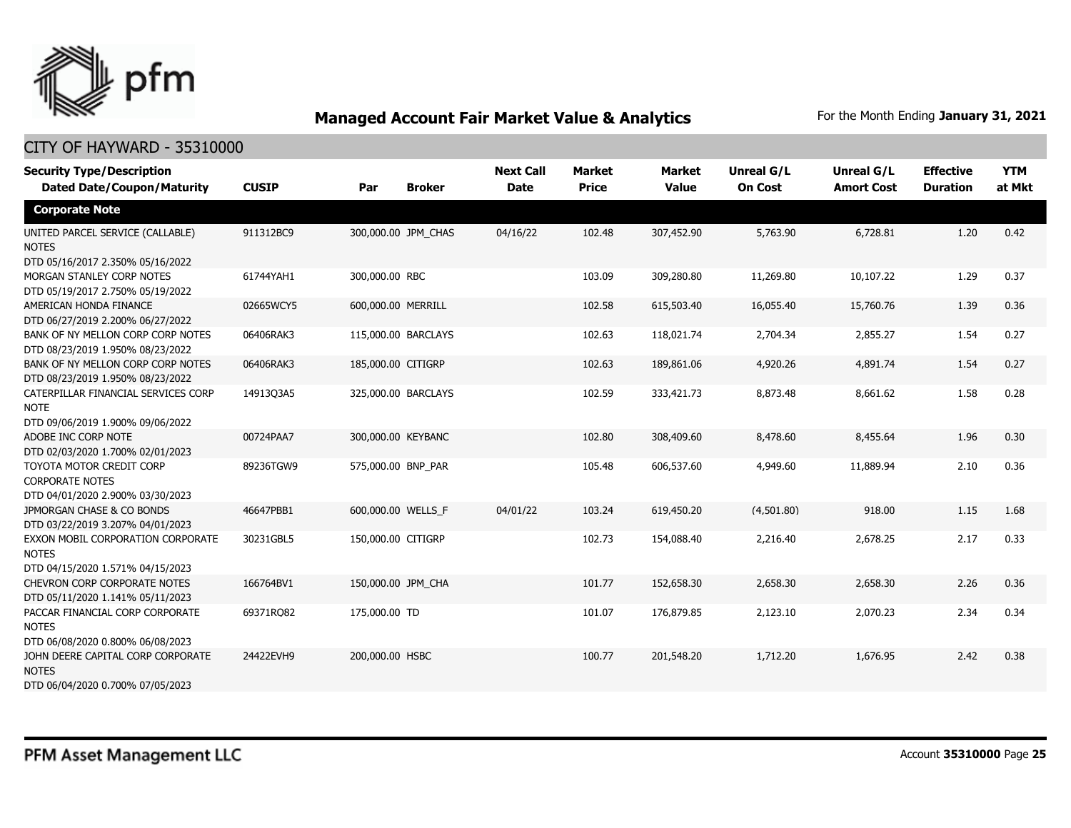

| <b>Security Type/Description</b><br><b>Dated Date/Coupon/Maturity</b>                  | <b>CUSIP</b> | Par                | <b>Broker</b>       | <b>Next Call</b><br><b>Date</b> | <b>Market</b><br><b>Price</b> | <b>Market</b><br><b>Value</b> | <b>Unreal G/L</b><br><b>On Cost</b> | Unreal G/L<br><b>Amort Cost</b> | <b>Effective</b><br><b>Duration</b> | <b>YTM</b><br>at Mkt |
|----------------------------------------------------------------------------------------|--------------|--------------------|---------------------|---------------------------------|-------------------------------|-------------------------------|-------------------------------------|---------------------------------|-------------------------------------|----------------------|
| <b>Corporate Note</b>                                                                  |              |                    |                     |                                 |                               |                               |                                     |                                 |                                     |                      |
| UNITED PARCEL SERVICE (CALLABLE)<br><b>NOTES</b><br>DTD 05/16/2017 2.350% 05/16/2022   | 911312BC9    |                    | 300,000.00 JPM_CHAS | 04/16/22                        | 102.48                        | 307,452.90                    | 5,763.90                            | 6,728.81                        | 1.20                                | 0.42                 |
| MORGAN STANLEY CORP NOTES<br>DTD 05/19/2017 2.750% 05/19/2022                          | 61744YAH1    | 300,000.00 RBC     |                     |                                 | 103.09                        | 309,280.80                    | 11,269.80                           | 10,107.22                       | 1.29                                | 0.37                 |
| AMERICAN HONDA FINANCE<br>DTD 06/27/2019 2.200% 06/27/2022                             | 02665WCY5    | 600,000.00 MERRILL |                     |                                 | 102.58                        | 615,503.40                    | 16,055.40                           | 15,760.76                       | 1.39                                | 0.36                 |
| BANK OF NY MELLON CORP CORP NOTES<br>DTD 08/23/2019 1.950% 08/23/2022                  | 06406RAK3    |                    | 115,000.00 BARCLAYS |                                 | 102.63                        | 118,021.74                    | 2,704.34                            | 2,855.27                        | 1.54                                | 0.27                 |
| BANK OF NY MELLON CORP CORP NOTES<br>DTD 08/23/2019 1.950% 08/23/2022                  | 06406RAK3    | 185,000.00 CITIGRP |                     |                                 | 102.63                        | 189,861.06                    | 4,920.26                            | 4,891.74                        | 1.54                                | 0.27                 |
| CATERPILLAR FINANCIAL SERVICES CORP<br><b>NOTE</b><br>DTD 09/06/2019 1.900% 09/06/2022 | 14913Q3A5    |                    | 325,000.00 BARCLAYS |                                 | 102.59                        | 333,421.73                    | 8,873.48                            | 8,661.62                        | 1.58                                | 0.28                 |
| ADOBE INC CORP NOTE<br>DTD 02/03/2020 1.700% 02/01/2023                                | 00724PAA7    | 300,000.00 KEYBANC |                     |                                 | 102.80                        | 308,409.60                    | 8,478.60                            | 8,455.64                        | 1.96                                | 0.30                 |
| TOYOTA MOTOR CREDIT CORP<br><b>CORPORATE NOTES</b><br>DTD 04/01/2020 2.900% 03/30/2023 | 89236TGW9    | 575,000.00 BNP_PAR |                     |                                 | 105.48                        | 606,537.60                    | 4,949.60                            | 11,889.94                       | 2.10                                | 0.36                 |
| JPMORGAN CHASE & CO BONDS<br>DTD 03/22/2019 3.207% 04/01/2023                          | 46647PBB1    | 600,000.00 WELLS_F |                     | 04/01/22                        | 103.24                        | 619,450.20                    | (4,501.80)                          | 918.00                          | 1.15                                | 1.68                 |
| EXXON MOBIL CORPORATION CORPORATE<br><b>NOTES</b><br>DTD 04/15/2020 1.571% 04/15/2023  | 30231GBL5    | 150,000.00 CITIGRP |                     |                                 | 102.73                        | 154,088.40                    | 2,216.40                            | 2,678.25                        | 2.17                                | 0.33                 |
| CHEVRON CORP CORPORATE NOTES<br>DTD 05/11/2020 1.141% 05/11/2023                       | 166764BV1    | 150,000.00 JPM CHA |                     |                                 | 101.77                        | 152,658.30                    | 2,658.30                            | 2,658.30                        | 2.26                                | 0.36                 |
| PACCAR FINANCIAL CORP CORPORATE<br><b>NOTES</b><br>DTD 06/08/2020 0.800% 06/08/2023    | 69371RQ82    | 175,000.00 TD      |                     |                                 | 101.07                        | 176,879.85                    | 2,123.10                            | 2,070.23                        | 2.34                                | 0.34                 |
| JOHN DEERE CAPITAL CORP CORPORATE<br><b>NOTES</b><br>DTD 06/04/2020 0.700% 07/05/2023  | 24422EVH9    | 200,000.00 HSBC    |                     |                                 | 100.77                        | 201,548.20                    | 1,712.20                            | 1,676.95                        | 2.42                                | 0.38                 |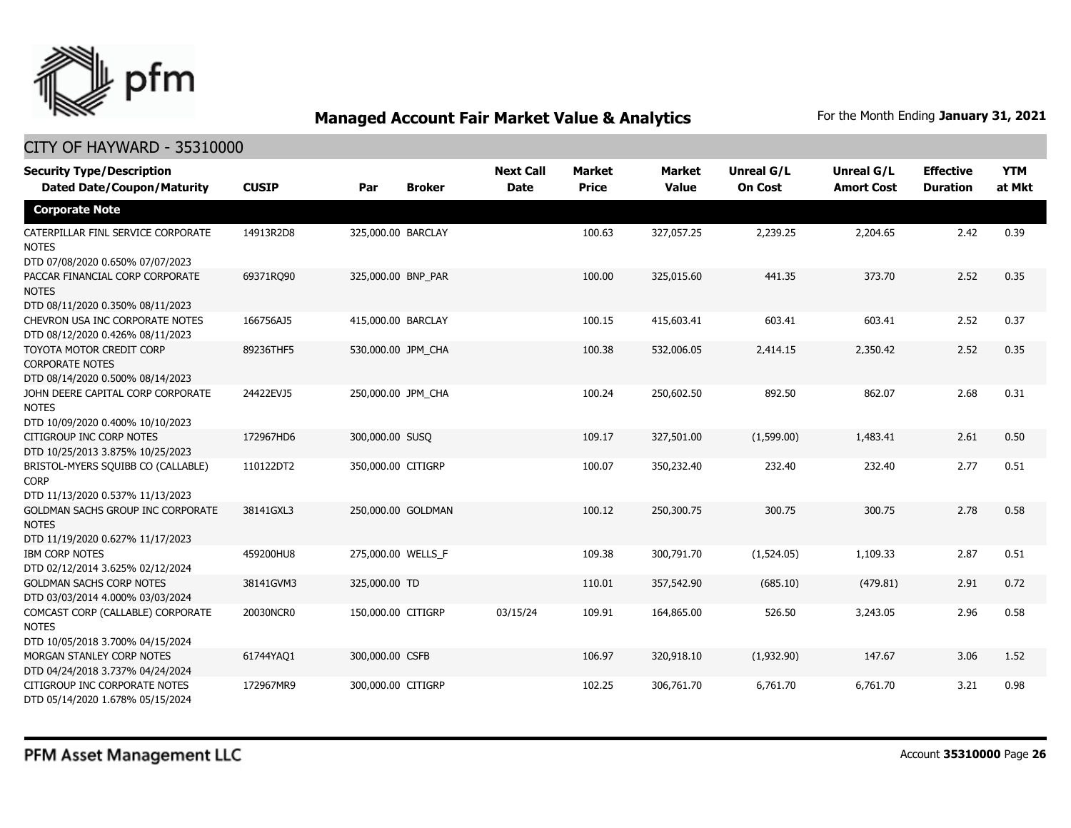

| <b>Security Type/Description</b><br><b>Dated Date/Coupon/Maturity</b>                  | <b>CUSIP</b> | Par                | <b>Broker</b>      | <b>Next Call</b><br><b>Date</b> | <b>Market</b><br><b>Price</b> | <b>Market</b><br><b>Value</b> | Unreal G/L<br><b>On Cost</b> | Unreal G/L<br><b>Amort Cost</b> | <b>Effective</b><br><b>Duration</b> | <b>YTM</b><br>at Mkt |
|----------------------------------------------------------------------------------------|--------------|--------------------|--------------------|---------------------------------|-------------------------------|-------------------------------|------------------------------|---------------------------------|-------------------------------------|----------------------|
| <b>Corporate Note</b>                                                                  |              |                    |                    |                                 |                               |                               |                              |                                 |                                     |                      |
| CATERPILLAR FINL SERVICE CORPORATE<br><b>NOTES</b><br>DTD 07/08/2020 0.650% 07/07/2023 | 14913R2D8    | 325,000.00 BARCLAY |                    |                                 | 100.63                        | 327,057.25                    | 2,239.25                     | 2,204.65                        | 2.42                                | 0.39                 |
| PACCAR FINANCIAL CORP CORPORATE<br><b>NOTES</b><br>DTD 08/11/2020 0.350% 08/11/2023    | 69371RQ90    | 325,000.00 BNP_PAR |                    |                                 | 100.00                        | 325,015.60                    | 441.35                       | 373.70                          | 2.52                                | 0.35                 |
| CHEVRON USA INC CORPORATE NOTES<br>DTD 08/12/2020 0.426% 08/11/2023                    | 166756AJ5    | 415,000.00 BARCLAY |                    |                                 | 100.15                        | 415,603.41                    | 603.41                       | 603.41                          | 2.52                                | 0.37                 |
| TOYOTA MOTOR CREDIT CORP<br><b>CORPORATE NOTES</b><br>DTD 08/14/2020 0.500% 08/14/2023 | 89236THF5    | 530,000.00 JPM_CHA |                    |                                 | 100.38                        | 532,006.05                    | 2,414.15                     | 2,350.42                        | 2.52                                | 0.35                 |
| JOHN DEERE CAPITAL CORP CORPORATE<br><b>NOTES</b><br>DTD 10/09/2020 0.400% 10/10/2023  | 24422EVJ5    | 250,000.00 JPM_CHA |                    |                                 | 100.24                        | 250,602.50                    | 892.50                       | 862.07                          | 2.68                                | 0.31                 |
| CITIGROUP INC CORP NOTES<br>DTD 10/25/2013 3.875% 10/25/2023                           | 172967HD6    | 300,000.00 SUSQ    |                    |                                 | 109.17                        | 327,501.00                    | (1,599.00)                   | 1,483.41                        | 2.61                                | 0.50                 |
| BRISTOL-MYERS SQUIBB CO (CALLABLE)<br><b>CORP</b><br>DTD 11/13/2020 0.537% 11/13/2023  | 110122DT2    | 350,000.00 CITIGRP |                    |                                 | 100.07                        | 350,232.40                    | 232.40                       | 232.40                          | 2.77                                | 0.51                 |
| GOLDMAN SACHS GROUP INC CORPORATE<br><b>NOTES</b><br>DTD 11/19/2020 0.627% 11/17/2023  | 38141GXL3    |                    | 250,000.00 GOLDMAN |                                 | 100.12                        | 250,300.75                    | 300.75                       | 300.75                          | 2.78                                | 0.58                 |
| <b>IBM CORP NOTES</b><br>DTD 02/12/2014 3.625% 02/12/2024                              | 459200HU8    | 275,000.00 WELLS F |                    |                                 | 109.38                        | 300,791.70                    | (1,524.05)                   | 1,109.33                        | 2.87                                | 0.51                 |
| <b>GOLDMAN SACHS CORP NOTES</b><br>DTD 03/03/2014 4.000% 03/03/2024                    | 38141GVM3    | 325,000.00 TD      |                    |                                 | 110.01                        | 357,542.90                    | (685.10)                     | (479.81)                        | 2.91                                | 0.72                 |
| COMCAST CORP (CALLABLE) CORPORATE<br><b>NOTES</b><br>DTD 10/05/2018 3.700% 04/15/2024  | 20030NCR0    | 150,000.00 CITIGRP |                    | 03/15/24                        | 109.91                        | 164,865.00                    | 526.50                       | 3,243.05                        | 2.96                                | 0.58                 |
| MORGAN STANLEY CORP NOTES<br>DTD 04/24/2018 3.737% 04/24/2024                          | 61744YAQ1    | 300,000.00 CSFB    |                    |                                 | 106.97                        | 320,918.10                    | (1,932.90)                   | 147.67                          | 3.06                                | 1.52                 |
| CITIGROUP INC CORPORATE NOTES<br>DTD 05/14/2020 1.678% 05/15/2024                      | 172967MR9    | 300,000.00 CITIGRP |                    |                                 | 102.25                        | 306,761.70                    | 6,761.70                     | 6,761.70                        | 3.21                                | 0.98                 |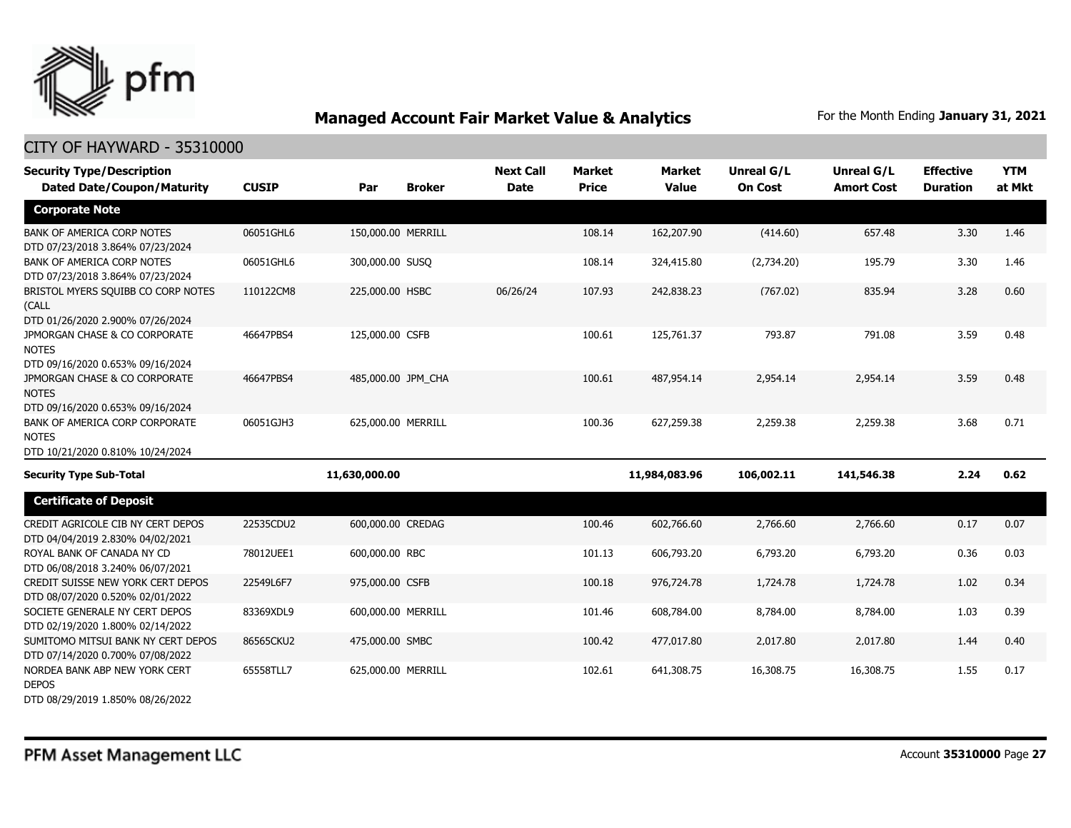

| <b>Security Type/Description</b><br><b>Dated Date/Coupon/Maturity</b>              | <b>CUSIP</b> | Par                | <b>Broker</b>      | <b>Next Call</b><br><b>Date</b> | <b>Market</b><br><b>Price</b> | <b>Market</b><br><b>Value</b> | <b>Unreal G/L</b><br><b>On Cost</b> | Unreal G/L<br><b>Amort Cost</b> | <b>Effective</b><br><b>Duration</b> | <b>YTM</b><br>at Mkt |
|------------------------------------------------------------------------------------|--------------|--------------------|--------------------|---------------------------------|-------------------------------|-------------------------------|-------------------------------------|---------------------------------|-------------------------------------|----------------------|
| <b>Corporate Note</b>                                                              |              |                    |                    |                                 |                               |                               |                                     |                                 |                                     |                      |
| <b>BANK OF AMERICA CORP NOTES</b><br>DTD 07/23/2018 3.864% 07/23/2024              | 06051GHL6    | 150,000.00 MERRILL |                    |                                 | 108.14                        | 162,207.90                    | (414.60)                            | 657.48                          | 3.30                                | 1.46                 |
| BANK OF AMERICA CORP NOTES<br>DTD 07/23/2018 3.864% 07/23/2024                     | 06051GHL6    | 300,000.00 SUSQ    |                    |                                 | 108.14                        | 324,415.80                    | (2,734.20)                          | 195.79                          | 3.30                                | 1.46                 |
| BRISTOL MYERS SQUIBB CO CORP NOTES<br>(CALL<br>DTD 01/26/2020 2.900% 07/26/2024    | 110122CM8    | 225,000.00 HSBC    |                    | 06/26/24                        | 107.93                        | 242,838.23                    | (767.02)                            | 835.94                          | 3.28                                | 0.60                 |
| JPMORGAN CHASE & CO CORPORATE<br><b>NOTES</b><br>DTD 09/16/2020 0.653% 09/16/2024  | 46647PBS4    | 125,000.00 CSFB    |                    |                                 | 100.61                        | 125,761.37                    | 793.87                              | 791.08                          | 3.59                                | 0.48                 |
| JPMORGAN CHASE & CO CORPORATE<br><b>NOTES</b><br>DTD 09/16/2020 0.653% 09/16/2024  | 46647PBS4    |                    | 485,000.00 JPM CHA |                                 | 100.61                        | 487,954.14                    | 2,954.14                            | 2,954.14                        | 3.59                                | 0.48                 |
| BANK OF AMERICA CORP CORPORATE<br><b>NOTES</b><br>DTD 10/21/2020 0.810% 10/24/2024 | 06051GJH3    | 625,000.00 MERRILL |                    |                                 | 100.36                        | 627,259.38                    | 2,259.38                            | 2,259.38                        | 3.68                                | 0.71                 |
| <b>Security Type Sub-Total</b>                                                     |              | 11,630,000.00      |                    |                                 |                               | 11,984,083.96                 | 106,002.11                          | 141,546.38                      | 2.24                                | 0.62                 |
| <b>Certificate of Deposit</b>                                                      |              |                    |                    |                                 |                               |                               |                                     |                                 |                                     |                      |
| CREDIT AGRICOLE CIB NY CERT DEPOS<br>DTD 04/04/2019 2.830% 04/02/2021              | 22535CDU2    | 600,000.00 CREDAG  |                    |                                 | 100.46                        | 602,766.60                    | 2,766.60                            | 2,766.60                        | 0.17                                | 0.07                 |
| ROYAL BANK OF CANADA NY CD<br>DTD 06/08/2018 3.240% 06/07/2021                     | 78012UEE1    | 600,000.00 RBC     |                    |                                 | 101.13                        | 606,793.20                    | 6,793.20                            | 6,793.20                        | 0.36                                | 0.03                 |
| CREDIT SUISSE NEW YORK CERT DEPOS<br>DTD 08/07/2020 0.520% 02/01/2022              | 22549L6F7    | 975,000.00 CSFB    |                    |                                 | 100.18                        | 976,724.78                    | 1,724.78                            | 1,724.78                        | 1.02                                | 0.34                 |
| SOCIETE GENERALE NY CERT DEPOS<br>DTD 02/19/2020 1.800% 02/14/2022                 | 83369XDL9    | 600,000.00 MERRILL |                    |                                 | 101.46                        | 608,784.00                    | 8,784.00                            | 8,784.00                        | 1.03                                | 0.39                 |
| SUMITOMO MITSUI BANK NY CERT DEPOS<br>DTD 07/14/2020 0.700% 07/08/2022             | 86565CKU2    | 475,000.00 SMBC    |                    |                                 | 100.42                        | 477,017.80                    | 2,017.80                            | 2,017.80                        | 1.44                                | 0.40                 |
| NORDEA BANK ABP NEW YORK CERT<br><b>DEPOS</b><br>DTD 08/29/2019 1.850% 08/26/2022  | 65558TLL7    | 625,000.00 MERRILL |                    |                                 | 102.61                        | 641,308.75                    | 16,308.75                           | 16,308.75                       | 1.55                                | 0.17                 |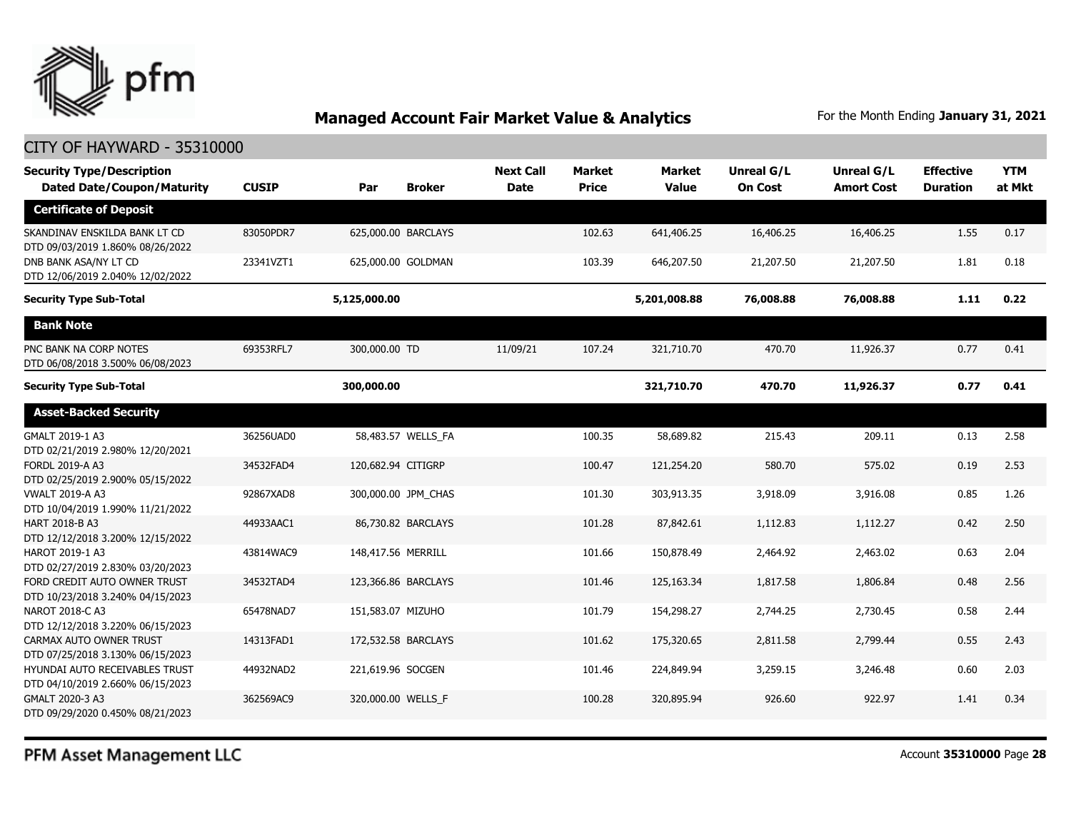

| <b>Security Type/Description</b><br><b>Dated Date/Coupon/Maturity</b> | <b>CUSIP</b> | Par                | <b>Broker</b>       | <b>Next Call</b><br><b>Date</b> | <b>Market</b><br><b>Price</b> | <b>Market</b><br><b>Value</b> | <b>Unreal G/L</b><br><b>On Cost</b> | Unreal G/L<br><b>Amort Cost</b> | <b>Effective</b><br><b>Duration</b> | <b>YTM</b><br>at Mkt |
|-----------------------------------------------------------------------|--------------|--------------------|---------------------|---------------------------------|-------------------------------|-------------------------------|-------------------------------------|---------------------------------|-------------------------------------|----------------------|
| <b>Certificate of Deposit</b>                                         |              |                    |                     |                                 |                               |                               |                                     |                                 |                                     |                      |
| SKANDINAV ENSKILDA BANK LT CD<br>DTD 09/03/2019 1.860% 08/26/2022     | 83050PDR7    |                    | 625,000.00 BARCLAYS |                                 | 102.63                        | 641,406.25                    | 16,406.25                           | 16,406.25                       | 1.55                                | 0.17                 |
| DNB BANK ASA/NY LT CD<br>DTD 12/06/2019 2.040% 12/02/2022             | 23341VZT1    |                    | 625,000.00 GOLDMAN  |                                 | 103.39                        | 646,207.50                    | 21,207.50                           | 21,207.50                       | 1.81                                | 0.18                 |
| <b>Security Type Sub-Total</b>                                        |              | 5,125,000.00       |                     |                                 |                               | 5,201,008.88                  | 76,008.88                           | 76,008.88                       | 1.11                                | 0.22                 |
| <b>Bank Note</b>                                                      |              |                    |                     |                                 |                               |                               |                                     |                                 |                                     |                      |
| PNC BANK NA CORP NOTES<br>DTD 06/08/2018 3.500% 06/08/2023            | 69353RFL7    | 300,000.00 TD      |                     | 11/09/21                        | 107.24                        | 321,710.70                    | 470.70                              | 11,926.37                       | 0.77                                | 0.41                 |
| <b>Security Type Sub-Total</b>                                        |              | 300,000.00         |                     |                                 |                               | 321,710.70                    | 470.70                              | 11,926.37                       | 0.77                                | 0.41                 |
| <b>Asset-Backed Security</b>                                          |              |                    |                     |                                 |                               |                               |                                     |                                 |                                     |                      |
| GMALT 2019-1 A3<br>DTD 02/21/2019 2.980% 12/20/2021                   | 36256UAD0    |                    | 58,483.57 WELLS FA  |                                 | 100.35                        | 58,689.82                     | 215.43                              | 209.11                          | 0.13                                | 2.58                 |
| <b>FORDL 2019-A A3</b><br>DTD 02/25/2019 2.900% 05/15/2022            | 34532FAD4    | 120,682.94 CITIGRP |                     |                                 | 100.47                        | 121,254.20                    | 580.70                              | 575.02                          | 0.19                                | 2.53                 |
| <b>VWALT 2019-A A3</b><br>DTD 10/04/2019 1.990% 11/21/2022            | 92867XAD8    |                    | 300,000.00 JPM CHAS |                                 | 101.30                        | 303,913.35                    | 3,918.09                            | 3,916.08                        | 0.85                                | 1.26                 |
| HART 2018-B A3<br>DTD 12/12/2018 3.200% 12/15/2022                    | 44933AAC1    |                    | 86,730.82 BARCLAYS  |                                 | 101.28                        | 87,842.61                     | 1,112.83                            | 1,112.27                        | 0.42                                | 2.50                 |
| HAROT 2019-1 A3<br>DTD 02/27/2019 2.830% 03/20/2023                   | 43814WAC9    | 148,417.56 MERRILL |                     |                                 | 101.66                        | 150,878.49                    | 2,464.92                            | 2,463.02                        | 0.63                                | 2.04                 |
| FORD CREDIT AUTO OWNER TRUST<br>DTD 10/23/2018 3.240% 04/15/2023      | 34532TAD4    |                    | 123,366.86 BARCLAYS |                                 | 101.46                        | 125,163.34                    | 1,817.58                            | 1,806.84                        | 0.48                                | 2.56                 |
| NAROT 2018-C A3<br>DTD 12/12/2018 3.220% 06/15/2023                   | 65478NAD7    | 151,583.07 MIZUHO  |                     |                                 | 101.79                        | 154,298.27                    | 2,744.25                            | 2,730.45                        | 0.58                                | 2.44                 |
| CARMAX AUTO OWNER TRUST<br>DTD 07/25/2018 3.130% 06/15/2023           | 14313FAD1    |                    | 172,532.58 BARCLAYS |                                 | 101.62                        | 175,320.65                    | 2,811.58                            | 2,799.44                        | 0.55                                | 2.43                 |
| HYUNDAI AUTO RECEIVABLES TRUST<br>DTD 04/10/2019 2.660% 06/15/2023    | 44932NAD2    | 221,619.96 SOCGEN  |                     |                                 | 101.46                        | 224,849.94                    | 3,259.15                            | 3,246.48                        | 0.60                                | 2.03                 |
| GMALT 2020-3 A3<br>DTD 09/29/2020 0.450% 08/21/2023                   | 362569AC9    | 320,000.00 WELLS F |                     |                                 | 100.28                        | 320,895.94                    | 926.60                              | 922.97                          | 1.41                                | 0.34                 |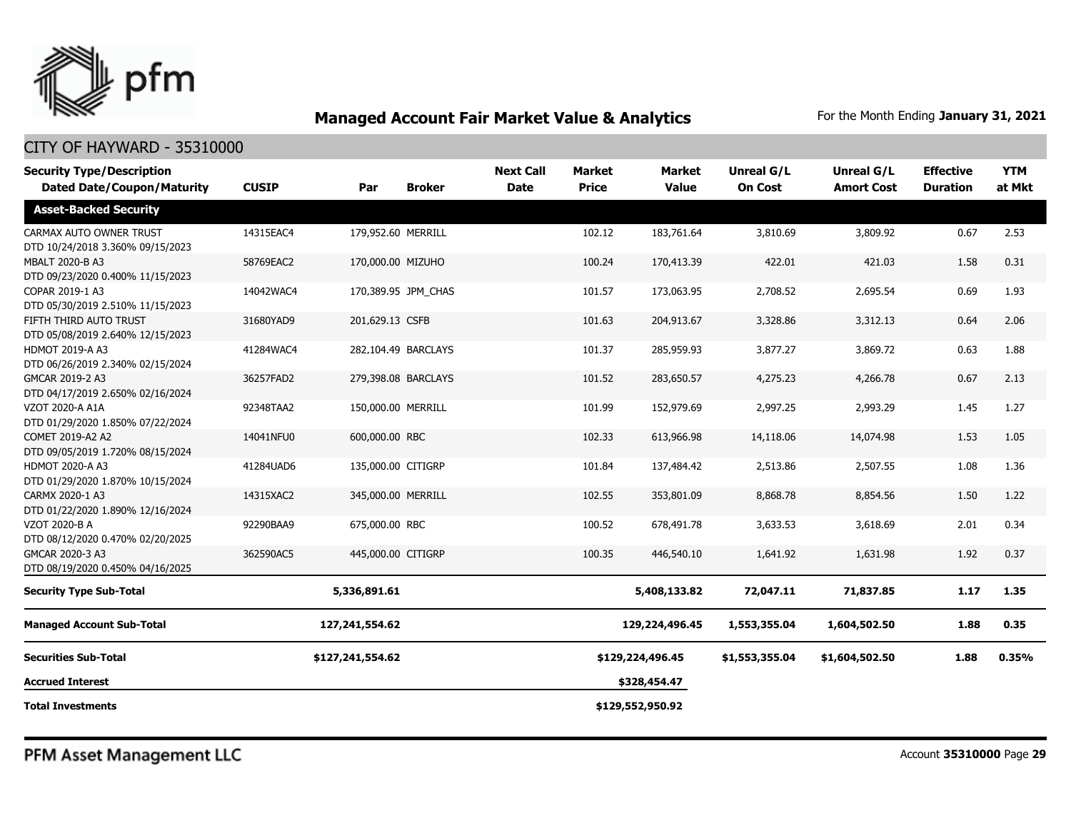

| <b>Security Type/Description</b><br><b>Dated Date/Coupon/Maturity</b> | <b>CUSIP</b> | Par                 | <b>Broker</b>       | <b>Next Call</b><br><b>Date</b> | <b>Market</b><br><b>Price</b> | <b>Market</b><br><b>Value</b> | Unreal G/L<br><b>On Cost</b> | Unreal G/L<br><b>Amort Cost</b> | <b>Effective</b><br><b>Duration</b> | <b>YTM</b><br>at Mkt |
|-----------------------------------------------------------------------|--------------|---------------------|---------------------|---------------------------------|-------------------------------|-------------------------------|------------------------------|---------------------------------|-------------------------------------|----------------------|
| <b>Asset-Backed Security</b>                                          |              |                     |                     |                                 |                               |                               |                              |                                 |                                     |                      |
| CARMAX AUTO OWNER TRUST<br>DTD 10/24/2018 3.360% 09/15/2023           | 14315EAC4    | 179,952.60 MERRILL  |                     |                                 | 102.12                        | 183,761.64                    | 3,810.69                     | 3,809.92                        | 0.67                                | 2.53                 |
| MBALT 2020-B A3<br>DTD 09/23/2020 0.400% 11/15/2023                   | 58769EAC2    | 170,000.00 MIZUHO   |                     |                                 | 100.24                        | 170,413.39                    | 422.01                       | 421.03                          | 1.58                                | 0.31                 |
| COPAR 2019-1 A3<br>DTD 05/30/2019 2.510% 11/15/2023                   | 14042WAC4    |                     | 170,389.95 JPM_CHAS |                                 | 101.57                        | 173,063.95                    | 2,708.52                     | 2,695.54                        | 0.69                                | 1.93                 |
| FIFTH THIRD AUTO TRUST<br>DTD 05/08/2019 2.640% 12/15/2023            | 31680YAD9    | 201,629.13 CSFB     |                     |                                 | 101.63                        | 204,913.67                    | 3,328.86                     | 3,312.13                        | 0.64                                | 2.06                 |
| HDMOT 2019-A A3<br>DTD 06/26/2019 2.340% 02/15/2024                   | 41284WAC4    |                     | 282,104.49 BARCLAYS |                                 | 101.37                        | 285,959.93                    | 3,877.27                     | 3,869.72                        | 0.63                                | 1.88                 |
| GMCAR 2019-2 A3<br>DTD 04/17/2019 2.650% 02/16/2024                   | 36257FAD2    | 279,398.08 BARCLAYS |                     |                                 | 101.52                        | 283,650.57                    | 4,275.23                     | 4,266.78                        | 0.67                                | 2.13                 |
| VZOT 2020-A A1A<br>DTD 01/29/2020 1.850% 07/22/2024                   | 92348TAA2    | 150,000.00 MERRILL  |                     |                                 | 101.99                        | 152,979.69                    | 2,997.25                     | 2,993.29                        | 1.45                                | 1.27                 |
| COMET 2019-A2 A2<br>DTD 09/05/2019 1.720% 08/15/2024                  | 14041NFU0    | 600,000.00 RBC      |                     |                                 | 102.33                        | 613,966.98                    | 14,118.06                    | 14,074.98                       | 1.53                                | 1.05                 |
| HDMOT 2020-A A3<br>DTD 01/29/2020 1.870% 10/15/2024                   | 41284UAD6    | 135,000.00 CITIGRP  |                     |                                 | 101.84                        | 137,484.42                    | 2,513.86                     | 2,507.55                        | 1.08                                | 1.36                 |
| CARMX 2020-1 A3<br>DTD 01/22/2020 1.890% 12/16/2024                   | 14315XAC2    | 345,000.00 MERRILL  |                     |                                 | 102.55                        | 353,801.09                    | 8,868.78                     | 8,854.56                        | 1.50                                | 1.22                 |
| VZOT 2020-B A<br>DTD 08/12/2020 0.470% 02/20/2025                     | 92290BAA9    | 675,000.00 RBC      |                     |                                 | 100.52                        | 678,491.78                    | 3,633.53                     | 3,618.69                        | 2.01                                | 0.34                 |
| GMCAR 2020-3 A3<br>DTD 08/19/2020 0.450% 04/16/2025                   | 362590AC5    | 445,000.00 CITIGRP  |                     |                                 | 100.35                        | 446,540.10                    | 1,641.92                     | 1,631.98                        | 1.92                                | 0.37                 |
| <b>Security Type Sub-Total</b>                                        |              | 5,336,891.61        |                     |                                 |                               | 5,408,133.82                  | 72,047.11                    | 71,837.85                       | 1.17                                | 1.35                 |
| <b>Managed Account Sub-Total</b>                                      |              | 127, 241, 554. 62   |                     |                                 |                               | 129,224,496.45                | 1,553,355.04                 | 1,604,502.50                    | 1.88                                | 0.35                 |
| <b>Securities Sub-Total</b>                                           |              | \$127,241,554.62    |                     |                                 |                               | \$129,224,496.45              | \$1,553,355.04               | \$1,604,502.50                  | 1.88                                | 0.35%                |
| <b>Accrued Interest</b>                                               |              |                     |                     |                                 |                               | \$328,454.47                  |                              |                                 |                                     |                      |
| <b>Total Investments</b>                                              |              |                     |                     |                                 |                               | \$129,552,950.92              |                              |                                 |                                     |                      |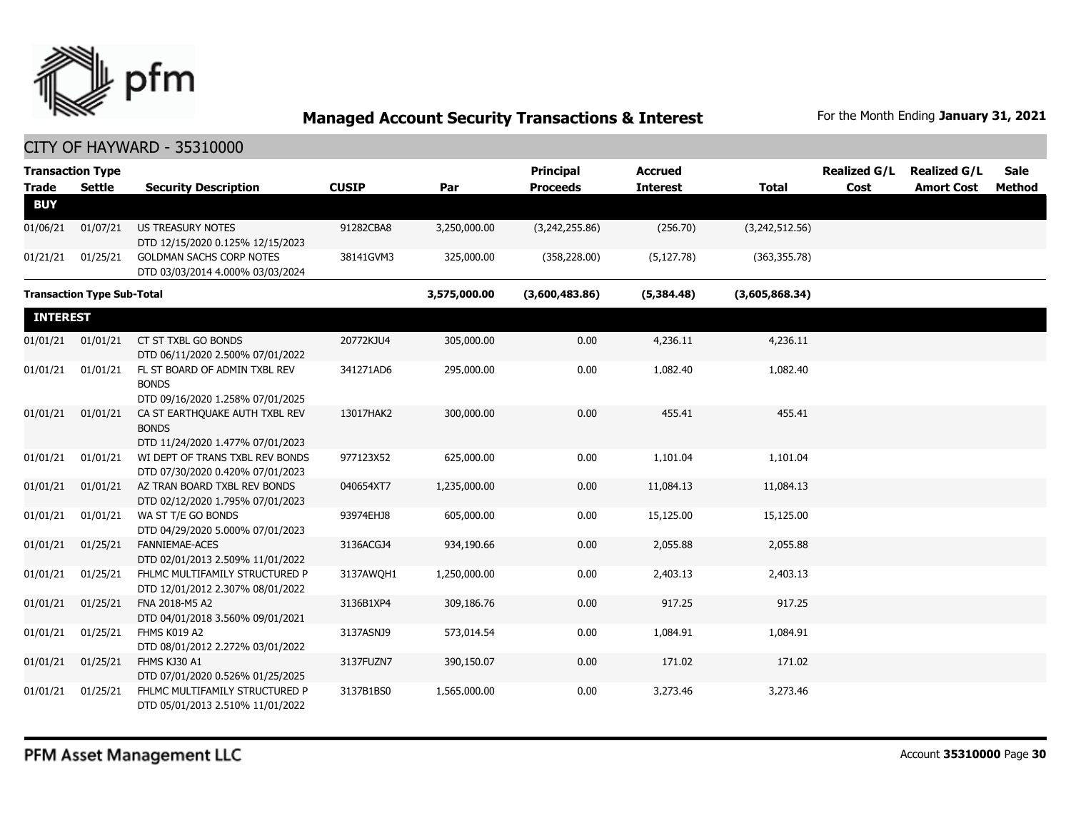

| <b>Trade</b>    | <b>Transaction Type</b><br><b>Settle</b> | <b>Security Description</b>                                                        | <b>CUSIP</b> | Par          | <b>Principal</b><br><b>Proceeds</b> | <b>Accrued</b><br><b>Interest</b> | <b>Total</b>   | <b>Realized G/L</b><br>Cost | <b>Realized G/L</b><br><b>Amort Cost</b> | <b>Sale</b><br>Method |
|-----------------|------------------------------------------|------------------------------------------------------------------------------------|--------------|--------------|-------------------------------------|-----------------------------------|----------------|-----------------------------|------------------------------------------|-----------------------|
| <b>BUY</b>      |                                          |                                                                                    |              |              |                                     |                                   |                |                             |                                          |                       |
| 01/06/21        | 01/07/21                                 | <b>US TREASURY NOTES</b><br>DTD 12/15/2020 0.125% 12/15/2023                       | 91282CBA8    | 3,250,000.00 | (3,242,255.86)                      | (256.70)                          | (3,242,512.56) |                             |                                          |                       |
| 01/21/21        | 01/25/21                                 | <b>GOLDMAN SACHS CORP NOTES</b><br>DTD 03/03/2014 4.000% 03/03/2024                | 38141GVM3    | 325,000.00   | (358, 228.00)                       | (5, 127.78)                       | (363, 355.78)  |                             |                                          |                       |
|                 | <b>Transaction Type Sub-Total</b>        |                                                                                    |              | 3,575,000.00 | (3,600,483.86)                      | (5,384.48)                        | (3,605,868.34) |                             |                                          |                       |
| <b>INTEREST</b> |                                          |                                                                                    |              |              |                                     |                                   |                |                             |                                          |                       |
| 01/01/21        | 01/01/21                                 | CT ST TXBL GO BONDS<br>DTD 06/11/2020 2.500% 07/01/2022                            | 20772KJU4    | 305,000.00   | 0.00                                | 4,236.11                          | 4,236.11       |                             |                                          |                       |
| 01/01/21        | 01/01/21                                 | FL ST BOARD OF ADMIN TXBL REV<br><b>BONDS</b><br>DTD 09/16/2020 1.258% 07/01/2025  | 341271AD6    | 295,000.00   | 0.00                                | 1,082.40                          | 1,082.40       |                             |                                          |                       |
| 01/01/21        | 01/01/21                                 | CA ST EARTHQUAKE AUTH TXBL REV<br><b>BONDS</b><br>DTD 11/24/2020 1.477% 07/01/2023 | 13017HAK2    | 300,000.00   | 0.00                                | 455.41                            | 455.41         |                             |                                          |                       |
| 01/01/21        | 01/01/21                                 | WI DEPT OF TRANS TXBL REV BONDS<br>DTD 07/30/2020 0.420% 07/01/2023                | 977123X52    | 625,000.00   | 0.00                                | 1,101.04                          | 1,101.04       |                             |                                          |                       |
| 01/01/21        | 01/01/21                                 | AZ TRAN BOARD TXBL REV BONDS<br>DTD 02/12/2020 1.795% 07/01/2023                   | 040654XT7    | 1,235,000.00 | 0.00                                | 11,084.13                         | 11,084.13      |                             |                                          |                       |
| 01/01/21        | 01/01/21                                 | WA ST T/E GO BONDS<br>DTD 04/29/2020 5.000% 07/01/2023                             | 93974EHJ8    | 605,000.00   | 0.00                                | 15,125.00                         | 15,125.00      |                             |                                          |                       |
| 01/01/21        | 01/25/21                                 | FANNIEMAE-ACES<br>DTD 02/01/2013 2.509% 11/01/2022                                 | 3136ACGJ4    | 934,190.66   | 0.00                                | 2,055.88                          | 2,055.88       |                             |                                          |                       |
| 01/01/21        | 01/25/21                                 | FHLMC MULTIFAMILY STRUCTURED P<br>DTD 12/01/2012 2.307% 08/01/2022                 | 3137AWOH1    | 1,250,000.00 | 0.00                                | 2,403.13                          | 2,403.13       |                             |                                          |                       |
| 01/01/21        | 01/25/21                                 | FNA 2018-M5 A2<br>DTD 04/01/2018 3.560% 09/01/2021                                 | 3136B1XP4    | 309,186.76   | 0.00                                | 917.25                            | 917.25         |                             |                                          |                       |
| 01/01/21        | 01/25/21                                 | FHMS K019 A2<br>DTD 08/01/2012 2.272% 03/01/2022                                   | 3137ASNJ9    | 573,014.54   | 0.00                                | 1,084.91                          | 1,084.91       |                             |                                          |                       |
| 01/01/21        | 01/25/21                                 | FHMS KJ30 A1<br>DTD 07/01/2020 0.526% 01/25/2025                                   | 3137FUZN7    | 390,150.07   | 0.00                                | 171.02                            | 171.02         |                             |                                          |                       |
| 01/01/21        | 01/25/21                                 | FHLMC MULTIFAMILY STRUCTURED P<br>DTD 05/01/2013 2.510% 11/01/2022                 | 3137B1BS0    | 1,565,000.00 | 0.00                                | 3,273.46                          | 3,273.46       |                             |                                          |                       |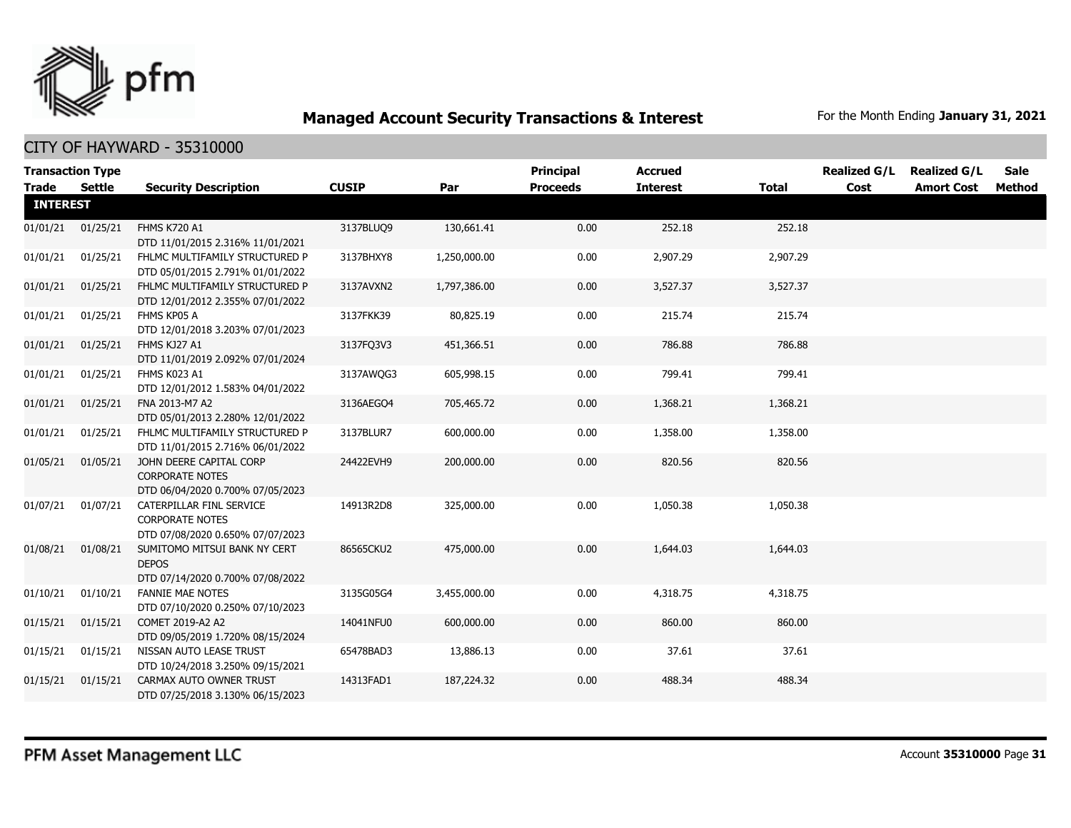

|                                 | <b>Transaction Type</b> |                                                                                        |              |              | <b>Principal</b> | <b>Accrued</b>  |              | <b>Realized G/L</b> | <b>Realized G/L</b> | Sale   |
|---------------------------------|-------------------------|----------------------------------------------------------------------------------------|--------------|--------------|------------------|-----------------|--------------|---------------------|---------------------|--------|
| <b>Trade</b><br><b>INTEREST</b> | Settle                  | <b>Security Description</b>                                                            | <b>CUSIP</b> | Par          | <b>Proceeds</b>  | <b>Interest</b> | <b>Total</b> | Cost                | <b>Amort Cost</b>   | Method |
|                                 |                         |                                                                                        |              |              |                  |                 |              |                     |                     |        |
| 01/01/21                        | 01/25/21                | <b>FHMS K720 A1</b><br>DTD 11/01/2015 2.316% 11/01/2021                                | 3137BLUQ9    | 130,661.41   | 0.00             | 252.18          | 252.18       |                     |                     |        |
| 01/01/21                        | 01/25/21                | FHLMC MULTIFAMILY STRUCTURED P<br>DTD 05/01/2015 2.791% 01/01/2022                     | 3137BHXY8    | 1,250,000.00 | 0.00             | 2,907.29        | 2,907.29     |                     |                     |        |
| 01/01/21                        | 01/25/21                | FHLMC MULTIFAMILY STRUCTURED P<br>DTD 12/01/2012 2.355% 07/01/2022                     | 3137AVXN2    | 1,797,386.00 | 0.00             | 3,527.37        | 3,527.37     |                     |                     |        |
| 01/01/21                        | 01/25/21                | FHMS KP05 A<br>DTD 12/01/2018 3.203% 07/01/2023                                        | 3137FKK39    | 80,825.19    | 0.00             | 215.74          | 215.74       |                     |                     |        |
| 01/01/21                        | 01/25/21                | FHMS KJ27 A1<br>DTD 11/01/2019 2.092% 07/01/2024                                       | 3137FQ3V3    | 451,366.51   | 0.00             | 786.88          | 786.88       |                     |                     |        |
| 01/01/21                        | 01/25/21                | FHMS K023 A1<br>DTD 12/01/2012 1.583% 04/01/2022                                       | 3137AWQG3    | 605,998.15   | 0.00             | 799.41          | 799.41       |                     |                     |        |
| 01/01/21                        | 01/25/21                | FNA 2013-M7 A2<br>DTD 05/01/2013 2.280% 12/01/2022                                     | 3136AEGO4    | 705,465.72   | 0.00             | 1,368.21        | 1,368.21     |                     |                     |        |
| 01/01/21                        | 01/25/21                | FHLMC MULTIFAMILY STRUCTURED P<br>DTD 11/01/2015 2.716% 06/01/2022                     | 3137BLUR7    | 600,000.00   | 0.00             | 1,358.00        | 1,358.00     |                     |                     |        |
| 01/05/21                        | 01/05/21                | JOHN DEERE CAPITAL CORP<br><b>CORPORATE NOTES</b><br>DTD 06/04/2020 0.700% 07/05/2023  | 24422EVH9    | 200,000.00   | 0.00             | 820.56          | 820.56       |                     |                     |        |
| 01/07/21                        | 01/07/21                | CATERPILLAR FINL SERVICE<br><b>CORPORATE NOTES</b><br>DTD 07/08/2020 0.650% 07/07/2023 | 14913R2D8    | 325,000.00   | 0.00             | 1,050.38        | 1,050.38     |                     |                     |        |
| 01/08/21                        | 01/08/21                | SUMITOMO MITSUI BANK NY CERT<br><b>DEPOS</b><br>DTD 07/14/2020 0.700% 07/08/2022       | 86565CKU2    | 475,000.00   | 0.00             | 1,644.03        | 1,644.03     |                     |                     |        |
| 01/10/21                        | 01/10/21                | <b>FANNIE MAE NOTES</b><br>DTD 07/10/2020 0.250% 07/10/2023                            | 3135G05G4    | 3,455,000.00 | 0.00             | 4,318.75        | 4,318.75     |                     |                     |        |
| 01/15/21                        | 01/15/21                | COMET 2019-A2 A2<br>DTD 09/05/2019 1.720% 08/15/2024                                   | 14041NFU0    | 600,000.00   | 0.00             | 860.00          | 860.00       |                     |                     |        |
| 01/15/21                        | 01/15/21                | NISSAN AUTO LEASE TRUST<br>DTD 10/24/2018 3.250% 09/15/2021                            | 65478BAD3    | 13,886.13    | 0.00             | 37.61           | 37.61        |                     |                     |        |
| 01/15/21                        | 01/15/21                | CARMAX AUTO OWNER TRUST<br>DTD 07/25/2018 3.130% 06/15/2023                            | 14313FAD1    | 187,224.32   | 0.00             | 488.34          | 488.34       |                     |                     |        |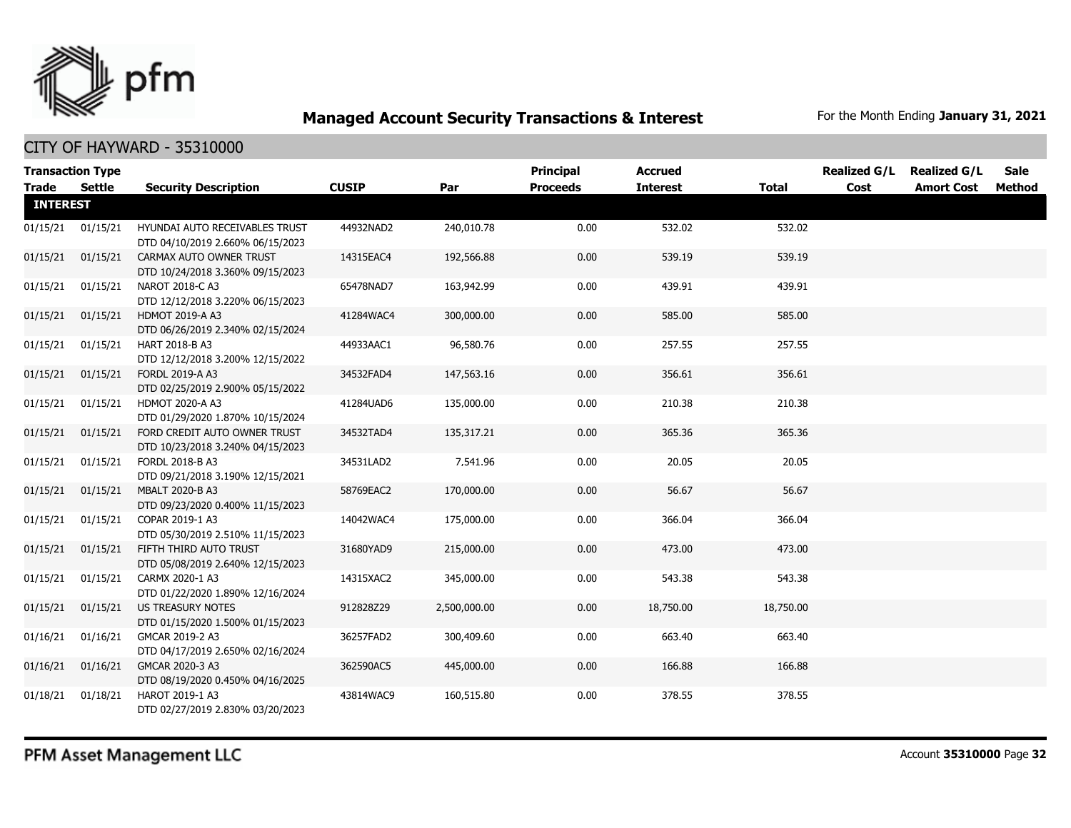

| <b>Transaction Type</b> |          |                                                                    |              |              | <b>Principal</b> | <b>Accrued</b>  |              | <b>Realized G/L</b> | <b>Realized G/L</b> | <b>Sale</b> |
|-------------------------|----------|--------------------------------------------------------------------|--------------|--------------|------------------|-----------------|--------------|---------------------|---------------------|-------------|
| Trade                   | Settle   | <b>Security Description</b>                                        | <b>CUSIP</b> | Par          | <b>Proceeds</b>  | <b>Interest</b> | <b>Total</b> | Cost                | <b>Amort Cost</b>   | Method      |
| <b>INTEREST</b>         |          |                                                                    |              |              |                  |                 |              |                     |                     |             |
| 01/15/21                | 01/15/21 | HYUNDAI AUTO RECEIVABLES TRUST<br>DTD 04/10/2019 2.660% 06/15/2023 | 44932NAD2    | 240,010.78   | 0.00             | 532.02          | 532.02       |                     |                     |             |
| 01/15/21                | 01/15/21 | CARMAX AUTO OWNER TRUST<br>DTD 10/24/2018 3.360% 09/15/2023        | 14315EAC4    | 192,566.88   | 0.00             | 539.19          | 539.19       |                     |                     |             |
| 01/15/21                | 01/15/21 | NAROT 2018-C A3<br>DTD 12/12/2018 3.220% 06/15/2023                | 65478NAD7    | 163,942.99   | 0.00             | 439.91          | 439.91       |                     |                     |             |
| 01/15/21                | 01/15/21 | <b>HDMOT 2019-A A3</b><br>DTD 06/26/2019 2.340% 02/15/2024         | 41284WAC4    | 300,000.00   | 0.00             | 585.00          | 585.00       |                     |                     |             |
| 01/15/21                | 01/15/21 | HART 2018-B A3<br>DTD 12/12/2018 3.200% 12/15/2022                 | 44933AAC1    | 96,580.76    | 0.00             | 257.55          | 257.55       |                     |                     |             |
| 01/15/21                | 01/15/21 | FORDL 2019-A A3<br>DTD 02/25/2019 2.900% 05/15/2022                | 34532FAD4    | 147,563.16   | 0.00             | 356.61          | 356.61       |                     |                     |             |
| 01/15/21                | 01/15/21 | <b>HDMOT 2020-A A3</b><br>DTD 01/29/2020 1.870% 10/15/2024         | 41284UAD6    | 135,000.00   | 0.00             | 210.38          | 210.38       |                     |                     |             |
| 01/15/21                | 01/15/21 | FORD CREDIT AUTO OWNER TRUST<br>DTD 10/23/2018 3.240% 04/15/2023   | 34532TAD4    | 135,317.21   | 0.00             | 365.36          | 365.36       |                     |                     |             |
| 01/15/21                | 01/15/21 | FORDL 2018-B A3<br>DTD 09/21/2018 3.190% 12/15/2021                | 34531LAD2    | 7,541.96     | 0.00             | 20.05           | 20.05        |                     |                     |             |
| 01/15/21                | 01/15/21 | MBALT 2020-B A3<br>DTD 09/23/2020 0.400% 11/15/2023                | 58769EAC2    | 170,000.00   | 0.00             | 56.67           | 56.67        |                     |                     |             |
| 01/15/21                | 01/15/21 | COPAR 2019-1 A3<br>DTD 05/30/2019 2.510% 11/15/2023                | 14042WAC4    | 175,000.00   | 0.00             | 366.04          | 366.04       |                     |                     |             |
| 01/15/21                | 01/15/21 | FIFTH THIRD AUTO TRUST<br>DTD 05/08/2019 2.640% 12/15/2023         | 31680YAD9    | 215,000.00   | 0.00             | 473.00          | 473.00       |                     |                     |             |
| 01/15/21                | 01/15/21 | CARMX 2020-1 A3<br>DTD 01/22/2020 1.890% 12/16/2024                | 14315XAC2    | 345,000.00   | 0.00             | 543.38          | 543.38       |                     |                     |             |
| 01/15/21                | 01/15/21 | <b>US TREASURY NOTES</b><br>DTD 01/15/2020 1.500% 01/15/2023       | 912828Z29    | 2,500,000.00 | 0.00             | 18,750.00       | 18,750.00    |                     |                     |             |
| 01/16/21                | 01/16/21 | GMCAR 2019-2 A3<br>DTD 04/17/2019 2.650% 02/16/2024                | 36257FAD2    | 300,409.60   | 0.00             | 663.40          | 663.40       |                     |                     |             |
| 01/16/21                | 01/16/21 | GMCAR 2020-3 A3<br>DTD 08/19/2020 0.450% 04/16/2025                | 362590AC5    | 445,000.00   | 0.00             | 166.88          | 166.88       |                     |                     |             |
| 01/18/21                | 01/18/21 | HAROT 2019-1 A3<br>DTD 02/27/2019 2.830% 03/20/2023                | 43814WAC9    | 160,515.80   | 0.00             | 378.55          | 378.55       |                     |                     |             |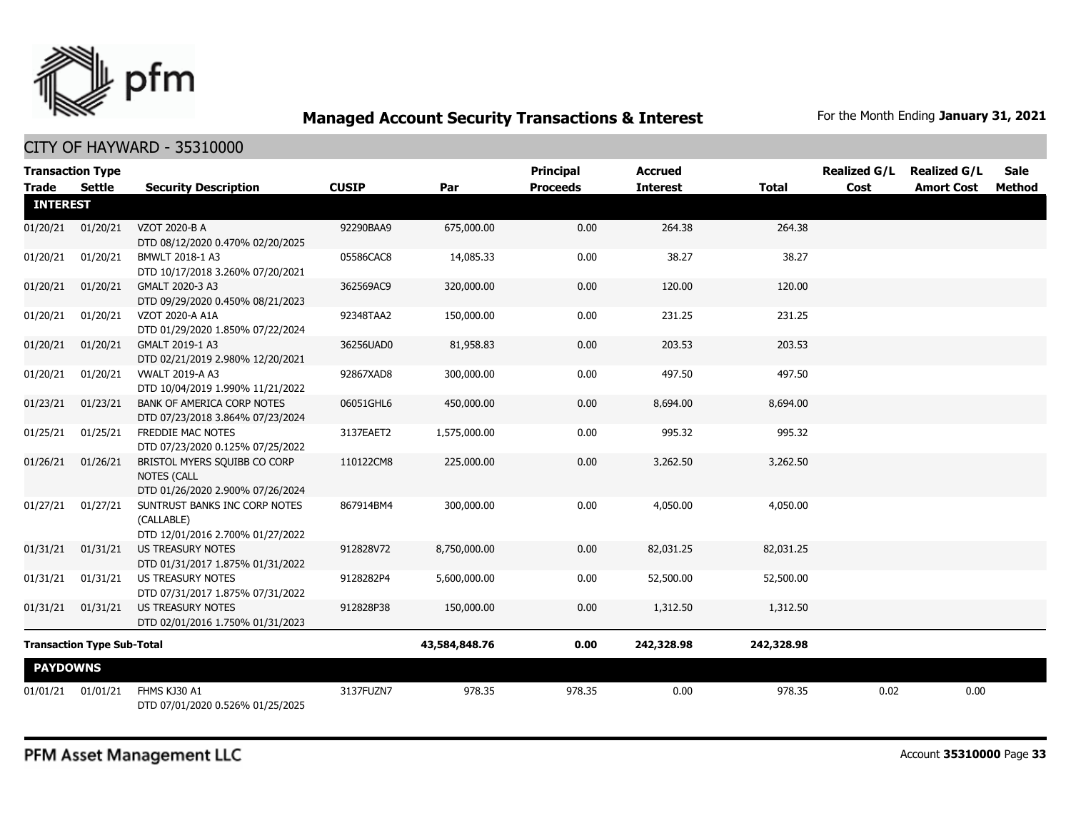

#### CITY OF HAYWARD - 35310000

| <b>Transaction Type</b>           |               |                                                                                        |              |               | <b>Principal</b> | <b>Accrued</b>  |              | <b>Realized G/L</b> | <b>Realized G/L</b> | Sale          |
|-----------------------------------|---------------|----------------------------------------------------------------------------------------|--------------|---------------|------------------|-----------------|--------------|---------------------|---------------------|---------------|
| <b>Trade</b><br><b>INTEREST</b>   | <b>Settle</b> | <b>Security Description</b>                                                            | <b>CUSIP</b> | Par           | <b>Proceeds</b>  | <b>Interest</b> | <b>Total</b> | Cost                | <b>Amort Cost</b>   | <b>Method</b> |
| 01/20/21                          | 01/20/21      | VZOT 2020-B A<br>DTD 08/12/2020 0.470% 02/20/2025                                      | 92290BAA9    | 675,000.00    | 0.00             | 264.38          | 264.38       |                     |                     |               |
| 01/20/21                          | 01/20/21      | BMWLT 2018-1 A3<br>DTD 10/17/2018 3.260% 07/20/2021                                    | 05586CAC8    | 14,085.33     | 0.00             | 38.27           | 38.27        |                     |                     |               |
| 01/20/21                          | 01/20/21      | GMALT 2020-3 A3<br>DTD 09/29/2020 0.450% 08/21/2023                                    | 362569AC9    | 320,000.00    | 0.00             | 120.00          | 120.00       |                     |                     |               |
| 01/20/21                          | 01/20/21      | VZOT 2020-A A1A<br>DTD 01/29/2020 1.850% 07/22/2024                                    | 92348TAA2    | 150,000.00    | 0.00             | 231.25          | 231.25       |                     |                     |               |
| 01/20/21                          | 01/20/21      | GMALT 2019-1 A3<br>DTD 02/21/2019 2.980% 12/20/2021                                    | 36256UAD0    | 81,958.83     | 0.00             | 203.53          | 203.53       |                     |                     |               |
| 01/20/21                          | 01/20/21      | <b>VWALT 2019-A A3</b><br>DTD 10/04/2019 1.990% 11/21/2022                             | 92867XAD8    | 300,000.00    | 0.00             | 497.50          | 497.50       |                     |                     |               |
| 01/23/21                          | 01/23/21      | BANK OF AMERICA CORP NOTES<br>DTD 07/23/2018 3.864% 07/23/2024                         | 06051GHL6    | 450,000.00    | 0.00             | 8,694.00        | 8,694.00     |                     |                     |               |
| 01/25/21                          | 01/25/21      | <b>FREDDIE MAC NOTES</b><br>DTD 07/23/2020 0.125% 07/25/2022                           | 3137EAET2    | 1,575,000.00  | 0.00             | 995.32          | 995.32       |                     |                     |               |
| 01/26/21                          | 01/26/21      | BRISTOL MYERS SQUIBB CO CORP<br><b>NOTES (CALL</b><br>DTD 01/26/2020 2.900% 07/26/2024 | 110122CM8    | 225,000.00    | 0.00             | 3,262.50        | 3,262.50     |                     |                     |               |
| 01/27/21                          | 01/27/21      | SUNTRUST BANKS INC CORP NOTES<br>(CALLABLE)<br>DTD 12/01/2016 2.700% 01/27/2022        | 867914BM4    | 300,000.00    | 0.00             | 4,050.00        | 4,050.00     |                     |                     |               |
| 01/31/21                          | 01/31/21      | US TREASURY NOTES<br>DTD 01/31/2017 1.875% 01/31/2022                                  | 912828V72    | 8,750,000.00  | 0.00             | 82,031.25       | 82,031.25    |                     |                     |               |
| 01/31/21                          | 01/31/21      | US TREASURY NOTES<br>DTD 07/31/2017 1.875% 07/31/2022                                  | 9128282P4    | 5,600,000.00  | 0.00             | 52,500.00       | 52,500.00    |                     |                     |               |
| 01/31/21                          | 01/31/21      | US TREASURY NOTES<br>DTD 02/01/2016 1.750% 01/31/2023                                  | 912828P38    | 150,000.00    | 0.00             | 1,312.50        | 1,312.50     |                     |                     |               |
| <b>Transaction Type Sub-Total</b> |               |                                                                                        |              | 43,584,848.76 | 0.00             | 242,328.98      | 242,328.98   |                     |                     |               |
| <b>PAYDOWNS</b>                   |               |                                                                                        |              |               |                  |                 |              |                     |                     |               |
| 01/01/21                          | 01/01/21      | FHMS KJ30 A1<br>DTD 07/01/2020 0.526% 01/25/2025                                       | 3137FUZN7    | 978.35        | 978.35           | 0.00            | 978.35       | 0.02                | 0.00                |               |

PFM Asset Management LLC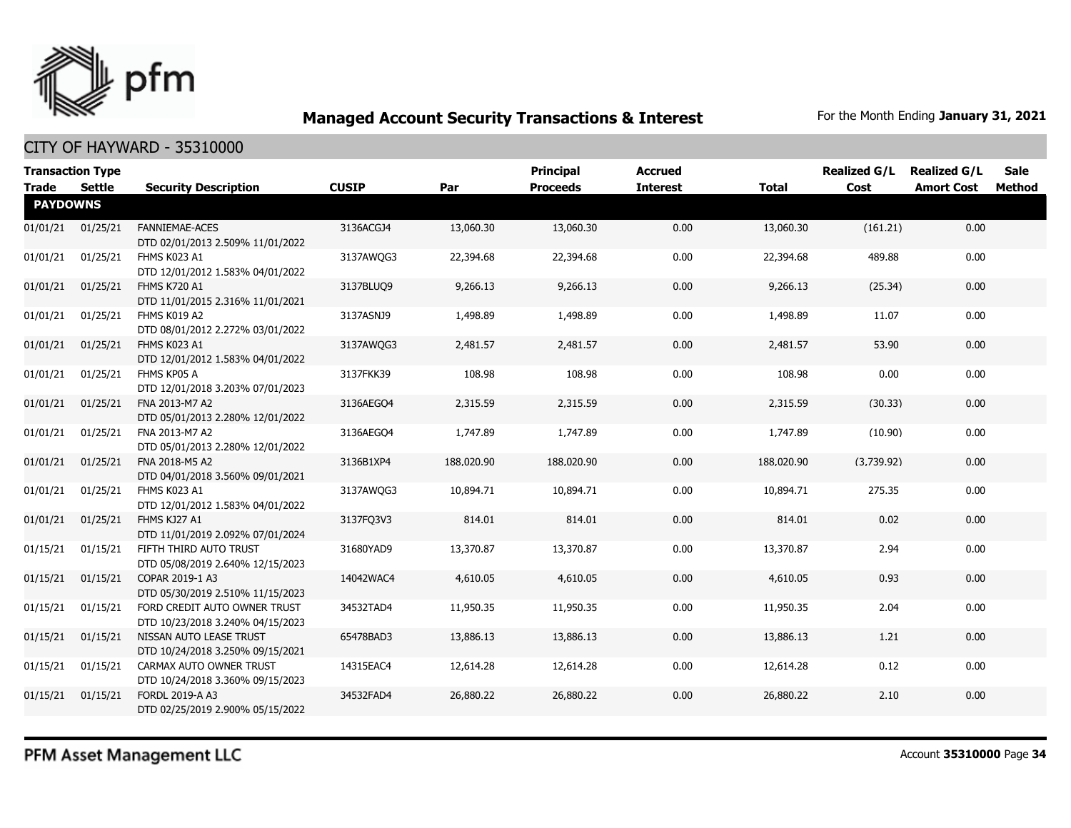

| <b>Transaction Type</b><br><b>Trade</b> | Settle   | <b>Security Description</b>                                      | <b>CUSIP</b> | Par        | <b>Principal</b><br><b>Proceeds</b> | <b>Accrued</b><br><b>Interest</b> | <b>Total</b> | <b>Realized G/L</b><br>Cost | <b>Realized G/L</b><br><b>Amort Cost</b> | Sale<br>Method |
|-----------------------------------------|----------|------------------------------------------------------------------|--------------|------------|-------------------------------------|-----------------------------------|--------------|-----------------------------|------------------------------------------|----------------|
| <b>PAYDOWNS</b>                         |          |                                                                  |              |            |                                     |                                   |              |                             |                                          |                |
| 01/01/21                                | 01/25/21 | <b>FANNIEMAE-ACES</b><br>DTD 02/01/2013 2.509% 11/01/2022        | 3136ACGJ4    | 13,060.30  | 13,060.30                           | 0.00                              | 13,060.30    | (161.21)                    | 0.00                                     |                |
| 01/01/21                                | 01/25/21 | FHMS K023 A1<br>DTD 12/01/2012 1.583% 04/01/2022                 | 3137AWQG3    | 22,394.68  | 22,394.68                           | 0.00                              | 22,394.68    | 489.88                      | 0.00                                     |                |
| 01/01/21                                | 01/25/21 | <b>FHMS K720 A1</b><br>DTD 11/01/2015 2.316% 11/01/2021          | 3137BLUO9    | 9,266.13   | 9,266.13                            | 0.00                              | 9,266.13     | (25.34)                     | 0.00                                     |                |
| 01/01/21                                | 01/25/21 | FHMS K019 A2<br>DTD 08/01/2012 2.272% 03/01/2022                 | 3137ASNJ9    | 1,498.89   | 1,498.89                            | 0.00                              | 1,498.89     | 11.07                       | 0.00                                     |                |
| 01/01/21                                | 01/25/21 | FHMS K023 A1<br>DTD 12/01/2012 1.583% 04/01/2022                 | 3137AWQG3    | 2,481.57   | 2,481.57                            | 0.00                              | 2,481.57     | 53.90                       | 0.00                                     |                |
| 01/01/21                                | 01/25/21 | FHMS KP05 A<br>DTD 12/01/2018 3.203% 07/01/2023                  | 3137FKK39    | 108.98     | 108.98                              | 0.00                              | 108.98       | 0.00                        | 0.00                                     |                |
| 01/01/21                                | 01/25/21 | FNA 2013-M7 A2<br>DTD 05/01/2013 2.280% 12/01/2022               | 3136AEGO4    | 2,315.59   | 2,315.59                            | 0.00                              | 2,315.59     | (30.33)                     | 0.00                                     |                |
| 01/01/21                                | 01/25/21 | FNA 2013-M7 A2<br>DTD 05/01/2013 2.280% 12/01/2022               | 3136AEGO4    | 1,747.89   | 1,747.89                            | 0.00                              | 1,747.89     | (10.90)                     | 0.00                                     |                |
| 01/01/21                                | 01/25/21 | FNA 2018-M5 A2<br>DTD 04/01/2018 3.560% 09/01/2021               | 3136B1XP4    | 188,020.90 | 188,020.90                          | 0.00                              | 188,020.90   | (3,739.92)                  | 0.00                                     |                |
| 01/01/21                                | 01/25/21 | FHMS K023 A1<br>DTD 12/01/2012 1.583% 04/01/2022                 | 3137AWQG3    | 10,894.71  | 10,894.71                           | 0.00                              | 10,894.71    | 275.35                      | 0.00                                     |                |
| 01/01/21                                | 01/25/21 | FHMS KJ27 A1<br>DTD 11/01/2019 2.092% 07/01/2024                 | 3137FQ3V3    | 814.01     | 814.01                              | 0.00                              | 814.01       | 0.02                        | 0.00                                     |                |
| 01/15/21                                | 01/15/21 | FIFTH THIRD AUTO TRUST<br>DTD 05/08/2019 2.640% 12/15/2023       | 31680YAD9    | 13,370.87  | 13,370.87                           | 0.00                              | 13,370.87    | 2.94                        | 0.00                                     |                |
| 01/15/21                                | 01/15/21 | COPAR 2019-1 A3<br>DTD 05/30/2019 2.510% 11/15/2023              | 14042WAC4    | 4,610.05   | 4,610.05                            | 0.00                              | 4,610.05     | 0.93                        | 0.00                                     |                |
| 01/15/21                                | 01/15/21 | FORD CREDIT AUTO OWNER TRUST<br>DTD 10/23/2018 3.240% 04/15/2023 | 34532TAD4    | 11,950.35  | 11,950.35                           | 0.00                              | 11,950.35    | 2.04                        | 0.00                                     |                |
| 01/15/21                                | 01/15/21 | NISSAN AUTO LEASE TRUST<br>DTD 10/24/2018 3.250% 09/15/2021      | 65478BAD3    | 13,886.13  | 13,886.13                           | 0.00                              | 13,886.13    | 1.21                        | 0.00                                     |                |
| 01/15/21                                | 01/15/21 | CARMAX AUTO OWNER TRUST<br>DTD 10/24/2018 3.360% 09/15/2023      | 14315EAC4    | 12,614.28  | 12,614.28                           | 0.00                              | 12,614.28    | 0.12                        | 0.00                                     |                |
| 01/15/21                                | 01/15/21 | FORDL 2019-A A3<br>DTD 02/25/2019 2.900% 05/15/2022              | 34532FAD4    | 26,880.22  | 26,880.22                           | 0.00                              | 26,880.22    | 2.10                        | 0.00                                     |                |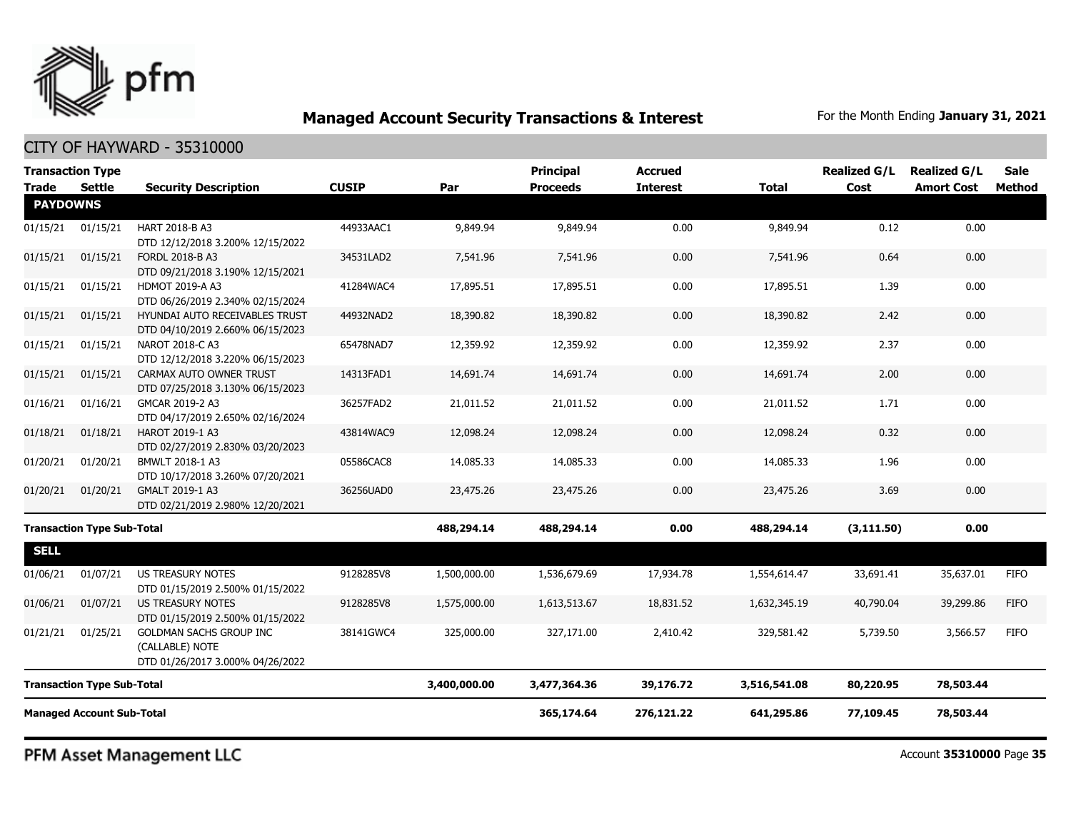

#### CITY OF HAYWARD - 35310000

| <b>Transaction Type</b>           |               |                                                                                |              |              | <b>Principal</b> | <b>Accrued</b>  |              | <b>Realized G/L</b> | <b>Realized G/L</b> | <b>Sale</b>   |
|-----------------------------------|---------------|--------------------------------------------------------------------------------|--------------|--------------|------------------|-----------------|--------------|---------------------|---------------------|---------------|
| <b>Trade</b><br><b>PAYDOWNS</b>   | <b>Settle</b> | <b>Security Description</b>                                                    | <b>CUSIP</b> | Par          | <b>Proceeds</b>  | <b>Interest</b> | <b>Total</b> | Cost                | <b>Amort Cost</b>   | <b>Method</b> |
|                                   |               |                                                                                |              |              |                  |                 |              |                     |                     |               |
| 01/15/21                          | 01/15/21      | HART 2018-B A3<br>DTD 12/12/2018 3.200% 12/15/2022                             | 44933AAC1    | 9,849.94     | 9,849.94         | 0.00            | 9,849.94     | 0.12                | 0.00                |               |
| 01/15/21                          | 01/15/21      | FORDL 2018-B A3<br>DTD 09/21/2018 3.190% 12/15/2021                            | 34531LAD2    | 7,541.96     | 7,541.96         | 0.00            | 7,541.96     | 0.64                | 0.00                |               |
| 01/15/21                          | 01/15/21      | <b>HDMOT 2019-A A3</b><br>DTD 06/26/2019 2.340% 02/15/2024                     | 41284WAC4    | 17,895.51    | 17,895.51        | 0.00            | 17,895.51    | 1.39                | 0.00                |               |
| 01/15/21                          | 01/15/21      | HYUNDAI AUTO RECEIVABLES TRUST<br>DTD 04/10/2019 2.660% 06/15/2023             | 44932NAD2    | 18,390.82    | 18,390.82        | 0.00            | 18,390.82    | 2.42                | 0.00                |               |
| 01/15/21                          | 01/15/21      | NAROT 2018-C A3<br>DTD 12/12/2018 3.220% 06/15/2023                            | 65478NAD7    | 12,359.92    | 12,359.92        | 0.00            | 12,359.92    | 2.37                | 0.00                |               |
| 01/15/21                          | 01/15/21      | CARMAX AUTO OWNER TRUST<br>DTD 07/25/2018 3.130% 06/15/2023                    | 14313FAD1    | 14,691.74    | 14,691.74        | 0.00            | 14,691.74    | 2.00                | 0.00                |               |
| 01/16/21                          | 01/16/21      | GMCAR 2019-2 A3<br>DTD 04/17/2019 2.650% 02/16/2024                            | 36257FAD2    | 21,011.52    | 21,011.52        | 0.00            | 21,011.52    | 1.71                | 0.00                |               |
| 01/18/21                          | 01/18/21      | HAROT 2019-1 A3<br>DTD 02/27/2019 2.830% 03/20/2023                            | 43814WAC9    | 12,098.24    | 12,098.24        | 0.00            | 12,098.24    | 0.32                | 0.00                |               |
| 01/20/21                          | 01/20/21      | BMWLT 2018-1 A3<br>DTD 10/17/2018 3.260% 07/20/2021                            | 05586CAC8    | 14,085.33    | 14,085.33        | 0.00            | 14,085.33    | 1.96                | 0.00                |               |
| 01/20/21                          | 01/20/21      | GMALT 2019-1 A3<br>DTD 02/21/2019 2.980% 12/20/2021                            | 36256UAD0    | 23,475.26    | 23,475.26        | 0.00            | 23,475.26    | 3.69                | 0.00                |               |
| <b>Transaction Type Sub-Total</b> |               |                                                                                |              | 488,294.14   | 488,294.14       | 0.00            | 488,294.14   | (3, 111.50)         | 0.00                |               |
| <b>SELL</b>                       |               |                                                                                |              |              |                  |                 |              |                     |                     |               |
| 01/06/21                          | 01/07/21      | US TREASURY NOTES<br>DTD 01/15/2019 2.500% 01/15/2022                          | 9128285V8    | 1,500,000.00 | 1,536,679.69     | 17,934.78       | 1,554,614.47 | 33,691.41           | 35,637.01           | <b>FIFO</b>   |
| 01/06/21                          | 01/07/21      | <b>US TREASURY NOTES</b><br>DTD 01/15/2019 2.500% 01/15/2022                   | 9128285V8    | 1,575,000.00 | 1,613,513.67     | 18,831.52       | 1,632,345.19 | 40,790.04           | 39,299.86           | <b>FIFO</b>   |
| 01/21/21                          | 01/25/21      | GOLDMAN SACHS GROUP INC<br>(CALLABLE) NOTE<br>DTD 01/26/2017 3.000% 04/26/2022 | 38141GWC4    | 325,000.00   | 327,171.00       | 2,410.42        | 329,581.42   | 5,739.50            | 3,566.57            | <b>FIFO</b>   |
| <b>Transaction Type Sub-Total</b> |               |                                                                                |              | 3,400,000.00 | 3,477,364.36     | 39,176.72       | 3,516,541.08 | 80,220.95           | 78,503.44           |               |
| <b>Managed Account Sub-Total</b>  |               |                                                                                |              |              | 365,174.64       | 276,121.22      | 641,295.86   | 77,109.45           | 78,503.44           |               |

PFM Asset Management LLC